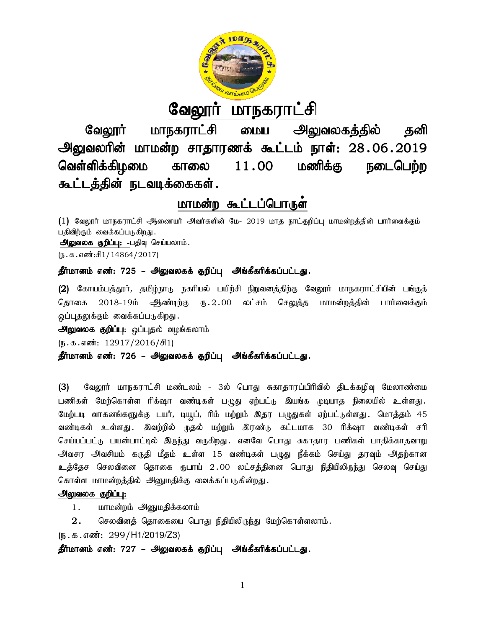

<u>வேலூர் மாநகராட்சி</u>

வேலூர் மாநகராட்சி மைய அலுவலகத்தில் தனி வேலூர் மாநகராட்சி மைய அலுவலகத்தில் தனி<br>அலுவலரின் மாமன்ற சாதாரணக் கூட்டம் நாள்: 28.06.2019 வெள்ளிக்கிழமை காலை கூட்டத்தின் நடவடிக்கைகள்.  $11.00$  மணிக்கு நடைபெற்ற

# <u>மாமன்ற கூட்டப்பொருள</u>்

(1) வேலூர் மாநகராட்சி ஆணையர் அவர்களின் மே- 2019 மாத நாட்குறிப்பு மாமன்றத்தின் பார்வைக்கும் பதிவிற்கும் வைக்கப்படுகிறது. அலுவலக குறிப்பு: -பதிவு செய்யலாம்.  $(5.5.5.5\text{...})$ 

# தீர்மானம் எண்: 725 – அலுவலகக் குறிப்பு அங்கீகரிக்கப்பட்டது.

(2) கோயம்பத்தூர், தமிழ்நாடு நகரியல் பயிற்சி நிறுவனத்திற்கு வேலூர் மாநகராட்சியின் பங்குத் தொகை 2018-19ம் ஆண்டிற்கு ரு.2.00 லட்சம் செலுத்த மாமன்றத்தின் பார்வைக்கும் ஒப்புதலுக்கும் வைக்கப்படுகிறது.

**அலுவலக குறிப்பு**: ஒப்புதல் வழங்கலாம்

 $(\mathfrak{g}.\mathfrak{g}.\mathfrak{g}.$  எண்: 12917/2016/சி1)

**அலுவலக குறிப்பு**: ஒப்புதல் வழங்கலாம்<br>(ந.க.எண்: 12917/2016/சி1)<br>**தீர்மானம் எண்: 726 – அலுவலகக் குறிப்பு அங்கீகரிக்கப்பட்டது.** 

(3) வேலூர் மாநகராட்சி மண்டலம் - 3ல் பொது சுகாதாரப்பிரிவில் திடக்கழிவு மேலாண்மை பணிகள் மேற்கொள்ள ரிக்ஷா வண்டிகள் பழுது ஏற்பட்டு இயங்க முடியாத நிலையில் உள்ளது. மேற்படி வாகனங்களுக்கு டயர், டியுப், ரிம் மற்றும் இதர பழுதுகள் ஏற்பட்டுள்ளது. மொத்தம் 45 மேற்படி வாகனங்களுக்கு டயர், டியூப், ரிம் மற்றும் இதர பழுதுகள் ஏற்பட்டுள்ளது .Glமாத்தம் 45<br>வண்டிகள் உள்ளது .இவற்றில் முதல் மற்றும் இரண்டு கட்டமாக 30 ரிக்ஷா வண்டிகள் சரி செய்யப்பட்டு பயன்பாட்டில் இருந்து வருகிறது. எனவே பொது சுகாதார பணிகள் பாதிக்காதவாறு அவசர அவசியம் கருதி மீதம் உள்ள 15 வண்டிகள் பழுது நீக்கம் செய்து தரவும் அதற்கான உத்தேச செலவினை தொகை ருபாய் 2 .00 லட்சத்தினை பொது நிதியிலிருந்து செலவு செய்து கொள்ள மாமன்றத்தில் அனுமதிக்கு வைக்கப்படுகின்றது. ஆண்டிற்கு ரு.2.00 லட்சம் செலுத்த மாமன்றத்தின் பார்வைக்கும்<br>டுகிறது<br>தல் வழங்கலாம்<br>6/சி1)<br>**அலுவலகக் குறிப்பு அங்கீகரிக்கப்பட்டது .**<br>ட்சி மண்டலம் - 3ல் பொது சுகாதாரப்பிரிவில் திடக்கழிவு மேலாண்மை<br>ரிக்ஷா வண்டிகள் பழுது ஏற்பட்ட வண்டிகள் உள்ளது . இவற்றில் முதல் மற்றும் இரண்டு கட்டமாக 30 ரிக்ஷா வன<br>செய்யப்பட்டு பயன்பாட்டில் இருந்து வருகிறது . எனவே பொது சுகாதார பணிகள் பாதி<br>அவசர அவசியம் கருதி மீதம் உள்ள 15 வண்டிகள் பழுது நீக்கம் செய்து தரவும்<br>உத்தேச

# <u>அலுவலக குறிப்பு:</u>

1. மாமன்றம் அனுமதிக்கலாம்

2. செலவினத் தொகையை பொது நிதியிலிருந்து மேற்கொள்ளலாம்.

(ந.க.எண்: 299/H1/2019/Z3)

தீர்மானம் எண்: 727 – அலுவலகக் குறிப்பு அங்கீகரிக்கப்பட்டது.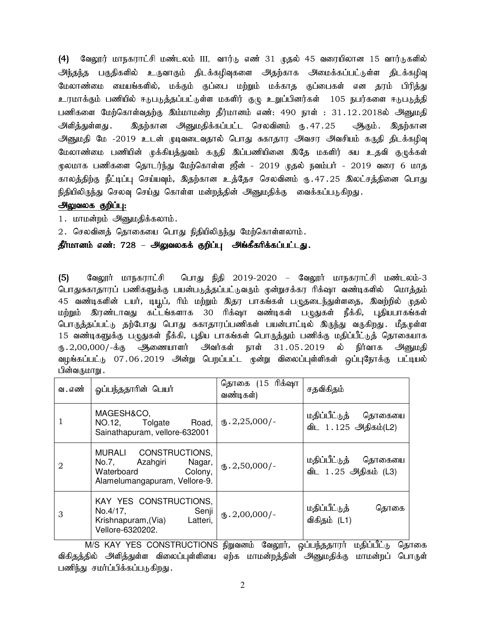(4) வேலூர் மாநகராட்சி மண்டலம் III, வார்டு எண் 31 முதல் 45 வரையிலான 15 வார்டுகளில் அந்தந்த பகுதிகளில் உருவாகும் திடக்கழிவுகளை அதற்காக அமைக்கப்பட்டுள்ள திடக்கழிவு மேலாண்மை மையங்களில், மக்கும் குப்பை மற்றும் மக்காத குப்பைகள் என தரம் பிரித்து உரமாக்கும் பணியில் ஈடுபடுத்தப்பட்டுள்ள மகளிர் குழு உறுப்பினர்கள் 105 நபர்களை ஈடுபடுத்தி பணிகளை மேற்கொள்வதற்கு இம்மாமன்ற தீர்மானம் எண்: 490 நாள் : 31.12.2018ல் அனுமதி அளித்துள்ளது . இதற்கான அனுமதிக்கப்பட்ட செலவினம் ரு.47.25 ஆகும் .இதற்கான அனுமதி மே -2019 உடன் முடிவடைவதால் பொது சுகாதார அவசர அவசியம் கருதி திடக்கழிவு மேலாண்மை பணியின் முக்கியத்துவம் கருதி இப்பணியினை இதே மகளிர் சுய உதவி குழுக்கள் மூலமாக பணிகளை தொடர்ந்து மேற்கொள்ள ஜீன் - 2019 முதல் நவம்பர் - 2019 வரை 6 மாத காலத்திற்கு நீட்டிப்பு செய்யவும், இதற்கான உத்தேச செலவினம் ரு.47.25 இலட்சத்தினை பொது நிதியிலிருந்து செலவு செய்து கொள்ள மன்றத்தின் அனுமதிக்கு வைக்கப்படுகிறது.

# அலுவலக குறிப்பு:

1. மாமன்றம் அனுமதிக்கலாம்.

2. செலவினத் தொகையை பொது நிதியிலிருந்து மேற்கொள்ளலாம்.

தீர்மானம் எண்: 728 – அலுவலகக் குறிப்பு அங்கீகரிக்கப்பட்டது.

(5) BtY]h; khefuhl;rp bghJ epjp 2019-2020 – BtY]h; khefuhl;rp kz;lyk;-3 பொதுசுகாதாரப் பணிகளுக்கு பயன்படுத்தப்பட்டுவரும் முன்றுசக்கர ரிக்ஷா வண்டிகளில் மொத்தம் 45 வண்டிகளின் டயர், டியூப், ரிம் மற்றும் இதர பாகங்கள் பழுதடைந்துள்ளதை, இவற்றில் முதல் மற்றும் இரண்டாவது கட்டங்களாக 30 ரிக்ஷா வண்டிகள் பழுதுகள் நீக்கி, புதியபாகங்கள் பொருத்தப்பட்டு தற்போது பொது சுகாதாரப்பணிகள் பயன்பாட்டில் இருந்து வருகிறது. மீதமுள்ள 15 வண்டிகளுக்கு பழுதுகள் நீக்கி, புதிய பாகங்கள் பொருத்தும் பணிக்கு மதிப்பீட்டுத் தொகையாக ரு.2,00,000/-க்கு ஆணையாளர் அவர்கள் நாள் 31.05.2019 ல் நிர்வாக அனுமதி வழங்கப்பட்டு 07.06.2019 அன்று பெறப்பட்ட முன்று விலைப்புள்ளிகள் ஒப்புநோக்கு பட்டியல் பின்வருமாறு .

| வ . எண் | ஓப்பந்ததாரின் பெயர்                                                                                            | தொகை (15 ரிக்ஷா<br>வண்டிகள்) | சதவிகிதம்                                       |
|---------|----------------------------------------------------------------------------------------------------------------|------------------------------|-------------------------------------------------|
| 1       | MAGESH&CO,<br>Road,<br>NO.12, Tolgate<br>Sainathapuram, vellore-632001                                         | $\text{I}5.2,25,000$ /-      | மதிப்பீட்டுத்<br>தொகையை<br>விட 1.125 அதிகம்(L2) |
| 2       | MURALI CONSTRUCTIONS,<br>Azahgiri<br>Nagar,<br>No.7,<br>Waterboard<br>Colony,<br>Alamelumangapuram, Vellore-9. | $(B.2, 50, 000)$ -           | மதிப்பீட்டுத்<br>தொகையை<br>விட 1.25 அதிகம் (L3) |
| 3       | KAY YES CONSTRUCTIONS.<br>No.4/17,<br>Senji<br>Krishnapuram, (Via)<br>Latteri.<br>Vellore-6320202.             | $(B.2,00,000)$ -             | மதிப்பீட்டுத்<br>தொகை<br>விகிதம் (L1)           |

M/S KAY YES CONSTRUCTIONS நிறுவனம் வேலூர், ஒப்பந்ததாரர் மதிப்பீட்டு தொகை விகிதத்தில் அளித்துள்ள விலைப்புள்ளியை ஏற்க மாமன்றத்தின் அனுமதிக்கு மாமன்றப் பொருள் பணிந்து சமர்ப்பிக்கப்படுகிறது.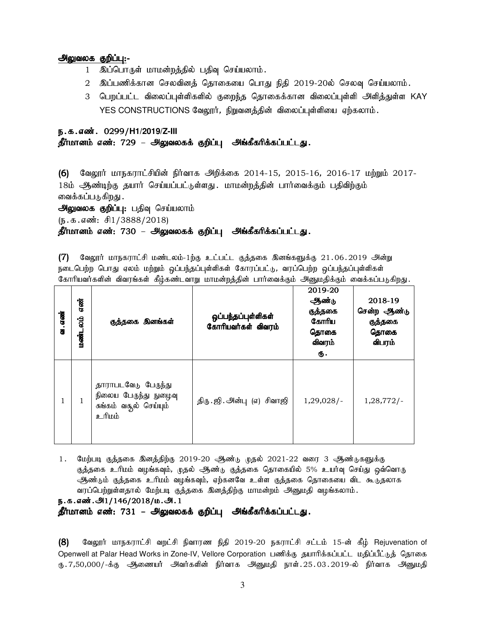### அலுவலக குறிப்பு:-

- 1 இப்பொருள் மாமன்றத்தில் பதிவு செய்யலாம்.
- 2 இப்பணிக்கான செலவினத் தொகையை பொது நிதி 2019-20ல் செலவு செய்யலாம்.
- 3 பெறப்பட்ட விலைப்புள்ளிகளில் குறைந்த தொகைக்கான விலைப்புள்ளி அளித்துள்ள KAY YES CONSTRUCTIONS வேலூர், நிறுவனத்தின் விலைப்புள்ளியை ஏற்கலாம்.

# ந.க.எண். 0299/H1/2019/Z-III

# தீர்மானம் எண்: 729 – அலுவலகக் குறிப்பு அங்கீகரிக்கப்பட்டது.

 $(6)$  வேலூர் மாநகராட்சியின் நிர்வாக அிறக்கை 2014-15, 2015-16, 2016-17 மற்றும் 2017-18ம் ஆண்டிற்கு தயார் செய்யப்பட்டுள்ளது . மாமன்றத்தின் பார்வைக்கும் பதிவிற்கும் வைக்கப்படுகிறது .

அலுவலக குறிப்பு: பதிவு செய்யலாம்

 $(\mathbf{b}.\mathbf{t}.\mathbf{d}.\mathbf{d}.\mathbf{w}$ : சி $1/3888/2018$ )

தீர்மானம் எண்: 730 – அலுவலகக் குறிப்பு அங்கீகரிக்கப்பட்டது.

 $(7)$  Bுலூர் மாநகராட்சி மண்டலம்-1ற்கு உட்பட்ட குத்தகை இனங்களுக்கு 21.06.2019 அன்று நடைபெற்ற பொது ஏலம் மற்றும் ஒப்பந்தப்புள்ளிகள் கோரப்பட்டு, வரப்பெற்ற ஒப்பந்தப்புள்ளிகள் கோரியவர்களின் விவரங்கள் கீழ்கண்டவாறு மாமன்றத்தின் பார்வைக்கும் அனுமதிக்கும் வைக்கப்படுகிறது.

| வ. எண் | என்<br>်ချွ<br>மண்ட | குத்தகை இனங்கள்                                                                          | ஒப்பந்தப்புள்ளிகள்<br>கோரியவர்கள் விவரம் | 2019-20<br>ஆண்டு<br>குத்தகை<br>கோரிய<br>தொகை<br>விவரம்<br>ரு. | 2018-19<br>சென்ற ஆண்டு<br>குத்தகை<br>தொகை<br>விபரம் |
|--------|---------------------|------------------------------------------------------------------------------------------|------------------------------------------|---------------------------------------------------------------|-----------------------------------------------------|
|        | 1                   | தாராபடவேடு பேருந்து<br>நிலைய பேருந்து நுழைவு<br>சுங்கம் வதூல் செய்யும்<br><u>ம்</u> யிடஉ | திரு. ஜி. அன்பு (எ) சிவாஜி               | $1,29,028/-$                                                  | $1,28,772/-$                                        |

 $1.$  மேற்படி குத்தகை இனத்திற்கு 2019-20 ஆண்டு முதல் 2021-22 வரை 3 ஆண்டுகளுக்கு குத்தகை உரிமம் வழங்கவும், முதல் ஆண்டு குத்தகை தொகையில் 5% உயர்வு செய்து ஒவ்வொரு ஆண்டும் குத்தகை உரிமம் வழங்கவும், ஏற்கனவே உள்ள குத்தகை தொகையை விட கூடுதலாக வரப்பெற்றுள்ளதால் மேற்படி குத்தகை இனத்திற்கு மாமன்றம் அனுமதி வழங்கலாம்.

ந.க.எண்.அ1/146/2018/ம.அ.1

தீர்மானம் எண்: 731 – அலுவலகக் குறிப்பு அங்கீகரிக்கப்பட்டது.

(8) கேலூர் மாநகராட்சி வறட்சி நிவாரண நிதி 2019-20 நகராட்சி சட்டம் 15-ன் கீழ் Rejuvenation of Openwell at Palar Head Works in Zone-IV, Vellore Corporation பணிக்கு தயாரிக்கப்பட்ட மதிப்பீட்டுத் தொகை ரு 7,50,000/-க்கு அணையர் அவர்களின் நிர்வாக அனுமதி நாள் 25.03.2019-ல் நிர்வாக அனுமதி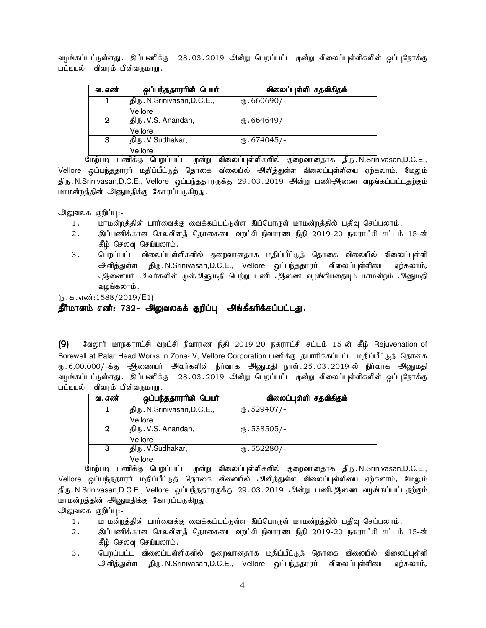வழங்கப்பட்டுள்ளது . இப்பணிக்கு 28 . 03 . 2019 அன்று பெறப்பட்ட முன்று விலைப்புள்ளிகளின் ஒப்புநோக்கு பட்டியல் விவரம் பின்வருமாறு.

| வ . எண் | ஒப்பந்ததாரரின் பெயர்        | விலைப்புள்ளி சதவிகிதம் |
|---------|-----------------------------|------------------------|
|         | திரு. N.Srinivasan, D.C.E., | $\text{I}$ .660690/-   |
|         | Vellore                     |                        |
| 2       | திரு. V.S. Anandan,         | $\text{I}$ 664649/-    |
|         | Vellore                     |                        |
| 3       | திரு. V.Sudhakar,           | $\text{I}$ .674045/-   |
|         | Vellore                     |                        |

மேற்படி பணிக்கு பெறப்பட்ட முன்று விலைப்புள்ளிகளில் குறைவானதாக திரு.N.Srinivasan,D.C.E., Vellore ஒப்பந்ததாரர் மதிப்பீட்டுத் தொகை விலையில் அிித்துள்ள விலைப்புள்ளியை ஏற்கலாம், மேலும் திரு . N.Srinivasan,D.C.E., Vellore ஒப்பந்ததாரருக்கு 29 . 03 . 2019 அன்று பணிஆிணை வழங்கப்பட்டதற்கும் மாமன்றத்தின் அனுமதிக்கு கோரப்படுகிறது.

அலுவலக குறிப்பு:-

- 1. khkd;wj;jpd; ghh;itf;F itf;fg;gl;Ls;s ng;bghUs; khkd;wj;jpy; gjpt[ bra;ayhk;.
- 2. இப்பணிக்கான செலவினத் தொகையை வறட்சி நிவாரண நிதி 2019-20 நகராட்சி சட்டம் 15-ன் கீழ் செலவு செய்யலாம்.
- 3 . பெறப்பட்ட விலைப்புள்ளிகளில் குறைவானதாக மதிப்பீட்டுத் தொகை விலையில் விலைப்புள்ளி அிளித்துள்ள திரு.N.Srinivasan,D.C.E., Vellore ஒப்பந்ததாரர் விலைப்புள்ளியை ஏற்கலாம், அணையர் அவர்களின் முன்அனுமதி பெற்று பணி ஆணை வழங்கியதையும் மாமன்றம் அனுமதி வழங்கலாம்.

 $(5.5.5.5\frac{1588}{2019}$ /E1)

# தீர்மானம் எண்: 732– அலுவலகக் குறிப்பு அங்கீகரிக்கப்பட்டது.

(9) மேலூர் மாநகராட்சி வறட்சி நிவாரண நிதி 2019-20 நகராட்சி சட்டம் 15-ன் கீழ் Rejuvenation of Borewell at Palar Head Works in Zone-IV, Vellore Corporation பணிக்கு தயாரிக்கப்பட்ட மதிப்பீட்டுத் தொகை ரு 6,00,000/-க்கு ஆணையர் அவர்களின் நிர்வாக அனுமதி நாள் $.25.03.2019$ -ல் நிர்வாக அனுமதி வழங்கப்பட்டுள்ளது . இப்பணிக்கு 28 . 03 . 2019 அன்று பெறப்பட்ட முன்று விலைப்புள்ளிகளின் ஒப்புநோக்கு பட்டியல் விவரம் பின்வருமாறு .

| வ . எண்     | ஒப்பந்ததாரரின் பெயர்        | விலைப்புள்ளி சதவிகிதம் |
|-------------|-----------------------------|------------------------|
|             | திரு. N.Srinivasan, D.C.E., | $\omega$ .529407/-     |
|             | Vellore                     |                        |
| $\mathbf 2$ | திரு. V.S. Anandan,         | $\omega$ .538505/-     |
|             | Vellore                     |                        |
| 3           | திரு. V.Sudhakar,           | $(D.552280)$ -         |
|             | Vellore                     |                        |

மேற்படி பணிக்கு பெறப்பட்ட முன்று விலைப்புள்ளிகளில் குறைவானதாக திரு.N.Srinivasan,D.C.E., Vellore ஒப்பந்ததாரர் மதிப்பீட்டுத் தொகை விலையில் அளித்துள்ள விலைப்புள்ளியை ஏற்கலாம், மேலும் திரு . N.Srinivasan,D.C.E., Vellore ஒப்பந்ததாரருக்கு 29 . 03 . 2019 அன்று பணிஅிணை வழங்கப்பட்டதற்கும் மாமன்றத்தின் அனுமதிக்கு கோரப்படுகிறது.

அலுவலக குறிப்பு:-

- 1. khkd;wj;jpd; ghh;itf;F itf;fg;gl;Ls;s ng;bghUs; khkd;wj;jpy; gjpt[ bra;ayhk;.
- 2. இப்பணிக்கான செலவினத் தொகையை வறட்சி நிவாரண நிதி 2019-20 நகராட்சி சட்டம் 15-ன் கீழ் செலவு செய்யலாம்.
- 3. பெறப்பட்ட விலைப்புள்ளிகளில் குறைவானதாக மதிப்பீட்டுத் தொகை விலையில் விலைப்புள்ளி அிளித்துள்ள திரு.N.Srinivasan,D.C.E., Vellore ஒப்பந்ததாரர் விலைப்புள்ளியை ஏற்கலாம்,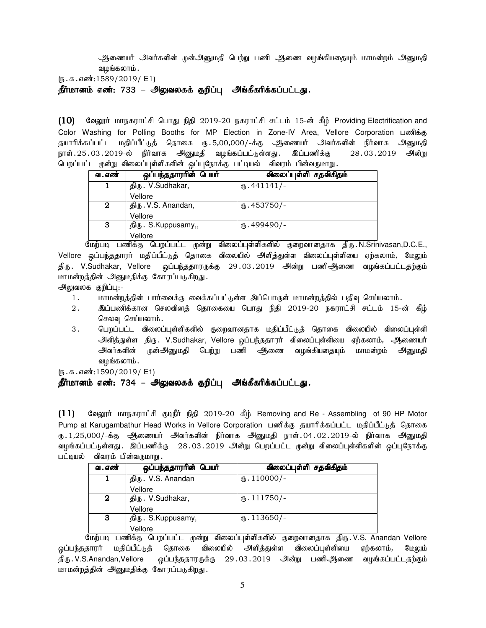அணையர் அவர்களின் முன்அனுமதி பெற்று பணி ஆணை வழங்கியதையும் மாமன்றம் அனுமதி வழங்கலாம்.

 $(5.5.5.5\frac{1589}{2019} / E1)$ 

தீர்மானம் எண்: 733 – அலுவலகக் குறிப்பு அங்கீகரிக்கப்பட்டது.

 $(10)$  வேலூர் மாநகராட்சி பொது நிதி 2019-20 நகராட்சி சட்டம் 15-ன் கீழ் Providing Electrification and Color Washing for Polling Booths for MP Election in Zone-IV Area, Vellore Corporation பணிக்கு தயாரிக்கப்பட்ட மதிப்பீட்டுத் தொகை ரு.5,00,000/-க்கு ஆணையர் அவர்களின் நிர்வாக அனுமதி நாள்.25.03.2019-ல் நிர்வாக அனுமதி வழங்கப்பட்டுள்ளது. இப்பணிக்கு 28.03.2019 அன்று பெறப்பட்ட முன்று விலைப்புள்ளிகளின் ஒப்புநோக்கு பட்டியல் விவரம் பின்வருமாறு.

| வ . எண் | ஒப்பந்ததாரரின் பெயர் | விலைப்புள்ளி சதவிகிதம் |
|---------|----------------------|------------------------|
|         | திரு. V.Sudhakar,    | $\mathbf{0}.441141/-$  |
|         | Vellore              |                        |
| 2       | திரு. V.S. Anandan,  | $\omega$ .453750/-     |
|         | Vellore              |                        |
| 3       | திரு. S.Kuppusamy,,  | $(D.499490)$ -         |
|         | Vellore              |                        |

மேற்படி பணிக்கு பெறப்பட்ட முன்று விலைப்புள்ளிகளில் குறைவானதாக திரு.N.Srinivasan,D.C.E., Vellore ஒப்பந்ததாரர் மதிப்பீட்டுத் தொகை விலையில் அளித்துள்ள விலைப்புள்ளியை ஏற்கலாம், மேலும் திரு .V.Sudhakar, Vellore ஒப்பந்ததாரருக்கு 29.03.2019 அன்று பணிஅிணை வழங்கப்பட்டதற்கும் மாமன்றத்தின் அனுமதிக்கு கோரப்படுகிறது.

அலுவலக குறிப்பு:-

- 1. khr மன்றத்தின் பார்வைக்கு வைக்கப்பட்டுள்ள இப்பொருள் மாமன்றத்தில் பதிவு செய்யலாம்.
- 2. ng;gzpf;fhd brytpdj; bjhifia bghJ epjp 2019-20 efuhl;rp rl;lk; 15-d; fPH; செலவு செய்யலாம்.
- 3 . பெறப்பட்ட விலைப்புள்ளிகளில் குறைவானதாக மதிப்பீட்டுத் தொகை விலையில் விலைப்புள்ளி அளித்துள்ள திரு. V.Sudhakar, Vellore ஒப்பந்ததாரர் விலைப்புள்ளியை ஏற்கலாம், ஆணையர் அவர்களின் முன்அனுமதி பெற்று பணி ஆணை வழங்கியதையும் மாமன்றம் அனுமதி வழங்கலாம்.

 $(5.5.5.5\omega(1590/2019)$  E1)

# <u>தீர்மானம் எண்: 734 – அலுவலகக் குறிப்பு</u> அங்கீகரிக்கப்பட்டது.

 $(11)$  Gaigyrin; Lorring Bright; and  $2019-20$   $\frac{4}{3}$  Removing and Re - Assembling of 90 HP Motor Pump at Karugambathur Head Works in Vellore Corporation பணிக்கு தயாரிக்கப்பட்ட மதிப்பீட்டுத் தொகை ரு 1,25,000/-க்கு ஆணையர் அவர்களின் நிர்வாக அனுமதி நாள்.04.02.2019-ல் நிர்வாக அனுமதி வழங்கப்பட்டுள்ளது . இப்பணிக்கு 28 . 03 . 2019 அன்று பெறப்பட்ட முன்று விலைப்புள்ளிகளின் ஒப்புநோக்கு பட்டியல் - விவரம் பின்வருமாறு .

| வ . எண் | ஒப்பந்ததாரரின் பெயர் | விலைப்புள்ளி சதவிகிதம் |
|---------|----------------------|------------------------|
|         | திரு. V.S. Anandan   | $\text{I}10000$ /-     |
|         | Vellore              |                        |
| 2       | திரு. V.Sudhakar,    | $\text{I}11750/-$      |
|         | Vellore              |                        |
| 3       | திரு. S.Kuppusamy,   | $\text{I}13650/-$      |
|         | Vellore              |                        |

மேற்படி பணிக்கு பெறப்பட்ட முன்று விலைப்புள்ளிகளில் குறைவானதாக திரு.V.S. Anandan Vellore ஒப்பந்ததாரர் மதிப்பீட்டுத் தொகை விலையில் அளித்துள்ள விலைப்புள்ளியை ஏற்கலாம், மேலும் திரு . V.S.Anandan,Vellore ஒப்பந்ததாரருக்கு 29 . 03 . 2019 அன்று பணிஅிணை வழங்கப்பட்டதற்கும் மாமன்றத்தின் அனுமதிக்கு கோரப்படுகிறது.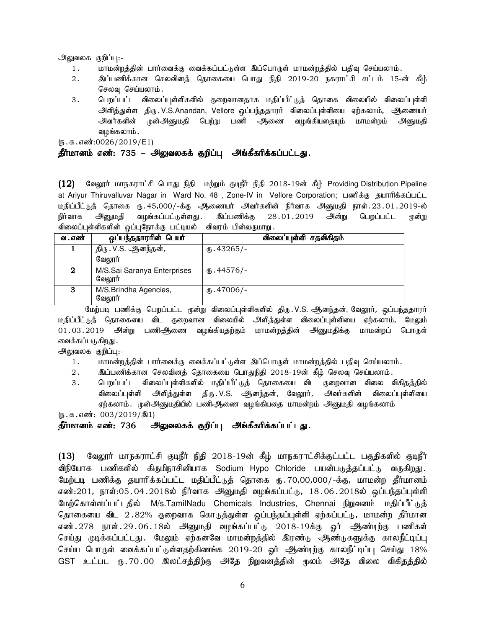#### அலுவலக குறிப்பு:-

- 1. khr மன்றத்தின் பார்வைக்கு வைக்கப்பட்டுள்ள இப்பொருள் மாமன்றத்தில் பதிவு செய்யலாம்.
- 2. இப்பணிக்கான செலவினத் தொகையை பொது நிதி 2019-20 நகராட்சி சட்டம் 15-ன் கீழ் செலவு செய்யலாம்.
- 3 . பெறப்பட்ட விலைப்புள்ளிகளில் குறைவானதாக மதிப்பீட்டுத் தொகை விலையில் விலைப்புள்ளி அளித்துள்ள திரு.V.S.Anandan, Vellore ஒப்பந்ததாரர் விலைப்புள்ளியை ஏற்கலாம், ஆணையர் அவர்களின் முன்அனுமதி பெற்று பணி அணை வழங்கியதையும் மாமன்றம் அனுமதி வழங்கலாம் .

 $(5.5.5.5\cdot\frac{10026}{2019/E1})$ 

### தீர்மானம் எண்: 735 – அலுவலகக் குறிப்பு அங்கீகரிக்கப்பட்டது.

 $(12)$  வேலூர் மாநகராட்சி பொது நிதி மற்றும் குடிநீர் நிதி 2018-19ன் கீழ் Providing Distribution Pipeline at Ariyur Thiruvalluvar Nagar in Ward No. 48, Zone-IV in Vellore Corporation; பணிக்கு தயாரிக்கப்பட்ட மதிப்பீட்டுத் தொகை ரு.45,000/-க்கு ஆணையர் அவர்களின் நிர்வாக அனுமதி நாள்.23.01.2019-ல்<br>நிர்வாக அனுமதி வழங்கப்பட்டுள்ளது. இப்பணிக்கு 28.01.2019 அன்று பெறப்பட்ட முன்று .<br>நிர்வாக அனுமதி வழங்கப்பட்டுள்ளது . இப்பணிக்கு 28.01.2019 அன்று பெறப்பட்ட முன்று விலைப்புள்ளிகளின் ஒப்புநோக்கு பட்டியல் விவரம் பின்வருமாறு.

| வ . எண் | <u>ஓப்பந்ததாரரின் பெயர்</u>           | விலைப்புள்ளி சதவிகிதம் |
|---------|---------------------------------------|------------------------|
|         | திரு . V.S. ஆனந்தன் <i>,</i>          | ரு.43265/-             |
|         | வேலூர்                                |                        |
|         | M/S.Sai Saranya Enterprises<br>வேலாா் | $M_{\rm b}$ .44576/-   |
| 3       | M/S.Brindha Agencies,<br>வேலூர்       | (15.47006/-            |

.<br>மேற்படி பணிக்கு பெறப்பட்ட முன்று விலைப்புள்ளிகளில் திரு.V.S. ஆனந்தன், வேலூர், ஒப்பந்ததாரர் மகிப்பீட்டுக் கொகையை விட குறைவான விலையில் அளிக்துள்ள விலைப்புள்ளியை எற்கலாம், மேலும் 01.03.2019 அன்று பணிஆணை வழங்கியதற்கும் மாமன்றத்தின் அனுமதிக்கு மாமன்றப் பொருள் வைக்கப்படுகிறது .

அலுவலக குறிப்பு:-

- 1. khkd;wj;jpd; ghh;itf;F itf;fg;gl;Ls;s ng;bghUs; khkd;wj;jpy; gjpt[ bra;ayhk;.
- 2. இப்பணிக்கான செலவினத் தொகையை பொதுநிதி 2018-19ன் கீழ் செலவு செய்யலாம்.
- 3 . பெறப்பட்ட விலைப்புள்ளிகளில் மதிப்பீட்டுத் தொகையை விட குறைவான விலை விகிதத்தில் .<br>விலைப்புள்ளி அளித்துள்ள திரு.V.S. ஆனந்தன், வேலூர்*,* அவர்களின் விலைப்பள்ளியை ஏற்கலாம். முன்அனுமதியில் பணிஆிணை வழங்கியதை மாமன்றம் அனுமதி வழங்கலாம்

 $(5.5.5 \cdot \text{m} \cdot \text{m} \cdot 003/2019/\text{m}1)$ 

# தீர்மானம் எண்: 736 – அலுவலகக் குறிப்பு அங்கீகரிக்கப்பட்டது.

( $13$ ) வேலூர் மாநகராட்சி குடிநீர் நிதி 2018-19ன் கீழ் மாநகராட்சிக்குட்பட்ட பகுதிகளில் குடிநீர் விநியோக பணிகளில் கிருமிநாசினியாக Sodium Hypo Chloride பயன்படுக்கப்பட்டு வருகிறது. மேற்படி பணிக்கு தயாரிக்கப்பட்ட மதிப்பீட்டுத் தொகை ரு..70,00,000/-க்கு, மாமன்ற தீர்மானம் எண்:201, நாள்:05.04.2018ல் நிர்வாக அினுமதி வழங்கப்பட்டு, 18.06.2018ல் ஒப்பந்தப்புள்ளி மேற்கொள்ளப்பட்டதில் M/s.TamilNadu Chemicals Industries, Chennai நிறுவனம் மதிப்பீட்டுத் தொகையை விட 2.82% குறைவாக கொடுத்துள்ள ஒப்பந்தப்புள்ளி ஏற்கப்பட்டு, மாமன்ற தீர்மான எண்.278 நாள்.29.06.18ல் அீ்துமதி வழங்கப்பட்டு 2018-19க்கு ஓர் அூண்டிற்கு பணிகள் செய்து முடிக்கப்பட்டது. மேலும் ஏற்கனவே மாமன்றத்தில் இரண்டு ஆண்டுகளுக்கு காலநீட்டிப்பு செய்ய பொருள் வைக்கப்பட்டுள்ளதற்கிணங்க 2019-20 ஓர் ஆண்டிற்கு காலநீட்டிப்பு செய்து 18% GST உட்பட ரு.70.00 இலட்சத்திற்கு அதே நிறுவனத்தின் முலம் அதே விலை விகிதத்தில்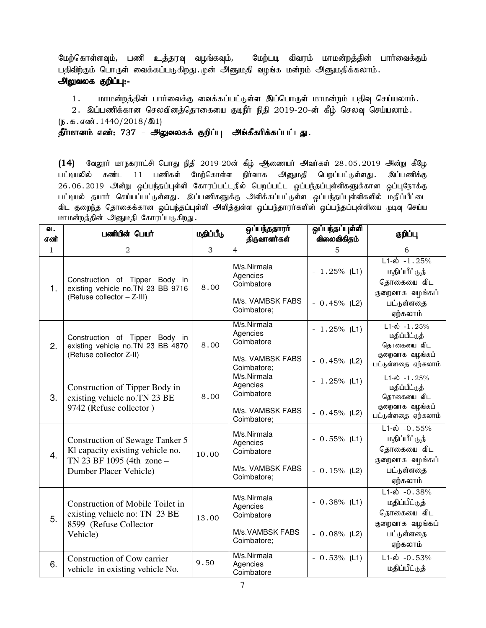மேற்கொள்ளவும், பணி உத்தரவு வழங்கவும், மேற்படி விவரம் மாமன்றத்தின் பார்வைக்கும் பதிவிற்கும் பொருள் வைக்கப்படுகிறது. முன் அனுமதி வழங்க மன்றம் அனுமதிக்கலாம். <u>அலுவலக குறிப்பு:-</u>

1. மாமன்றத்தின் பார்வைக்கு வைக்கப்பட்டுள்ள இப்பொருள் மாமன்றம் பதிவு செய்யலாம்.

2. இப்பணிக்கான செலவினத்தொகையை குடிநீர் நிதி 2019-20-ன் கீழ் செலவு செய்யலாம்.

 $(\mathbf{5}.\mathbf{5}.\mathbf{4}.\mathbf{5}.\mathbf{6}$ . 1440/2018/ $\mathbf{1})$ 

தீர்மானம் எண்: 737 – அலுவலகக் குறிப்பு அங்கீகரிக்கப்பட்டது.

 $(14)$  வேலூர் மாநகராட்சி பொது நிதி 2019-20ன் கீழ் ஆணையர் அவர்கள் 28.05.2019 அன்று கீழே<br>பட்டியலில் கண்ட 11 பணிகள் மேற்கொள்ள நிர்வாக அனுமதி பெறப்பட்டுள்ளது. இப்பணிக்கு பட்டியலில் கண்ட 11 பணிகள் மேற்கொள்ள நிர்வாக அனுமதி பெறப்பட்டுள்ளது. 26.06.2019 அன்று ஒப்பந்தப்புள்ளி கோரப்பட்டதில் பெறப்பட்ட ஒப்பந்தப்புள்ளிகளுக்கான ஒப்புநோக்கு பட்டியல் தயார் செய்யப்பட்டுள்ளது. இப்பணிகளுக்கு அளிக்கப்பட்டுள்ள ஒப்பந்தப்புள்ளிகளில் மதிப்பீட்டை விட குறைந்த தொகைக்கான ஒப்பந்தப்புள்ளி அளித்துள்ள ஒப்பந்தாரர்களின் ஒப்பந்தப்புள்ளியை முடிவு செய்ய மாமன்றத்தின் அனுமதி கோரப்படுகிறது.

| ഖ.<br>எண்    | பணியின் பெயர்                                                                                                              | மதிப்பீடு      | ஒப்பந்ததாரா்<br>திருவாளர்கள்                                             | ஒப்பந்தப்புள்ளி<br>விலைவிகிதம்  | குறிப்பு                                                                                                       |
|--------------|----------------------------------------------------------------------------------------------------------------------------|----------------|--------------------------------------------------------------------------|---------------------------------|----------------------------------------------------------------------------------------------------------------|
| $\mathbf{1}$ | 2                                                                                                                          | $\overline{3}$ | $\overline{4}$                                                           | $\overline{5}$                  | 6                                                                                                              |
| 1.           | Construction of Tipper Body in<br>existing vehicle no. TN 23 BB 9716<br>(Refuse collector - Z-III)                         | 8.00           | M/s.Nirmala<br>Agencies<br>Coimbatore<br>M/s. VAMBSK FABS<br>Coimbatore; | $-1.25%$ (L1)<br>$-0.45%$ (L2)  | $L1-\hat{\omega} - 1.25\%$<br>மதிப்பீட்டுத்<br>தொகையை விட<br>குறைவாக வழங்கப்<br>பட்டுள்ளதை                     |
| 2.           | Construction of Tipper Body in<br>existing vehicle no. TN 23 BB 4870<br>(Refuse collector Z-II)                            | 8.00           | M/s.Nirmala<br>Agencies<br>Coimbatore<br>M/s. VAMBSK FABS<br>Coimbatore; | $-1.25%$ (L1)<br>$-0.45%$ (L2)  | ஏற்கலாம்<br>$L1-\dot{\omega} - 1.25%$<br>மதிப்பீட்டுத்<br>தொகையை விட<br>குறைவாக வழங்கப்<br>பட்டுள்ளதை ஏற்கலாம் |
| 3.           | Construction of Tipper Body in<br>existing vehicle no.TN 23 BE<br>9742 (Refuse collector)                                  | 8.00           | M/s.Nirmala<br>Agencies<br>Coimbatore<br>M/s. VAMBSK FABS<br>Coimbatore; | $-1.25%$ (L1)<br>$-0.45%$ (L2)  | $L1-\dot{\omega} - 1.25%$<br>மதிப்பீட்டுத்<br>தொகையை விட<br>குறைவாக வழங்கப்<br>பட்டுள்ளதை ஏற்கலாம்             |
| 4.           | Construction of Sewage Tanker 5<br>Kl capacity existing vehicle no.<br>TN 23 BF 1095 (4th zone -<br>Dumber Placer Vehicle) | 10.00          | M/s.Nirmala<br>Agencies<br>Coimbatore<br>M/s. VAMBSK FABS<br>Coimbatore; | $-0.55\%$ (L1)<br>$-0.15%$ (L2) | $L1 - \dot{\omega} - 0.55\%$<br>மதிப்பீட்டுத்<br>தொகையை விட<br>குறைவாக வழங்கப்<br>பட்டுள்ளதை<br>ஏற்கலாம்       |
| 5.           | Construction of Mobile Toilet in<br>existing vehicle no: TN 23 BE<br>8599 (Refuse Collector<br>Vehicle)                    | 13.00          | M/s.Nirmala<br>Agencies<br>Coimbatore<br>M/s.VAMBSK FABS<br>Coimbatore;  | $-0.38\%$ (L1)<br>$-0.08%$ (L2) | $L1 - \dot{\omega} - 0.38\%$<br>மதிப்பீட்டுத்<br>தொகையை விட<br>குறைவாக வழங்கப்<br>பட்டுள்ளதை<br>ஏற்கலாம்       |
| 6.           | Construction of Cow carrier<br>vehicle in existing vehicle No.                                                             | 9.50           | M/s.Nirmala<br>Agencies<br>Coimbatore                                    | $-0.53%$ (L1)                   | $L1-\dot{\omega}$ -0.53%<br>மதிப்பீட்டுத்                                                                      |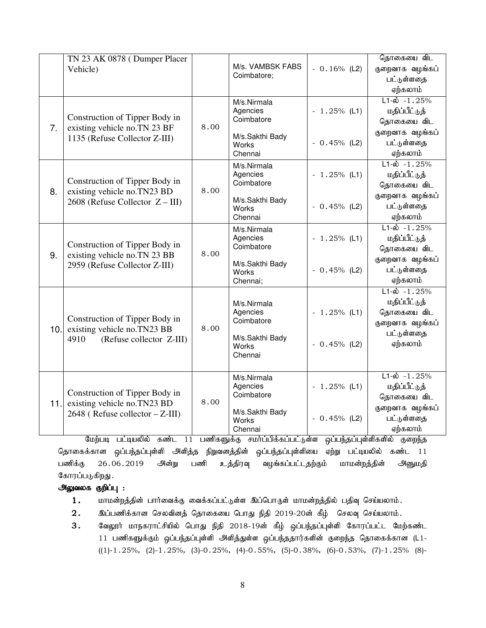|      | TN 23 AK 0878 (Dumper Placer                                       |      |                          |               | தொகையை விட                 |
|------|--------------------------------------------------------------------|------|--------------------------|---------------|----------------------------|
|      | Vehicle)                                                           |      | M/s. VAMBSK FABS         | $-0.16%$ (L2) | குறைவாக வழங்கப்            |
|      |                                                                    |      | Coimbatore;              |               | பட்டுள்ளதை                 |
|      |                                                                    |      |                          |               | ஏற்கலாம்                   |
|      |                                                                    |      | M/s.Nirmala              |               | $L1-\hat{\omega} - 1.25\%$ |
|      |                                                                    |      | Agencies                 | $-1.25%$ (L1) | மதிப்பீட்டுத்              |
| 7.   | Construction of Tipper Body in<br>existing vehicle no.TN 23 BF     | 8.00 | Coimbatore               |               | தொகையை விட                 |
|      | 1135 (Refuse Collector Z-III)                                      |      | M/s.Sakthi Bady          |               | குறைவாக வழங்கப்            |
|      |                                                                    |      | Works                    | $-0.45%$ (L2) | பட்டுள்ளதை                 |
|      |                                                                    |      | Chennai                  |               | ஏற்கலாம்                   |
|      |                                                                    |      | M/s.Nirmala              |               | $L1-\hat{\omega} - 1.25%$  |
|      | Construction of Tipper Body in                                     |      | Agencies<br>Coimbatore   | $-1.25%$ (L1) | மதிப்பீட்டுத்              |
| 8.   | existing vehicle no.TN23 BD                                        | 8.00 |                          |               | தொகையை விட                 |
|      | $2608$ (Refuse Collector $Z - III$ )                               |      | M/s.Sakthi Bady          |               | குறைவாக வழங்கப்            |
|      |                                                                    |      | Works                    | $-0.45%$ (L2) | பட்டுள்ளதை                 |
|      |                                                                    |      | Chennai                  |               | ஏற்கலாம்                   |
|      | Construction of Tipper Body in<br>existing vehicle no.TN 23 BB     | 8.00 | M/s.Nirmala              |               | $L1-\hat{\omega} - 1.25\%$ |
|      |                                                                    |      | Agencies<br>Coimbatore   | $-1.25%$ (L1) | மதிப்பீட்டுத்              |
| 9.   |                                                                    |      |                          |               | தொகையை விட                 |
|      | 2959 (Refuse Collector Z-III)                                      |      | M/s.Sakthi Bady          | $-0.45%$ (L2) | குறைவாக வழங்கப்            |
|      |                                                                    |      | Works<br>Chennai;        |               | பட்டுள்ளதை<br>ஏற்கலாம்     |
|      |                                                                    |      |                          |               | $L1-\hat{\omega} - 1.25\%$ |
|      |                                                                    |      |                          |               | மதிப்பீட்டுத்              |
|      |                                                                    |      | M/s.Nirmala<br>Agencies  | $-1.25%$ (L1) | தொகையை விட                 |
|      | Construction of Tipper Body in                                     |      | Coimbatore               |               | குறைவாக வழங்கப்            |
| 10.1 | existing vehicle no.TN23 BB                                        | 8.00 |                          |               | பட்டுள்ளதை                 |
|      | (Refuse collector Z-III)<br>4910                                   |      | M/s.Sakthi Bady<br>Works | $-0.45%$ (L2) | ஏற்கலாம்                   |
|      |                                                                    |      | Chennai                  |               |                            |
|      |                                                                    |      |                          |               |                            |
|      |                                                                    |      | M/s.Nirmala              |               | $L1-\hat{\omega} - 1.25\%$ |
|      |                                                                    |      | Agencies                 | $-1.25%$ (L1) | மதிப்பீட்டுத்              |
|      | Construction of Tipper Body in                                     | 8.00 | Coimbatore               |               | தொகையை விட                 |
| 11.  | existing vehicle no.TN23 BD<br>$2648$ (Refuse collector $-Z$ -III) |      | M/s.Sakthi Bady          |               | குறைவாக வழங்கப்            |
|      |                                                                    |      | Works                    | $-0.45%$ (L2) | பட்டுள்ளதை                 |
|      |                                                                    |      | Chennai                  |               | ஏற்கலாம்                   |

மேற்படி பட்டியலில் கண்ட 11 பணிகளுக்கு சமா்ப்பிக்கப்பட்டுள்ள ஒப்பந்தப்புள்ளிகளில் குறைந்த தொகைக்கான ஒப்பந்தப்புள்ளி அளித்த நிறுவனத்தின் ஒப்பந்தப்புள்ளியை ஏற்று பட்டியலில் கண்ட 11 பணிக்கு 26.06.2019 அன்று பணி உத்திரவு வழங்கப்பட்டதற்கும் மாமன்றத்தின் அனுமதி கோரப்படுகிறது.

# அலுவலக குறிப்பு :

- $1.$  மாமன்றத்தின் பார்வைக்கு வைக்கப்பட்டுள்ள இப்பொருள் மாமன்றத்தில் பதிவு செய்யலாம்.
- $2.$  இப்பணிக்கான செலவினத் தொகையை பொது நிதி 2019-20ன் கீழ் செலவு செய்யலாம்.
- 3. வேலூர் மாநகராட்சியில் பொது நிதி 2018-19ன் கீழ் ஒப்பந்தப்புள்ளி கோரப்பட்ட மேற்கண்ட 11 பணிகளுக்கும் ஒப்பந்தப்புள்ளி அளித்துள்ள ஒப்பந்ததார்களின் குறைந்த தொகைக்கான (L1- $((1)-1.25\%, (2)-1.25\%, (3)-0.25\%, (4)-0.55\%, (5)-0.38\%, (6)-0.53\%, (7)-1.25\% (8)-0.53\%, (7)-1.25\%, (8)-0.53\%, (9)-0.53\%$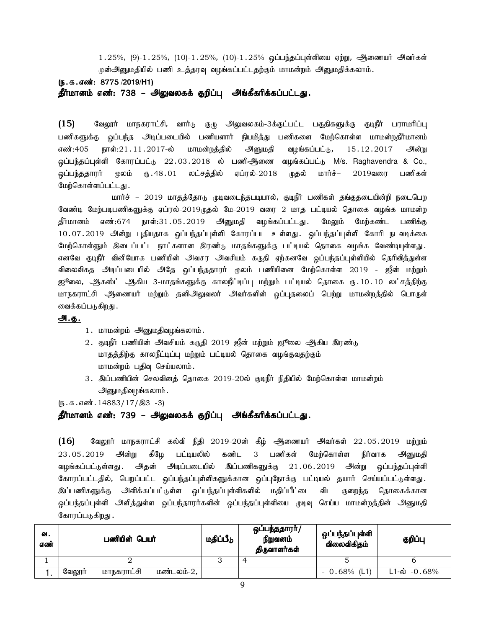$1.25\%$ , (9)- $1.25\%$ , (10)- $1.25\%$ , (10)- $1.25\%$  ஒப்பந்தப்புள்ளியை ஏற்று, ஆணையர் அவர்கள் ருன்அனுமதியில் பணி உத்தரவு வழங்கப்பட்டதற்கும் மாமன்றம் அனுமதிக்கலாம்.

(ந.க.எண்: 8775 /2019/H1)

தீர்மானம் எண்: 738 – அலுவலகக் குறிப்பு அங்கீகரிக்கப்பட்டது.

 $(15)$  Bவலூர் மாநகராட்சி, வார்டு குழு அலுவலகம்-3க்குட்பட்ட பகுதிகளுக்கு குடிநீர் பராமரிப்பு பணிகளுக்கு ஒப்பந்த அடிப்படையில் பணியளார் நியமித்து பணிகளை மேற்கொள்ள மாமன்றதீர்மானம் எண்:405 நாள்:21.11.2017-ல் மாமன்றத்தில் அனுமதி வழங்கப்பட்டு, 15.12.2017 அன்று <u>ஓ</u>ப்பந்தப்புள்ளி கோரப்பட்டு 22.03.2018 ல் பணிஆிணை வழங்கப்பட்டு M/s. Raghavendra & Co., ஒப்பந்ததாரா மூலம் ரு. 48.01 லட்சத்தில் ஏப்ரல்-2018 முதல் மார்ச்– 2019வரை பணிகள் மேற்கொள்ளப்பட்டது.

மார்ச் – 2019 மாதத்தோடு முடிவடைந்தபடியால், குடிநீர் பணிகள் தங்குதடையின்றி நடைபெற வேண்டி மேற்படிபணிகளுக்கு ஏப்ரல்-2019முதல் மே-2019 வரை 2 மாத பட்டியல் தொகை வழங்க மாமன்ற தீர்மானம் எண்:674 நாள்:31.05.2019 அனுமதி வழங்கப்பட்டது. மேலும் மேற்கண்ட பணிக்கு 10.07.2019 அன்று புதியதாக ஒப்பந்தப்புள்ளி கோரப்பட உள்ளது. ஒப்பந்தப்புள்ளி கோரி நடவடிக்கை மேற்கொள்ளும் இடைப்பட்ட நாட்களான இரண்டு மாதங்களுக்கு பட்டியல் தொகை வழங்க வேண்டியுள்ளது. எனவே குடிநீர் வினியோக பணியின் அவசர அவசியம் கருதி ஏற்கனவே ஒப்பந்தப்புள்ளியில் தெரிவித்துள்ள விலைவிகத அடிப்படையில் அதே ஒப்பந்ததாரர் முலம் பணியினை மேற்கொள்ள 2019 - ஜீன் மற்றும் ஜூலை, ஆகஸ்ட் ஆகிய 3-மாதங்களுக்கு காலநீட்டிப்பு மற்றும் பட்டியல் தொகை ரூ.10.10 லட்சத்திற்கு மாநகராட்சி அிணையர் மற்றும் தனிஅிலுவலர் அவர்களின் ஒப்புதலைப் பெற்று மாமன்றத்தில் பொருள் வைக்கப்படுகிறது .

### அ.கு.

- 1. மாமன்றம் அனுமதிவழங்கலாம்.
- 2. குடிநீர் பணியின் அவசியம் கருதி 2019 ஜீன் மற்றும் ஜூலை ஆகிய இரண்டு மாதத்திற்கு காலநீட்டிப்பு மற்றும் பட்டியல் தொகை வழங்குவதற்கும் மாமன்றம் பதிவு செய்யலாம்.
- 3. இப்பணியின் செலவினத் தொகை 2019-20ல் குடிநீர் நிதியில் மேற்கொள்ள மாமன்றம் அனுமதிவழங்கலாம்.

 $(\mathfrak{g.5.4}$   $\mathfrak{g.5.5}$   $\mathfrak{g.14883}/17/\mathfrak{A}3 - 3)$ 

### தீர்மானம் எண்: 739 – அலுவலகக் குறிப்பு அங்கீகரிக்கப்பட்டது.

 $(16)$  Baலூர் மாநகராட்சி கல்வி நிதி 2019-20ன் கீழ் ஆணையர் அவர்கள் 22.05.2019 மற்றும் 23.05.2019 அன்று கீழே பட்டியலில் கண்ட 3 பணிகள் மேற்கொள்ள நிர்வாக அனுமதி வழங்கப்பட்டுள்ளது . அதன் அடிப்படையில் இப்பணிகளுக்கு 21.06.2019 அன்று ஒப்பந்தப்புள்ளி கோரப்பட்டதில், பெறப்பட்ட ஒப்பந்தப்புள்ளிகளுக்கான ஒப்புநோக்கு பட்டியல் தயார் செய்யப்பட்டுள்ளது. .<br>இப்பணிகளுக்கு அளிக்கப்பட்டுள்ள ஒப்பந்தப்புள்ளிகளில் மதிப்பீட்டை விட குறைந்த தொகைக்கான .<br>ஒப்பந்தப்புள்ளி அளித்துள்ள ஒப்பந்தாரர்களின் ஒப்பந்தப்புள்ளியை முடிவு செய்ய மாமன்றத்தின் அனுமதி கோரப்படுகிறது .

| வ.<br>எண் |        | பணியின் பெயர் |            | மதிப்பீடு | ஒப்பந்ததாரா்/<br>நிறுவனம்<br>திருவாளர்கள் | ஒப்பந்தப்புள்ளி<br>விலைவிகிதம் | குறிப்பு                 |
|-----------|--------|---------------|------------|-----------|-------------------------------------------|--------------------------------|--------------------------|
|           |        |               |            |           |                                           |                                |                          |
|           | வேலூர் | மாநகராட்சி    | மண்டலம்-2, |           |                                           | $-0.68%$ (L1)                  | $L1-\dot{\omega}$ -0.68% |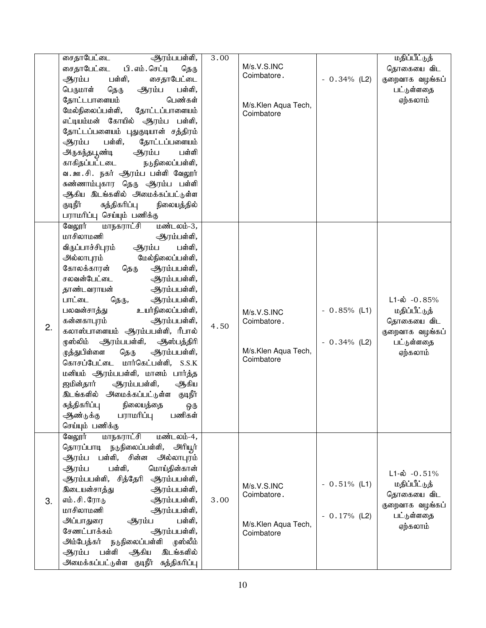|    | ஆரம்பபள்ளி,<br>சைதாபேட்டை<br>சைதாபேட்டை<br>பி. எம். செட்டி<br>தெரு<br>ஆரம்ப<br>பள்ளி,<br>சைதாபேட்டை<br>பெருமாள்<br>ஆரம்ப<br>பள்ளி,<br>தெரு<br>பெண்கள்<br>தோட்டபாளையம்<br>மேல்நிலைப்பள்ளி,<br>தோட்டப்பாளையம்<br>எட்டியம்மன் கோயில் ஆரம்ப பள்ளி,<br>தோட்டப்பளையம் புதுகுடியான் சத்திரம்<br>பள்ளி,<br>தோட்டப்பளையம்<br>ஆரம்ப<br>பள்ளி<br>அருகந்தபூண்டி<br>ஆரம்ப<br>நடுநிலைப்பள்ளி,<br>காகிதப்பட்டடை<br>வ. ஊ.சி. நகர் ஆரம்ப பள்ளி வேலூர்<br>சுண்ணாம்புகார தெரு ஆரம்ப பள்ளி<br>ஆகிய இடங்களில் அமைக்கப்பட்டுள்ள<br>குடிநீர்<br>சுத்திகரிப்பு                                                                                                                                                                                                                     | 3.00 | M/s.V.S.INC<br>Coimbatore.<br>M/s.Klen Aqua Tech,<br>Coimbatore | $-0.34\%$ (L2)                   | மதிப்பீட்டுத்<br>தொகையை விட<br>குறைவாக வழங்கப்<br>பட்டுள்ளதை<br>ஏற்கலாம்                               |
|----|------------------------------------------------------------------------------------------------------------------------------------------------------------------------------------------------------------------------------------------------------------------------------------------------------------------------------------------------------------------------------------------------------------------------------------------------------------------------------------------------------------------------------------------------------------------------------------------------------------------------------------------------------------------------------------------------------------------------------------------------------------|------|-----------------------------------------------------------------|----------------------------------|--------------------------------------------------------------------------------------------------------|
| 2. | நிலையத்தில்<br>பராமரிப்பு செய்யும் பணிக்கு<br>வேலூர்<br>மாநகராட்சி<br>மண்டலம்-3,<br>மாசிலாமணி<br>ஆரம்பள்ளி,<br>பள்ளி,<br>விருப்பாச்சிபுரம்<br>ஆரம்ப<br>மேல்நிலைப்பள்ளி,<br>அல்லாபுரம்<br>கோலக்காரன்<br>தெரு<br>ஆரம்பபள்ளி,<br>சலவன்பேட்டை<br>ஆரம்பபள்ளி,<br>தாண்டவராயன்<br>ஆரம்பபள்ளி,<br>பாட்டை<br>ஆரம்பபள்ளி,<br>தெரு,<br>உயர்நிலைப்பள்ளி,<br>பலவன்சாத்து<br>கன்னகாபுரம்<br>ஆரம்பபள்ளி,<br>கலாஸ்பாளையம் ஆரம்பபள்ளி, ரீபால்<br>முஸ்லிம் ஆரம்பபள்ளி, ஆஸ்பத்திரி<br>ழுத்துபிள்ளை<br>ஆரம்பபள்ளி,<br>தெரு<br>கொசப்பேட்டை மார்கெட்பள்ளி, S.S.K<br>மனியம் ஆரம்பபள்ளி, மானம் பார்த்த<br>ஜமின்தார்<br>ஆரம்பபள்ளி,<br>ஆகிய<br>இடங்களில் அமைக்கப்பட்டுள்ள<br>குடிநீர்<br>சுத்திகரிப்பு<br>நிலையத்தை<br>ஒரு<br>பணிகள்<br>ஆண்டுக்கு<br>பராமரிப்பு<br>செய்யும் பணிக்கு | 4.50 | M/s.V.S.INC<br>Coimbatore.<br>M/s.Klen Aqua Tech,<br>Coimbatore | $-0.85\%$ (L1)<br>$-0.34\%$ (L2) | $L1-\omega$ -0.85%<br>மதிப்பீட்டுத்<br>தொகையை விட<br>குறைவாக வழங்கப்<br>பட்டுள்ளதை<br>ஏற்கலாம்         |
| 3. | மாநகராட்சி<br>வேலூர்<br>மண்டலம்-4,<br>தொரப்பாடி நடுநிலைப்பள்ளி,<br>அரியூர்<br>சின்ன<br>ஆரம்ப<br>பள்ளி,<br>அல்லாபுரம்<br>பள்ளி,<br>மொய்தின்கான்<br>ஆரம்ப<br>ஆரம்பபள்ளி, சித்தேரி<br>ஆரம்பபள்ளி,<br>இடையன்சாத்து<br>ஆரம்பபள்ளி,<br>எம். சி. ரோடு<br>ஆரம்பபள்ளி,<br>மாசிலாமணி<br>ஆரம்பபள்ளி,<br>அப்பாதுரை<br>பள்ளி,<br>ஆரம்ப<br>சேணட்பாக்கம்<br>ஆரம்பபள்ளி,<br>நடுநிலைப்பள்ளி முஸ்லீம்<br>அம்பேத்கர்<br>பள்ளி<br>இடங்களில்<br>ஆரம்ப<br>ஆகிய<br>அமைக்கப்பட்டுள்ள குடிநீர் சுத்திகரிப்பு                                                                                                                                                                                                                                                                        | 3.00 | M/s.V.S.INC<br>Coimbatore.<br>M/s.Klen Aqua Tech,<br>Coimbatore | $-0.51\%$ (L1)<br>$-0.17%$ (L2)  | $L1-\hat{\omega} - 0.51\%$<br>மதிப்பீட்டுத்<br>தொகையை விட<br>குறைவாக வழங்கப்<br>பட்டுள்ளதை<br>ஏற்கலாம் |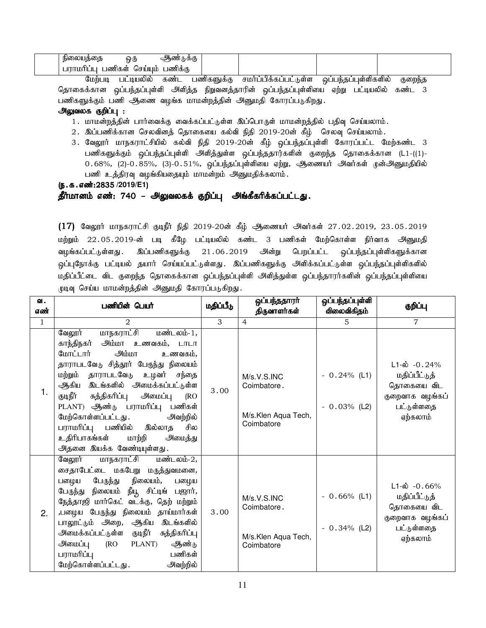| நின<br>ച്ചവെലക്കോക | ஒரு          | வ<br>ႹႻႻ<br>ஆண |  |  |
|--------------------|--------------|----------------|--|--|
| ணிகள்<br>Ш.        | <u>தொராம</u> | ⊥ணிக்கு        |  |  |

மேற்படி பட்டியலில் கண்ட பணிகளுக்கு சமர்ப்பிக்கப்பட்டுள்ள ஒப்பந்தப்புள்ளிகளில் குறைந்த தொகைக்கான ஒப்பந்தப்புள்ளி அளித்த நிறுவனத்தாரின் ஒப்பந்தப்புள்ளியை ஏற்று பட்டியலில் கண்ட 3 பணிகளுக்கும் பணி ஆணை வழங்க மாமன்றத்தின் அனுமதி கோரப்படுகிறது.

### அலுவலக குறிப்பு :

- 1. மாமன்றத்தின் பார்வைக்கு வைக்கப்பட்டுள்ள இப்பொருள் மாமன்றத்தில் பதிவு செய்யலாம்.
- $2.$  இப்பணிக்கான செலவினத் தொகையை கல்வி நிதி 2019-20ன் கீழ் செலவு செய்யலாம்.
- 3. வேலூர் மாநகராட்சியில் கல்வி நிதி 2019-20ன் கீழ் ஒப்பந்தப்புள்ளி கோரப்பட்ட மேற்கண்ட 3 பணிகளுக்கும் ஒப்பந்தப்புள்ளி அளித்துள்ள ஒப்பந்ததார்களின் குறைந்த தொகைக்கான (L1-((1)- $0.68\%$ , (2)- $0.85\%$ , (3)- $0.51\%$ , ஒப்பந்தப்புள்ளியை ஏற்று, ஆணையர் அவர்கள் முன்அனுமதியில் பணி உத்திரவு வழங்கியதையும் மாமன்றம் அனுமதிக்கலாம்.

(ந.க.எண்:2835 /2019/E1)

தீர்மானம் எண்: 740 – அலுவலகக் குறிப்பு அங்கீகரிக்கப்பட்டது.

 $(17)$  வேலூர் மாநகராட்சி குடிநீர் நிதி 2019-20ன் கீழ் ஆணையர் அவர்கள் 27.02.2019, 23.05.2019 மற்றும் 22.05.2019-ன் படி கீழே பட்டியலில் கண்ட 3 பணிகள் மேற்கொள்ள நிர்வாக அனுமதி வழங்கப்பட்டுள்ளது . இப்பணிகளுக்கு 21.06.2019 அன்று பெறப்பட்ட ஒப்பந்தப்புள்ளிகளுக்கான ஒப்புநோக்கு பட்டியல் தயார் செய்யப்பட்டுள்ளது. இப்பணிகளுக்கு அளிக்கப்பட்டுள்ள ஒப்பந்தப்புள்ளிகளில் மதிப்பீட்டை விட குறைந்த தொகைக்கான ஒப்பந்தப்புள்ளி அளித்துள்ள ஒப்பந்தாரர்களின் ஒப்பந்தப்புள்ளியை முடிவு செய்ய மாமன்றத்தின் அனுமதி கோரப்படுகிறது.

| வ.<br>எண்    | பணியின் பெயர்                                                                                                                                                                                                                                                                                                                                                                                                                                                                 | மதிப்பீடு | ஒப்பந்ததாரா்<br>திருவாளர்கள்                                     | ஒப்பந்தப்புள்ளி<br>விலைவிகிதம்   | குறிப்பு                                                                                                 |
|--------------|-------------------------------------------------------------------------------------------------------------------------------------------------------------------------------------------------------------------------------------------------------------------------------------------------------------------------------------------------------------------------------------------------------------------------------------------------------------------------------|-----------|------------------------------------------------------------------|----------------------------------|----------------------------------------------------------------------------------------------------------|
| $\mathbf{1}$ | $\mathfrak{D}_{1}$                                                                                                                                                                                                                                                                                                                                                                                                                                                            | 3         | $\overline{4}$                                                   | 5.                               | $\overline{7}$                                                                                           |
| 1.           | மாநகராட்சி<br>வேலூர்<br>மண்டலம்-1,<br><u> அம்மா உணவகம், டாடா</u><br>காந்திநகர்<br><b>பிய்டு</b><br>மோட்டார்<br>உணவகம்,<br>தாராபடவேடு சித்தூர் பேருந்து நிலையம்<br>தாராபடவேடு<br>மற்றும்<br>உழவர் சந்தை<br>இடங்களில் அமைக்கப்பட்டுள்ள<br>ஆகிய<br>குடிநீர்<br>சுத்திகரிப்பு<br>அமைப்பு<br>(RO)<br>PLANT) ஆண்டு பராமரிப்பு<br>பணிகள்<br>மேற்கொள்ளப்பட்டது.<br>அவற்றில்<br>பராமரிப்பு பணியில்<br>சில<br>இல்லாத<br>உதிரிபாகங்கள்<br>மாற்றி<br>அமைத்து<br>அதனை இயக்க வேண்டியுள்ளது. | 3.00      | M/s.V.S. INC<br>Coimbatore.<br>M/s.Klen Aqua Tech,<br>Coimbatore | $-0.24\%$ (L1)<br>$-0.03\%$ (L2) | $L1 - \dot{\omega} - 0.24\%$<br>மதிப்பீட்டுத்<br>தொகையை விட<br>குறைவாக வழங்கப்<br>பட்டுள்ளதை<br>ஏற்கலாம் |
| 2.           | <u>மாநகராட்சி</u><br>வேலூர்<br>மண்டலம்-2,<br>சைதாபேட்டை மகபேறு மருத்துவமனை,<br>பேருந்து நிலையம், பழைய<br>பனழய<br>பேருந்து நிலையம் நீயூ சிட்டிங் பஜார்,<br>நேத்தாஜி மார்கெட் வடக்கு, தெற் மற்றும்<br>,பழைய பேருந்து நிலையம் தாய்மார்கள்<br>பாலூட்டும் அறை, ஆகிய<br>இடங்களில்<br>குடிநீர்<br>சுத்திகரிப்பு<br>அமைக்கப்பட்டுள்ள<br>அமைப்பு<br>PLANT)<br>ஆண்டு<br>(RO)<br>பணிகள்<br>பராமரிப்பு<br>மேற்கொள்ளப்பட்டது.<br>அவற்றில்                                                  | 3.00      | M/s.V.S. INC<br>Coimbatore.<br>M/s.Klen Aqua Tech,<br>Coimbatore | $-0.66%$ (L1)<br>$-0.34\%$ (L2)  | $L1-\dot{\omega}$ -0.66%<br>மதிப்பீட்டுத்<br>தொகையை விட<br>குறைவாக வழங்கப்<br>பட்டுள்ளதை<br>ஏற்கலாம்     |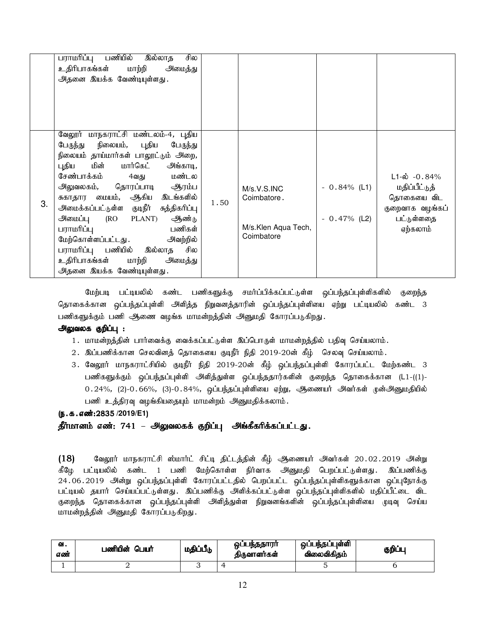| பராமரிப்பு பணியில்<br>சில<br>இல்லாத<br>உதிரிபாகங்கள்<br>மாற்றி<br>அமைத்து<br>அதனை இயக்க வேண்டியுள்ளது.                                                                                                                                                                                                                                                                                                                                                                                                           |      |                                                                  |                                  |                                                                                                |
|------------------------------------------------------------------------------------------------------------------------------------------------------------------------------------------------------------------------------------------------------------------------------------------------------------------------------------------------------------------------------------------------------------------------------------------------------------------------------------------------------------------|------|------------------------------------------------------------------|----------------------------------|------------------------------------------------------------------------------------------------|
| வேலூர் மாநகராட்சி மண்டலம்-4, புதிய<br>பேருந்து நிலையம், புதிய<br>பேருந்து<br>நிலையம் தாய்மார்கள் பாலூட்டும் அறை,<br>மின் மார்கெட்<br>புதிய<br>அங்காடி,<br>மண்டல<br>சேண்பாக்கம்<br>4வது<br><u> அலுவலகம், தொரப்பாடி ஆரம்ப</u><br>சுகாதார மையம், ஆகிய இடங்களில்<br>3.<br><u> அமைக்கப்பட்டுள்ள குடிநீர் சுத்திகரிப்பு</u><br>அமைப்பு (RO PLANT)<br>ஆண்டு<br>பராமரிப்பு<br>பணிகள்<br>மேற்கொள்ளப்பட்டது .<br>அவற்றில்<br>பராமரிப்பு பணியில் இல்லாத சில<br>உதிரிபாகங்கள் மாற்றி<br>அமைத்து<br>அதனை இயக்க வேண்டியுள்ளது. | 1.50 | M/s.V.S. INC<br>Coimbatore.<br>M/s.Klen Aqua Tech,<br>Coimbatore | $-0.84\%$ (L1)<br>$-0.47\%$ (L2) | $L1-\omega$ -0.84%<br>மதிப்பீட்டுத்<br>தொகையை விட<br>குறைவாக வழங்கப்<br>பட்டுள்ளதை<br>ஏற்கலாம் |

மேற்படி பட்டியலில் கண்ட பணிகளுக்கு சமர்ப்பிக்கப்பட்டுள்ள ஒப்பந்தப்புள்ளிகளில் குறைந்த தொகைக்கான ஒப்பந்தப்புள்ளி அளித்த நிறுவனத்தாரின் ஒப்பந்தப்புள்ளியை ஏற்று பட்டியலில் கண்ட 3 பணிகளுக்கும் பணி ஆணை வழங்க மாமன்றத்தின் அனுமதி கோரப்படுகிறது.

# அலுவலக குறிப்பு :

- 1. மாமன்றத்தின் பார்வைக்கு வைக்கப்பட்டுள்ள இப்பொருள் மாமன்றத்தில் பதிவு செய்யலாம்.
- 2. இப்பணிக்கான செலவினத் தொகையை குடிநீர் நிதி 2019-20ன் கீழ் செலவு செய்யலாம்.
- 3. வேலூர் மாநகராட்சியில் குடிநீர் நிதி 2019-20ன் கீழ் ஒப்பந்தப்புள்ளி கோரப்பட்ட மேற்கண்ட 3 பணிகளுக்கும் ஒப்பந்தப்புள்ளி அளித்துள்ள ஒப்பந்ததார்களின் குறைந்த தொகைக்கான (L1-((1)- $0.24\%$ , (2)- $0.66\%$ , (3)- $0.84\%$ , ஒப்பந்தப்புள்ளியை ஏற்று, ஆணையர் அவர்கள் முன்அனுமதியில் பணி உத்திரவு வழங்கியதையும் மாமன்றம் அனுமதிக்கலாம்.

### (ந.க.எண்:2835 /2019/E1)

தீர்மானம் எண்: 741 – அலுவலகக் குறிப்பு அங்கீகரிக்கப்பட்டது.

 $(18)$  கேலூர் மாநகராட்சி ஸ்மார்ட் சிட்டி திட்டத்தின் கீழ் ஆணையர் அவர்கள் 20.02.2019 அன்று கீழே பட்டியலில் கண்ட 1 பணி மேற்கொள்ள நிர்வாக அனுமதி பெறப்பட்டுள்ளது. இப்பணிக்கு 24.06.2019 அன்று ஒப்பந்தப்புள்ளி கோரப்பட்டதில் பெறப்பட்ட ஒப்பந்தப்புள்ளிகளுக்கான ஒப்புநோக்கு பட்டியல் தயார் செய்யப்பட்டுள்ளது. இப்பணிக்கு அளிக்கப்பட்டுள்ள ஒப்பந்தப்புள்ளிகளில் மதிப்பீட்டை விட குறைந்த தொகைக்கான ஒப்பந்தப்புள்ளி அளித்துள்ள நிறுவனங்களின் ஒப்பந்தப்புள்ளியை முடிவு செய்ய மாமன்றத்தின் அனுமதி கோரப்படுகிறது.

| ഖ.<br>எண் | பணியின் பெயர் | மதிப்பீடு | ஒப்பந்ததாரா<br>திருவாளர்கள் | ஒப்பந்தப்புள்ளி<br>விலைவிகிதம் | குறிப்பு |
|-----------|---------------|-----------|-----------------------------|--------------------------------|----------|
|           |               |           |                             |                                |          |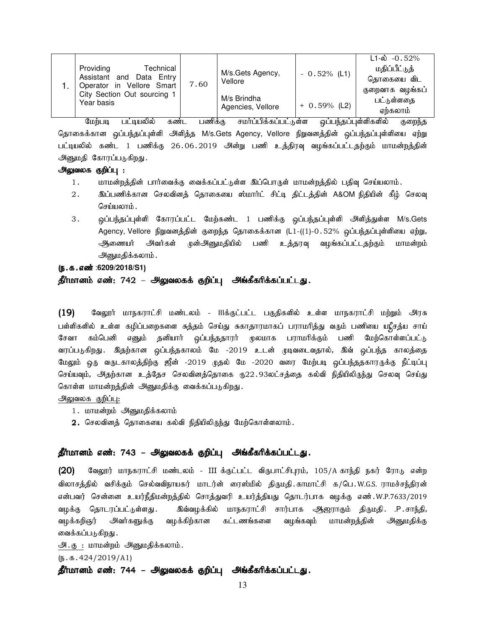| Technical<br>Providing<br>Data Entry<br>Assistant and<br>Operator in Vellore Smart | 7.60 | M/s.Gets Agency,<br>Vellore      | $-0.52\%$ (L1) | $L1 - \dot{\omega}$ -0.52%<br>மதிப்பீட்டுத்<br>தொகையை விட<br>குறைவாக வழங்கப் |
|------------------------------------------------------------------------------------|------|----------------------------------|----------------|------------------------------------------------------------------------------|
| City Section Out sourcing 1<br>Year basis                                          |      | M/s Brindha<br>Agencies, Vellore | $+ 0.59%$ (L2) | பட்டுள்ளதை<br>ஏற்கலாம்                                                       |

மேற்படி பட்டியலில் கண்ட பணிக்கு சமர்ப்பிக்கப்பட்டுள்ள ஒப்பந்தப்புள்ளிகளில் குறைந்த தொகைக்கான ஒப்பந்தப்புள்ளி அளித்த M/s.Gets Agency, Vellore நிறுவனத்தின் ஒப்பந்தப்புள்ளியை ஏற்று பட்டியலில் கண்ட 1 பணிக்கு 26.06.2019 அின்று பணி உத்திரவு வழங்கப்பட்டதற்கும் மாமன்றத்தின் அனுமதி கோரப்படுகிறது.

### அலுவலக குறிப்பு :

- 1. khr மன்றத்தின் பார்வைக்கு வைக்கப்பட்டுள்ள இப்பொருள் மாமன்றத்தில் பதிவு செய்யலாம்.
- 2. ng;gzpf;fhd brytpdj; bjhifia !;khh;l; rpl;o jpl;lj;jpd; A&OM epjpapd; fPH; bryt[ செய்யலாம்.
- 3. ஓப்பந்தப்புள்ளி கோரப்பட்ட மேற்கண்ட 1 பணிக்கு ஒப்பந்தப்புள்ளி அளித்துள்ள M/s.Gets Agency, Vellore நிறுவனத்தின் குறைந்த தொகைக்கான (L1-((1)-0.52% ஒப்பந்தப்புள்ளியை ஏற்று, ஆணையர் அவர்கள் முன்அனுமதியில் பணி உத்தரவு வழங்கப்பட்டதற்கும் மாமன்றம் அனுமதிக்கலாம்.
- (**ந.க.எண்** :6209/2018/S1)

## தீர்மானம் எண்: 742 – அலுவலகக் குறிப்பு அங்கீகரிக்கப்பட்டது.

 $(19)$  Baலூர் மாநகராட்சி மண்டலம் - IIIக்குட்பட்ட பகுதிகளில் உள்ள மாநகராட்சி மற்றும் அரசு பள்ளிகளில் உள்ள கழிப்பறைகளை சுத்தம் செய்து சுகாதாரமாகப் பராமரித்து வரும் பணியை யுரீசத்ய சாய் சேவா கம்பெனி எனும் தனியார் ஒப்பந்ததாரர் முலமாக பராமரிக்கும் பணி மேற்கொள்ளப்பட்டு வரப்படுகிறது. இதற்கான ஒப்பந்தகாலம் மே -2019 உடன் முடிவடைவதால், இவ் ஒப்பந்த காலத்தை மேலும் ஒரு வருடகாலத்திற்கு ஜீன் -2019 முதல் மே -2020 வரை மேற்படி ஒப்பந்ததகாரருக்கு நீட்டிப்பு செய்யவும், அதற்கான உத்தேச செலவினத்தொகை ரு22.93லட்சத்தை கல்வி நிதியிலிருந்து செலவு செய்து கொள்ள மாமன்றத்தின் அனுமதிக்கு வைக்கப்படுகிறது.

அலுவலக குறிப்பு:

- 1. மாமன்றம் அனுமதிக்கலாம்
- $2.$  செலவினத் தொகையை கல்வி நிதியிலிருந்து மேற்கொள்ளலாம்.

### தீர்மானம் எண்: 743 – அலுவலகக் குறிப்பு அங்கீகரிக்கப்பட்டது.

(20) வேலூர் மாநகராட்சி மண்டலம் - III க்குட்பட்ட விருபாட்சிபுரம், 105/A காந்தி நகர் ரோடு என்ற விலாசத்தில் வசிக்கும் செல்வவிநாயகர் மாடர்ன் ரைஸ்மில் திருமதி காமாட்சி க/பெ .W.G.S. ராமச்சந்திரன் என்பவர் சென்னை உயர்நீதிமன்றத்தில் சொத்துவரி உயர்த்தியது தொடர்பாக வழக்கு எண்.W.P.7633/2019 வழக்கு தொடரப்பட்டுள்ளது . இவ்வழக்கில் மாநகராட்சி சார்பாக ஆிஜராகும் திருமதி. .P.சாந்தி, வழக்கறிஞர் அவர்களுக்கு வழக்கிற்கான கட்டணங்களை வழங்கவும் மாமன்றத்தின் அனுமதிக்கு வைக்கப்படுகிறது .

அ. கு : மாமன்றம் அனுமதிக்கலாம்.

 $(\mathbf{5.5.424}/2019/A1)$ 

தீர்மானம் எண்: 744 – அலுவலகக் குறிப்பு அங்கீகரிக்கப்பட்டது.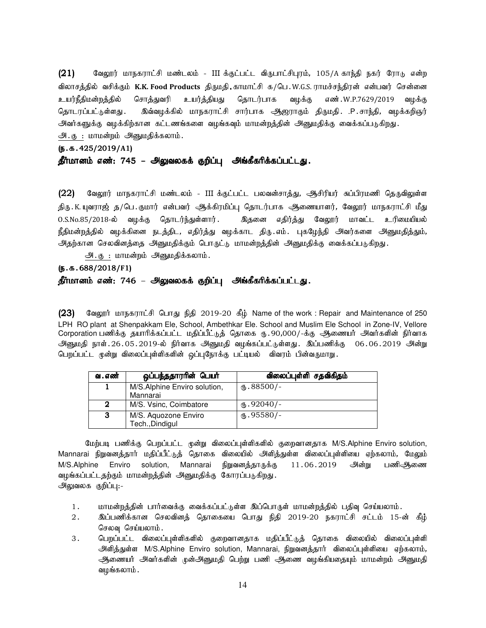$(21)$  Bagyirj மாநகராட்சி மண்டலம் - III க்குட்பட்ட விருபாட்சிபுரம், 105/A காந்தி நகர் ரோடு என்ற விலாசத்தில் வசிக்கும் K.K. Food Products திருமதி காமாட்சி க/பெ.W.G.S. ராமச்சந்திரன் என்பவர் சென்னை உயர்நீதிமன்றத்தில் சொத்துவரி உயர்த்தியது தொடர்பாக வழக்கு எண்.W.P.7629/2019 வழக்கு தொடரப்பட்டுள்ளது . இவ்வழக்கில் மாநகராட்சி சார்பாக ஆஜராகும் திருமதி .P.சாந்தி, வழக்கறிஞர் அவர்களுக்கு வழக்கிற்கான கட்டணங்களை வழங்கவும் மாமன்றக்கின் அனுமகிக்கு வைக்கப்படுகிறது. அ. கு : மாமன்றம் அனுமதிக்கலாம்.

### (e.f.425/2019/ (e.f.425/2019/**A**1)

# தீர்மானம் எண்: 745 – அலுவலகக் குறிப்பு அங்கீகரிக்கப்பட்டது.

(22) வேலூர் மாநகராட்சி மண்டலம் - III க்குட்பட்ட பலவன்சாத்து, ஆசிரியர் சுப்பிரமணி தெருவிலுள்ள திரு . K. யுவராஜ் த/பெ . குமார் என்பவர் அக்கிரமிப்பு தொடர்பாக அணையாளர், வேலூர் மாநகராட்சி மீது 0.S.No.85/2018-ல் வமக்கு கொடர்ந்துள்ளார். இகனை எதிர்க்து வேலார் மாவட்ட உரிமையியல் நீதிமன்றத்தில் வழக்கினை நடத்திட, எதிர்த்து வழக்காட திரு எம். புகழேந்தி அவர்களை அனுமதித்தும், அதற்கான செலவினத்தை அனுமதிக்கும் பொருட்டு மாமன்றத்தின் அனுமதிக்கு வைக்கப்படுகிறது.

அ. கு : மாமன்றம் அனுமதிக்கலாம்.

(e.f.688/2018/ (e.f.688/2018/**F**1)

## தீர்மானம் எண்: 746 – அலுவலகக் குறிப்பு அங்கீகரிக்கப்பட்டது.

( $23$ ) Sаюдит штвали дей Ситал  $65$  2019-20  $65$  Name of the work : Repair and Maintenance of 250 LPH RO plant at Shenpakkam Ele, School, Ambethkar Ele. School and Muslim Ele School in Zone-IV, Vellore Corporation பணிக்கு தயாரிக்கப்பட்ட மதிப்பீட்டுத் தொகை ரு. 90,000/-க்கு ஆணையர் அவர்களின் நிர்வாக அனுமதி நாள்.26.05.2019-ல் நிர்வாக அனுமதி வழங்கப்பட்டுள்ளது. இப்பணிக்கு 06.06.2019 அன்று பெறப்பட்ட முன்று விலைப்புள்ளிகளின் ஒப்புநோக்கு பட்டியல் விவரம் பின்வருமாறு.

| வ . எண் | ஒப்பந்ததாரரின் பெயர்                    | விலைப்புள்ளி சதவிகிதம் |
|---------|-----------------------------------------|------------------------|
|         | M/S.Alphine Enviro solution,            | ரூ. $88500/-$          |
|         | Mannarai                                |                        |
| 2       | M/S. Vsinc, Coimbatore                  | $M_{\rm b}$ .92040/-   |
| 3       | M/S. Aquozone Enviro<br>Tech., Dindigul | $\omega$ .95580/-      |

மேற்படி பணிக்கு பெறப்பட்ட முன்று விலைப்புள்ளிகளில் குறைவானதாக M/S.Alphine Enviro solution, Mannarai நிறுவனத்தார் மதிப்பீட்டுத் தொகை விலையில் அளித்துள்ள விலைப்புள்ளியை ஏற்கலாம், மேலும் M/S.Alphine Enviro solution, Mannarai நிறுவனத்தாருக்கு 11.06.2019 அன்று பணிஆணை வழங்கப்பட்டதற்கும் மாமன்றத்தின் அனுமதிக்கு கோரப்படுகிறது. அலுவலக குறிப்பு:-

- 1. khr மன்றத்தின் பார்வைக்கு வைக்கப்பட்டுள்ள இப்பொருள் மாமன்றத்தில் பதிவு செய்யலாம்.
- 2. இப்பணிக்கான செலவினத் தொகையை பொது நிதி 2019-20 நகராட்சி சட்டம் 15-ன் கீழ் செலவு செய்யலாம்.
- 3 . பெறப்பட்ட விலைப்புள்ளிகளில் குறைவானதாக மதிப்பீட்டுத் தொகை விலையில் விலைப்புள்ளி அளித்துள்ள M/S.Alphine Enviro solution, Mannarai, நிறுவனத்தார் விலைப்புள்ளியை ஏற்கலாம், அணையர் அவர்களின் முன்அனுமதி பெற்று பணி ஆணை வழங்கியதையும் மாமன்றம் அனுமதி வழங்கலாம் .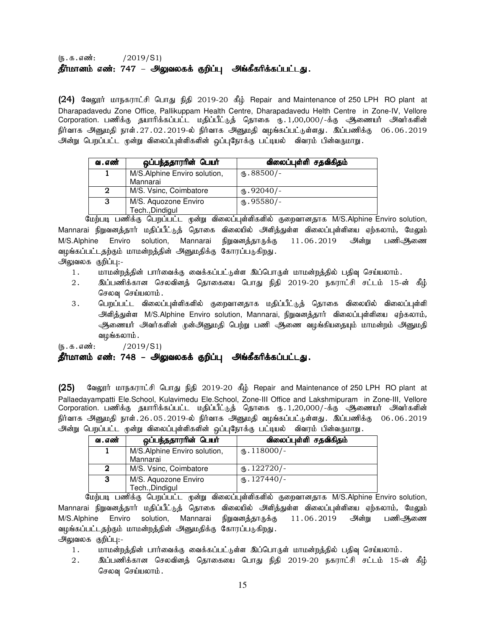# $(5.5.5 \cdot \frac{1}{2019} \cdot S1)$ தீர்மானம் எண்: 747 – அலுவலகக் குறிப்பு அங்கீகரிக்கப்பட்டது.

(24) கேலூர் மாநகராட்சி பொது நிதி 2019-20 கீழ் Repair and Maintenance of 250 LPH RO plant at Dharapadavedu Zone Office, Pallikuppam Health Centre, Dharapadavedu Helth Centre in Zone-IV, Vellore Corporation. பணிக்கு தயாரிக்கப்பட்ட மதிப்பீட்டுத் தொகை ரு. 1,00,000/-க்கு ஆணையர் அவர்களின் நிர்வாக அனுமதி நாள்.27.02.2019-ல் நிர்வாக அனுமதி வழங்கப்பட்டுள்ளது. இப்பணிக்கு 06.06.2019 அன்று பெறப்பட்ட முன்று விலைப்புள்ளிகளின் ஒப்புநோக்கு பட்டியல் விவரம் பின்வருமாறு.

| ஒப்பந்ததாரரின் பெயர்         | விலைப்புள்ளி சதவிகிதம் |
|------------------------------|------------------------|
| M/S.Alphine Enviro solution, | ரு. $88500/-$          |
| Mannarai                     |                        |
| M/S. Vsinc, Coimbatore       | $(B.92040/-$           |
| M/S. Aquozone Enviro         | $M_{\rm b}$ .95580/-   |
|                              | Tech., Dindigul        |

மேற்படி பணிக்கு பெறப்பட்ட முன்று விலைப்புள்ளிகளில் குறைவானதாக M/S.Alphine Enviro solution, Mannarai நிறுவனத்தார் மதிப்பீட்டுத் தொகை விலையில் அளித்துள்ள விலைப்புள்ளியை ஏற்கலாம், மேலும் M/S.Alphine Enviro solution, Mannarai நிறுவனத்தாருக்கு 11.06.2019 அன்று பணிஆணை வழங்கப்பட்டதற்கும் மாமன்றத்தின் அனுமதிக்கு கோரப்படுகிறது.

- அலுவலக குறிப்பு:-
	- 1. khkd;wj;jpd; ghh;itf;F itf;fg;gl;Ls;s ng;bghUs; khkd;wj;jpy; gjpt[ bra;ayhk;.
	- 2. ng;gzpf;fhd brytpdj; bjhifia bghJ epjp 2019-20 efuhl;rp rl;lk; 15-d; fPH; செலவு செய்யலாம்.
	- 3 . பெறப்பட்ட விலைப்புள்ளிகளில் குறைவானதாக மதிப்பீட்டுத் தொகை விலையில் விலைப்புள்ளி அளித்துள்ள M/S.Alphine Enviro solution, Mannarai, நிறுவனத்தார் விலைப்புள்ளியை ஏற்கலாம், அணையர் அவர்களின் முன்அனுமதி பெற்று பணி ஆணை வழங்கியதையும் மாமன்றம் அனுமதி வமங்கலாம்.

 $(5.5.5 \cdot \text{m} \cdot \text{s})$  / 2019/S1)

# தீர்மானம் எண்: 748 – அலுவலகக் குறிப்பு அங்கீகரிக்கப்பட்டது.

(25) வேலூர் மாநகராட்சி பொது நிதி 2019-20 கீழ் Repair and Maintenance of 250 LPH RO plant at Pallaedayampatti Ele.School, Kulavimedu Ele.School, Zone-III Office and Lakshmipuram in Zone-III, Vellore Corporation. பணிக்கு தயாரிக்கப்பட்ட மதிப்பீட்டுத் தொகை ரு.1,20,000/-க்கு ஆணையா் அவா்களின் .<br>நிர்வாக அனுமதி நாள்.26.05.2019-ல் நிர்வாக அனுமதி வழங்கப்பட்டுள்ளது. இப்பணிக்கு 06.06.2019 அன்று பெறப்பட்ட முன்று விலைப்புள்ளிகளின் ஒப்புநோக்கு பட்டியல் விவரம் பின்வருமாறு.

| வ . எண் | ஒப்பந்ததாரரின் பெயர்                     | விலைப்புள்ளி சதவிகிதம் |
|---------|------------------------------------------|------------------------|
|         | M/S.Alphine Enviro solution,<br>Mannarai | (15.118000/-           |
| 2       | M/S. Vsinc, Coimbatore                   | $(B.122720)$ -         |
| 3       | M/S. Aquozone Enviro<br>Tech., Dindigul  | $(D.127440)$ -         |

மேற்படி பணிக்கு பெறப்பட்ட முன்று விலைப்புள்ளிகளில் குறைவானதாக M/S.Alphine Enviro solution, Mannarai நிறுவனத்தார் மதிப்பீட்டுத் தொகை விலையில் அளித்துள்ள விலைப்புள்ளியை ஏற்கலாம், மேலும் M/S.Alphine Enviro solution, Mannarai நிறுவனத்தாருக்கு 11.06.2019 அின்று பணிஆணை வழங்கப்பட்டதற்கும் மாமன்றத்தின் அனுமதிக்கு கோரப்படுகிறது.

அலுவலக குறிப்பு:-

- 1. khkd;wj;jpd; ghh;itf;F itf;fg;gl;Ls;s ng;bghUs; khkd;wj;jpy; gjpt[ bra;ayhk;.
- 2. ng;gzpf;fhd brytpdj; bjhifia bghJ epjp 2019-20 efuhl;rp rl;lk; 15-d; fPH; செலவு செய்யலாம்.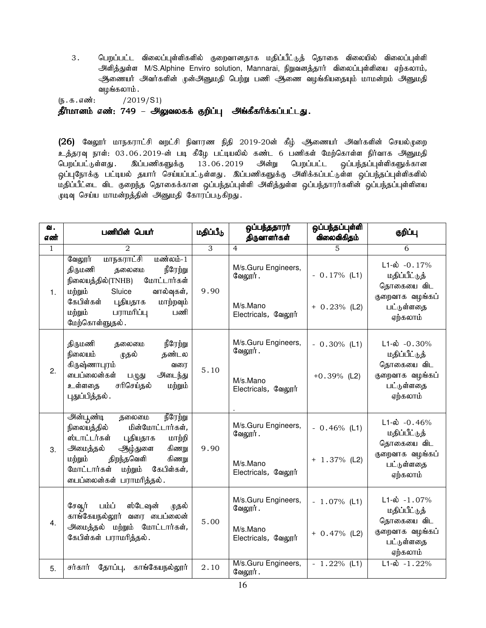3. பெறப்பட்ட விலைப்புள்ளிகளில் குறைவானதாக மதிப்பீட்டுத் தொகை விலையில் விலைப்புள்ளி அளித்துள்ள M/S.Alphine Enviro solution, Mannarai, நிறுவனத்தார் விலைப்புள்ளியை ஏற்கலாம், ஆணையர் அவர்களின் முன்அனுமதி பெற்று பணி ஆணை வழங்கியதையும் மாமன்றம் அனுமதி வழங்கலாம் .

(e.f.vz;: /2019/S1)

தீர்மானம் எண்: 749 – அலுவலகக் குறிப்பு அங்கீகரிக்கப்பட்டது.

(26) வேலூர் மாநகராட்சி வறட்சி நிவாரண நிதி 2019-20ன் கீழ் ஆணையர் அவர்களின் செயல்முறை உத்தரவு நாள்: 03.06.2019-ன் படி கீழே பட்டியலில் கண்ட 6 பணிகள் மேற்கொள்ள நிர்வாக அனுமதி பெறப்பட்டுள்ளது. இப்பணிகளுக்கு 13.06.2019 அன்று பெறப்பட்ட ஒப்பந்தப்புள்ளிகளுக்கான ஒப்புநோக்கு பட்டியல் தயார் செய்யப்பட்டுள்ளது. இப்பணிகளுக்கு அளிக்கப்பட்டுள்ள ஒப்பந்தப்புள்ளிகளில் .<br>மதிப்பீட்டை விட குறைந்த தொகைக்கான ஒப்பந்தப்புள்ளி அளித்துள்ள ஒப்பந்தாரர்களின் ஒப்பந்தப்புள்ளியை முடிவு செய்ய மாமன்றத்தின் அனுமதி கோரப்படுகிறது.

| வ.<br>எண் | பணியின் பெயர்                                                                                                                                                                                                                                 | மதிப்பீடு | ஒப்பந்ததாரா்<br>திருவாளர்கள்                                       | ஒப்பந்தப்புள்ளி<br>விலைவிகிதம்    | குறிப்பு                                                                                               |
|-----------|-----------------------------------------------------------------------------------------------------------------------------------------------------------------------------------------------------------------------------------------------|-----------|--------------------------------------------------------------------|-----------------------------------|--------------------------------------------------------------------------------------------------------|
| 1         | 2                                                                                                                                                                                                                                             | 3         | $\overline{4}$                                                     | 5                                 | 6                                                                                                      |
| 1.        | மாநகராட்சி<br>வேலூர்<br>மண்லம்-1<br>நீரேற்று<br>திருமணி<br>தலைமை<br>மோட்டார்கள்<br>நிலையத்தில்(TNHB)<br>மற்றும்<br>Sluice<br>வால்வுகள்,<br>கேபிள்கள்<br>புதியதாக<br>மாற்றவும்<br>பராமரிப்பு<br>மற்றும்<br>பணி<br>மேற்கொள்ளுதல்.               | 9.90      | M/s.Guru Engineers,<br>வேலூர்.<br>M/s.Mano<br>Electricals, வேலூர்  | $-0.17%$ (L1)<br>$+ 0.23%$ (L2)   | $L1-\dot{\omega}$ -0.17%<br>மதிப்பீட்டுத்<br>தொகையை விட<br>குறைவாக வழங்கப்<br>பட்டுள்ளதை<br>ஏற்கலாம்   |
| 2.        | நீரேற்று<br>திருமணி<br>தலைமை<br>நிலையம்<br>தண்டல<br>முதல்<br>கிருஷ்ணாபுரம்<br>வரை<br>பைப்லைன்கள்<br>அடைந்து<br>$L(\mathbb{Q})$ து<br>சரிசெய்தல்<br>உள்ளதை<br>மற்றும்<br>புதுப்பித்தல் .                                                       | 5.10      | M/s.Guru Engineers,<br>வேலூர் .<br>M/s.Mano<br>Electricals, வேலூர் | $-0.30\%$ (L1)<br>$+0.39\%$ (L2)  | $L1-\dot{\omega}$ -0.30%<br>மதிப்பீட்டுத்<br>தொகையை விட<br>குறைவாக வழங்கப்<br>பட்டுள்ளதை<br>ஏற்கலாம்   |
| 3.        | அன்பூண்டி<br>நீரேற்று<br>தலைமை<br>மின்மோட்டார்கள்,<br>நிலையத்தில்<br>ஸ்டாட்டர்கள்<br>புதியதாக<br>மாற்றி<br>கிணறு<br>அமைத்தல்<br>ஆழ்துளை<br>திறந்தவெளி<br>கிணறு<br>மற்றும்<br>கேபிள்கள்,<br>மோட்டார்கள்<br>மற்றும்<br>டைப்லைன்கள் பராமரித்தல். | 9.90      | M/s.Guru Engineers,<br>வேலூர்.<br>M/s.Mano<br>Electricals, வேலூர்  | $-0.46\%$ (L1)<br>$+ 1.37\%$ (L2) | $L1-\omega$ -0.46%<br>மதிப்பீட்டுத்<br>தொகையை விட<br>குறைவாக வழங்கப்<br>பட்டுள்ளதை<br>ஏற்கலாம்         |
| 4.        | பம்ப்<br>ஸ்டேஷன்<br>சேவூர்<br>முதல்<br>காங்கேயநல்லூர் வரை பைப்லைன்<br>அமைத்தல் மற்றும் மோட்டார்கள்,<br>கேபிள்கள் பராமரித்தல்.                                                                                                                 | 5.00      | M/s.Guru Engineers,<br>வேலூர் .<br>M/s.Mano<br>Electricals, வேலூர் | $-1.07\%$ (L1)<br>$+ 0.47%$ (L2)  | $L1-\dot{\omega} - 1.07\%$<br>மதிப்பீட்டுத்<br>தொகையை விட<br>குறைவாக வழங்கப்<br>பட்டுள்ளதை<br>ஏற்கலாம் |
| 5.        | காங்கேயநல்லூர்<br>சர்கார்<br>தோப்பு,                                                                                                                                                                                                          | 2.10      | M/s.Guru Engineers,<br>வேலூர்.                                     | $-1.22%$ (L1)                     | $L1-\hat{\omega} - 1.22\%$                                                                             |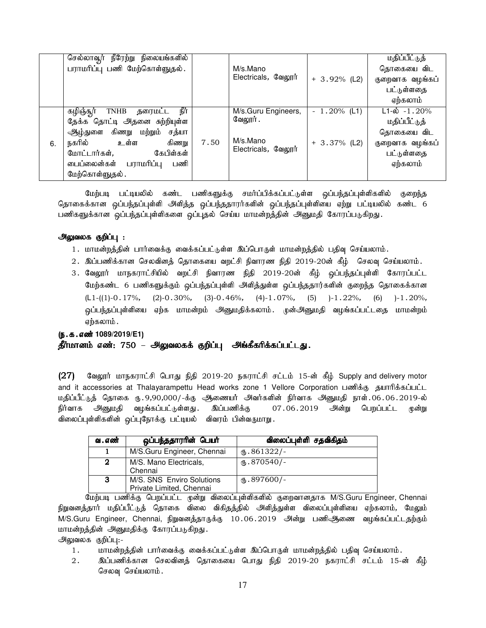|    | நீரேற்று நிலையங்களில்<br>செல்லாவூர்         |      |                     |                 | <u>மதிப்பீட்டுத்</u>       |
|----|---------------------------------------------|------|---------------------|-----------------|----------------------------|
|    | பராமரிப்பு பணி மேற்கொள்ளுதல்.               |      | M/s.Mano            |                 | தொகையை விட                 |
|    |                                             |      | Electricals, வேலூர் | $+3.92\%$ (L2)  | குறைவாக வழங்கப்            |
|    |                                             |      |                     |                 | பட்டுள்ளதை                 |
|    |                                             |      |                     |                 | ஏற்கலாம்                   |
|    | நீர்<br>கழிஞ்சூர்<br><b>TNHB</b><br>தரைமட்ட |      | M/s.Guru Engineers, | $-1.20\%$ (L1)  | $L1-\dot{\omega} - 1.20\%$ |
|    | தேக்க தொட்டி அதனை சுற்றியுள்ள               |      | வேலூர்.             |                 | மதிப்பீட்டுத்              |
|    | ஆழ்துளை கிணறு மற்றும்<br>சத்யா              |      |                     |                 | தொகையை விட                 |
| 6. | உள்ள<br>நகரில்<br>கிணறு                     | 7.50 | M/s.Mano            | $+ 3.37\%$ (L2) | குறைவாக வழங்கப்            |
|    | கேபிள்கள்<br>மோட்டார்கள்,                   |      | Electricals, வேலூர் |                 | பட்டுள்ளதை                 |
|    | டைப்லைன்கள் பராமரிப்பு<br>பணி               |      |                     |                 | ஏற்கலாம்                   |
|    | மேற்கொள்ளுதல்.                              |      |                     |                 |                            |

மேற்படி பட்டியலில் கண்ட பணிகளுக்கு சமர்ப்பிக்கப்பட்டுள்ள ஒப்பந்தப்புள்ளிகளில் குறைந்த தொகைக்கான ஒப்பந்தப்புள்ளி அளித்த ஒப்பந்ததாரர்களின் ஒப்பந்தப்புள்ளியை ஏற்று பட்டியலில் கண்ட 6 பணிகளுக்கான ஒப்பந்தப்புள்ளிகளை ஒப்புதல் செய்ய மாமன்றத்தின் அனுமதி கோரப்படுகிறது.

# அலுவலக குறிப்பு :

- 1. மாமன்றத்தின் பார்வைக்கு வைக்கப்பட்டுள்ள இப்பொருள் மாமன்றத்தில் பதிவு செய்யலாம்.
- 2. இப்பணிக்கான செலவினத் தொகையை வறட்சி நிவாரண நிதி 2019-20ன் கீழ் செலவு செய்யலாம்.
- 3. வேலூர் மாநகராட்சியில் வறட்சி நிவாரண நிதி 2019-20ன் கீழ் ஒப்பந்தப்புள்ளி கோரப்பட்ட மேற்கண்ட 6 பணிகளுக்கும் ஒப்பந்தப்புள்ளி அளித்துள்ள ஒப்பந்ததார்களின் குறைந்த தொகைக்கான  $(L1-(1)-0.17\%,$  (2)-0.30%, (3)-0.46%, (4)-1.07%, (5) )-1.22%, (6) )-1.20%, ஒப்பந்தப்புள்ளியை ஏற்க மாமன்றம் அனுமதிக்கலாம். முன்அனுமதி வழங்கப்பட்டதை மாமன்றம் ஏற்கலாம்.

# (ந.க.எண் 1089/2019/E1) தீர்மானம் எண்: 750 – அலுவலகக் குறிப்பு அங்கீகரிக்கப்பட்டது.

 $(27)$  மேலூர் மாநகராட்சி பொது நிதி 2019-20 நகராட்சி சட்டம் 15-ன் கீழ் Supply and delivery motor and it accessories at Thalayarampettu Head works zone 1 Vellore Corporation பணிக்கு தயாரிக்கப்பட்ட மதிப்பீட்டுத் தொகை ரு. 9,90,000/-க்கு ஆணையர் அவர்களின் நிர்வாக அனுமதி நாள். 06.06.2019-ல் நிர்வாக அனுமதி வழங்கப்பட்டுள்ளது. இப்பணிக்கு 07.06.2019 அன்று பெறப்பட்ட முன்று விலைப்புள்ளிகளின் ஒப்புநோக்கு பட்டியல் விவரம் பின்வருமாறு.

| வ . எண் | ஒப்பந்ததாரரின் பெயர்                                  | விலைப்புள்ளி சதவிகிதம் |
|---------|-------------------------------------------------------|------------------------|
|         | M/S.Guru Engineer, Chennai                            | $\omega$ .861322/-     |
| 2       | M/S. Mano Electricals,<br>Chennai                     | $\text{I}$ .870540/-   |
| 3       | M/S. SNS Enviro Solutions<br>Private Limited, Chennai | $M_{\rm b}$ .897600/-  |

மேற்படி பணிக்கு பெறப்பட்ட முன்று விலைப்புள்ளிகளில் குறைவானதாக M/S.Guru Engineer, Chennai நிறுவனத்தார் மதிப்பீட்டுத் தொகை விலை விகிதத்தில் அளித்துள்ள விலைப்புள்ளியை ஏற்கலாம், மேலும் M/S.Guru Engineer, Chennai, நிறுவனத்தாருக்கு 10.06.2019 அன்று பணிஅிணை வழங்கப்பட்டதற்கும் மாமன்றத்தின் அனுமதிக்கு கோரப்படுகிறது.

அலுவலக குறிப்பு:-

- 1. மாமன்றத்தின் பார்வைக்கு வைக்கப்பட்டுள்ள இப்பொருள் மாமன்றத்தில் பதிவு செய்யலாம்.
- 2. இப்பணிக்கான செலவினத் தொகையை பொது நிதி 2019-20 நகராட்சி சட்டம் 15-ன் கீழ் செலவு செய்யலாம்.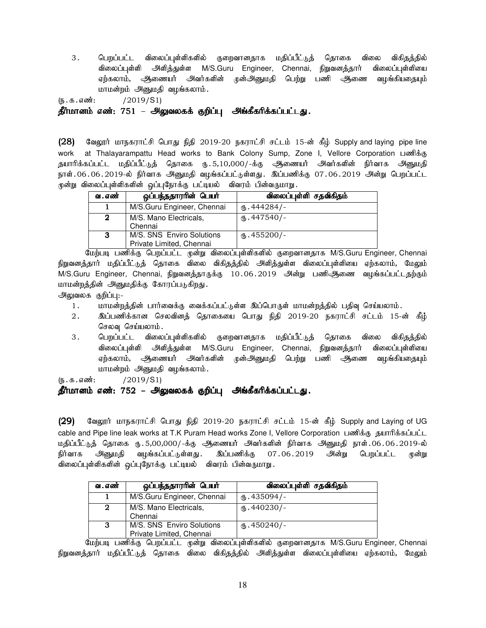3. மொப்பட்ட விலைப்புள்ளிகளில் குறைவானதாக மதிப்பீட்டுக் தொகை விலை விகிதக்தில் விலைப்புள்ளி அளித்துள்ள M/S.Guru Engineer, Chennai, நிறுவனத்தார் விலைப்புள்ளியை ஏற்கலாம், ஆணையர் அவர்களின் முன்அனுமதி பெற்று பணி ஆணை வழங்கியதையும் மாமன்றம் அனுமதி வழங்கலாம்.

 $(5.5.5 \cdot \frac{100}{12019} \cdot \frac{2019}{51})$ 

தீர்மானம் எண்: 751 – அலுவலகக் குறிப்பு அங்கீகரிக்கப்பட்டது.

(28) கேலூர் மாநகராட்சி பொது நிதி 2019-20 நகராட்சி சட்டம் 15-ன் கீழ் Supply and laying pipe line work at Thalayarampattu Head works to Bank Colony Sump, Zone I, Vellore Corporation பணிக்கு தயாரிக்கப்பட்ட மதிப்பீட்டுத் தொகை ரு. 5,10,000/-க்கு ஆணையர் அவர்களின் நிர்வாக அனுமதி நாள்.06.06.2019-ல் நிர்வாக அனுமதி வழங்கப்பட்டுள்ளது. இப்பணிக்கு 07.06.2019 அன்று பெறப்பட்ட முன்று விலைப்புள்ளிகளின் ஒப்புநோக்கு பட்டியல் விவரம் பின்வருமாறு.

| வ . எண் | ஒப்பந்ததாரரின் பெயர்                                  | விலைப்புள்ளி சதவிகிதம் |
|---------|-------------------------------------------------------|------------------------|
|         | M/S.Guru Engineer, Chennai                            | $M_{\rm b}$ .444284/-  |
| 2       | M/S. Mano Electricals,<br>Chennai                     | $_{6}$ .447540/-       |
| 3       | M/S. SNS Enviro Solutions<br>Private Limited, Chennai | $M_{\rm b}$ .455200/-  |

மேற்படி பணிக்கு பெறப்பட்ட முன்று விலைப்புள்ளிகளில் குறைவானதாக M/S.Guru Engineer, Chennai நிறுவனக்கார் மகிப்பீட்டுக் தொகை விலை விகிகக்கில் அளிக்குள்ள விலைப்புள்ளியை ஏற்கலாம், மேலும் M/S.Guru Engineer, Chennai, நிறுவனத்தாருக்கு 10.06.2019 அன்று பணிஅிணை வழங்கப்பட்டதற்கும் மாமன்றத்தின் அனுமதிக்கு கோரப்படுகிறது.

அலுவலக குறிப்பு:-

- 1. மாமன்றத்தின் பார்வைக்கு வைக்கப்பட்டுள்ள இப்பொருள் மாமன்றத்தில் பதிவு செய்யலாம்.
- 2. ng;gzpf;fhd brytpdj; bjhifia bghJ epjp 2019-20 efuhl;rp rl;lk; 15-d; fPH; செலவு செய்யலாம்.
- 3. பெறப்பட்ட விலைப்புள்ளிகளில் குறைவானதாக மதிப்பீட்டுத் தொகை விலை விகிதத்தில் விலைப்புள்ளி அளித்துள்ள M/S.Guru Engineer, Chennai, நிறுவனத்தார் விலைப்புள்ளியை ஏற்கலாம், அிணையர் அவர்களின் முன்அனுமதி பெற்று பணி அணை வழங்கியதையும் மாமன்றம் அனுமதி வழங்கலாம்.

(e.f.vz;: /2019/S1)

# தீர்மானம் எண்: 752 – அலுவலகக் குறிப்பு அங்கீகரிக்கப்பட்டது.

 $(29)$  B்லலூர் மாநகராட்சி பொது நிதி 2019-20 நகராட்சி சட்டம் 15-ன் கீழ் Supply and Laying of UG cable and Pipe line leak works at T.K Puram Head works Zone I, Vellore Corporation பணிக்கு கயாரிக்கப்பட்ட மதிப்பீட்டுத் தொகை ரு. 5,00,000/-க்கு ஆணையர் அவர்களின் நிர்வாக அனுமதி நாள். 06. 06. 2019-ல் நிர்வாக அனுமதி வழங்கப்பட்டுள்ளது. இப்பணிக்கு 07.06.2019 அன்று பெறப்பட்ட முன்று விலைப்புள்ளிகளின் ஒப்புநோக்கு பட்டியல் விவரம் பின்வருமாறு.

| வ . எண் | ஒப்பந்ததாரரின் பெயர்                                  | விலைப்புள்ளி சதவிகிதம் |
|---------|-------------------------------------------------------|------------------------|
|         | M/S.Guru Engineer, Chennai                            | (ճ. 435094/-           |
| 2       | M/S. Mano Electricals,<br>Chennai                     | $M_{\rm b}$ .440230/-  |
| 3       | M/S. SNS Enviro Solutions<br>Private Limited, Chennai | $\text{I}$ .450240/-   |

மேற்படி பணிக்கு பெறப்பட்ட முன்று விலைப்புள்ளிகளில் குறைவானதாக M/S.Guru Engineer, Chennai நிறுவனத்தார் மதிப்பீட்டுத் தொகை விலை விகிதத்தில் அளித்துள்ள விலைப்புள்ளியை ஏற்கலாம், மேலும்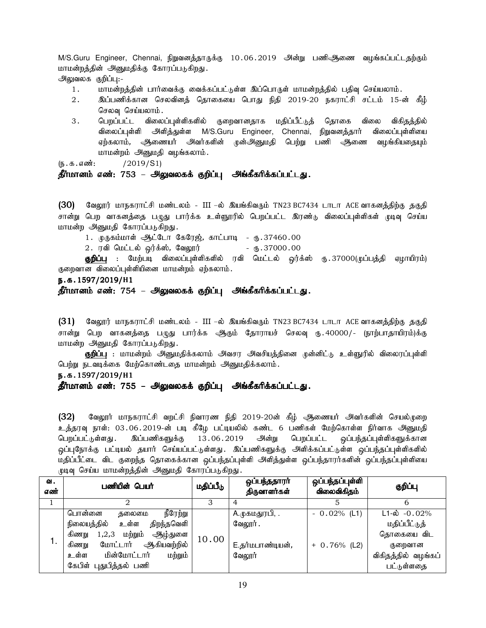M/S.Guru Engineer, Chennai, நிறுவனத்தாருக்கு 10.06.2019 அன்று பணிஆணை வழங்கப்பட்டதற்கும் மாமன்றத்தின் அனுமதிக்கு கோரப்படுகிறது.

அலுவலக குறிப்பு:-

- 1. khkd;wj;jpd; ghh;itf;F itf;fg;gl;Ls;s ng;bghUs; khkd;wj;jpy; gjpt[ bra;ayhk;.
- 2. ng;gzpf;fhd brytpdj; bjhifia bghJ epjp 2019-20 efuhl;rp rl;lk; 15-d; fPH; செலவு செய்யலாம்.
- 3. பெறப்பட்ட விலைப்புள்ளிகளில் குறைவானதாக மதிப்பீட்டுத் தொகை விலை விகிதத்தில் விலைப்புள்ளி அளித்துள்ள M/S.Guru Engineer, Chennai, நிறுவனத்தார் விலைப்புள்ளியை ஏற்கலாம், ஆணையர் அவர்களின் முன்அனுமதி பெற்று பணி ஆணை வழங்கியதையும் மாமன்றம் அனுமதி வழங்கலாம்.

 $(I_5 \cdot \text{d} \cdot \text{d} \cdot \text{d} \cdot \text{d} \cdot \text{d} \cdot \text{d} \cdot \text{d} \cdot \text{d} \cdot \text{d} \cdot \text{d} \cdot \text{d} \cdot \text{d} \cdot \text{d} \cdot \text{d} \cdot \text{d} \cdot \text{d} \cdot \text{d} \cdot \text{d} \cdot \text{d} \cdot \text{d} \cdot \text{d} \cdot \text{d} \cdot \text{d} \cdot \text{d} \cdot \text{d} \cdot \text{d} \cdot \text{d} \cdot \text{d} \cdot \text{d} \cdot \text{d} \cdot \text{d}$ 

# தீர்மானம் எண்: 753 – அலுவலகக் குறிப்பு அங்கீகரிக்கப்பட்டது.

 $(30)$  வேலூர் மாநகராட்சி மண்டலம் - III –ல் இயங்கிவரும் TN23 BC7434 டாடா ACE வாகனத்திற்கு தகுதி சான்று பெற வாகனத்தை பழுது பார்க்க உள்ளூரில் பெறப்பட்ட இரண்டு விலைப்புள்ளிகள் முடிவு செய்ய மாமன்ற அனுமதி கோரப்படுகிறது.

1. முருகம்மாள் ஆட்டோ கேரேஜ், காட்பாடி - ரு.37460.00

 $2.$  ரவி மெட்டல் ஒர்க்ஸ், வேலூர் $\qquad \qquad$  - ரு.37000.00

**குறிப்பு** : மேற்படி விலைப்புள்ளிகளில் ரவி மெட்டல் ஒர்க்ஸ் ரு.37000(முப்பத்தி ஏழாயிரம்) குறைவான விலைப்புள்ளியினை மாமன்றம் ஏற்கலாம்.

e.f.1597/2019/**H**1

### தீர்மானம் எண்: 754 – அலுவலகக் குறிப்பு அங்கீகரிக்கப்பட்டது.

 $(31)$  வேலூர் மாநகராட்சி மண்டலம் - III –ல் இயங்கிவரும் TN23 BC7434 டாடா ACE வாகனத்திற்கு தகுதி சான்று பெற வாகனத்தை பமுது பார்க்க ஆகும் தோராயச் செலவு ரூ..40000/- (நாற்பாதாயிரம்)க்கு மாமன்ற அனுமதி கோரப்படுகிறது.

**குறிப்பு** : மாமன்றம் அனுமதிக்கலாம் அவசர அவசியத்தினை முன்னிட்டு உள்ளுரில் விலைரப்புள்ளி பெற்று நடவடிக்கை மேற்கொண்டதை மாமன்றம் அனுமதிக்கலாம்.

e.f.1597/2019/**H**1

<u>தீர்மானம் எண்: 755 – அலுவலகக் குறிப்பு</u> அங்கீகரிக்கப்பட்டது.

 $(32)$  வேலூர் மாநகராட்சி வறட்சி நிவாரண நிதி 2019-20ன் கீழ் ஆணையர் அவர்களின் செயல்முறை உத்தரவு நாள்: 03.06.2019-ன் படி கீழே பட்டியலில் கண்ட 6 பணிகள் மேற்கொள்ள நிர்வாக அனுமதி பெறப்பட்டுள்ளது. இப்பணிகளுக்கு 13.06.2019 அன்று பெறப்பட்ட ஒப்பந்தப்புள்ளிகளுக்கான <u>ஒ</u>ப்புநோக்கு பட்டியல் தயார் செய்யப்பட்டுள்ளது. இப்பணிகளுக்கு அளிக்கப்பட்டுள்ள ஒப்பந்தப்புள்ளிகளில் மதிப்பீட்டை விட குறைந்த தொகைக்கான ஒப்பந்தப்புள்ளி அளித்துள்ள ஒப்பந்தாரர்களின் ஒப்பந்தப்புள்ளியை முடிவு செய்ய மாமன்றத்தின் அனுமதி கோரப்படுகிறது.

| வ.<br>எண் | பணியின் பெயர்                        | மதிப்பீடு | ஒப்பந்ததாரா்<br>திருவாளர்கள் | ஒப்பந்தப்புள்ளி<br>விலைவிகிதம் | குறிப்பு                 |
|-----------|--------------------------------------|-----------|------------------------------|--------------------------------|--------------------------|
|           |                                      | 3         |                              |                                |                          |
|           | நீரேற்று<br>பொன்னை<br>கலைமை          |           | A.முகமதுரபி, .               | $-0.02%$ (L1)                  | $L1-\hat{\omega}$ -0.02% |
|           | நிலையத்தில்<br>உள்ள<br>திறந்தவெளி    | 10.00     | வேலூர்.                      |                                | மதிப்பீட்டுத்            |
|           | மற்றும்<br>ஆழ்துளை<br>கிணறு<br>1,2,3 |           |                              |                                | தொகையை விட               |
|           | மோட்டார் ஆகியவற்றில்<br>கிணறு        |           | E.தர்மபாண்டியன்,             | $+ 0.76%$ (L2)                 | குறைவான                  |
|           | உள்ள<br>மின்மோட்டார்<br>மற்றும்      |           | வேலூர்                       |                                | விகிதத்தில் வழங்கப்      |
|           | கேபிள் புதுபித்தல் பணி               |           |                              |                                | பட்டுள்ளதை               |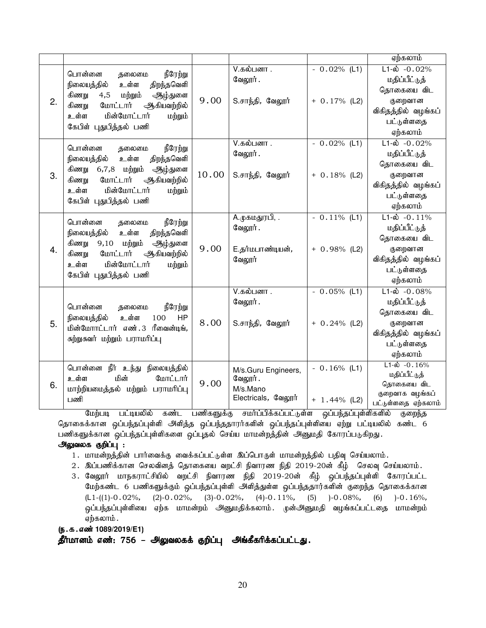|    |                                                                         |       |                                 |                 | ஏற்கலாம்                                  |
|----|-------------------------------------------------------------------------|-------|---------------------------------|-----------------|-------------------------------------------|
|    | நீரேற்று<br>பொன்னை<br>தலைமை                                             |       | V.கல்பனா .<br>வேலூர்.           | $-0.02%$ (L1)   | $L1-\dot{\omega}$ -0.02%<br>மதிப்பீட்டுத் |
|    | நிலையத்தில்<br>உள்ள<br>திறந்தவெளி                                       |       |                                 |                 | தொகையை விட                                |
| 2. | கிணறு<br>மற்றும்<br>ஆழ்துளை<br>4,5<br>மோட்டார்                          | 9.00  | S.சாந்தி, வேலூர்                | $+ 0.17\%$ (L2) | குறைவான                                   |
|    | ஆகியவற்றில்<br>கிணறு<br>மின்மோட்டார்<br>உள்ள<br>மற்றும்                 |       |                                 |                 | விகிதத்தில் வழங்கப்                       |
|    | கேபிள் புதுபித்தல் பணி                                                  |       |                                 |                 | பட்டுள்ளதை                                |
|    |                                                                         |       |                                 |                 | ஏற்கலாம்                                  |
|    | பொன்னை<br>நீரேற்று<br>தலைமை                                             |       | V.கல்பனா .                      | $-0.02\%$ (L1)  | $L1 - \dot{\omega} - 0.02\%$              |
|    | திறந்தவெளி<br>நிலையத்தில்<br>உள்ள                                       |       | வேலூர்.                         |                 | மதிப்பீட்டுத்                             |
|    | கிணறு<br>6,7,8 மற்றும்<br>ஆழ்துளை                                       |       |                                 |                 | தொகையை விட                                |
| 3. | மோட்டார்<br>ஆகியவற்றில்<br>கிணறு                                        | 10.00 | S.சாந்தி, வேலூர்                | $+ 0.18%$ (L2)  | குறைவான                                   |
|    | மின்மோட்டார்<br>உள்ள<br>மற்றும்                                         |       |                                 |                 | விகிதத்தில் வழங்கப்<br>பட்டுள்ளதை         |
|    | கேபிள் புதுபித்தல் பணி                                                  |       |                                 |                 | ஏற்கலாம்                                  |
|    |                                                                         |       | A.முகமதுரபி, .                  | $-0.11\%$ (L1)  | $L1-\dot{\omega}$ -0.11%                  |
|    | பொன்னை<br>நீரேற்று<br>தலைமை                                             |       | வேலூர்.                         |                 | மதிப்பீட்டுத்                             |
|    | நிலையத்தில்<br>உள்ள<br>திறந்தவெளி                                       |       |                                 |                 | தொகையை விட                                |
| 4. | மற்றும்<br>கிணறு<br>9,10<br>ஆழ்துளை<br>மோட்டார்<br>ஆகியவற்றில்<br>கிணறு | 9.00  | E.தர்மபாண்டியன்,                | $+ 0.98\%$ (L2) | குறைவான                                   |
|    | மின்மோட்டார்<br>உள்ள<br>மற்றும்                                         |       | வேலூர்                          |                 | விகிதத்தில் வழங்கப்                       |
|    | கேபிள் புதுபித்தல் பணி                                                  |       |                                 |                 | பட்டுள்ளதை                                |
|    |                                                                         |       |                                 |                 | ஏற்கலாம்                                  |
|    |                                                                         |       | V.கல்பனா .                      | $-0.05\%$ (L1)  | $L1 - \dot{\omega} - 0.08\%$              |
|    | பொன்னை<br>நீரேற்று<br>தலைமை                                             |       | வேலூர்.                         |                 | மதிப்பீட்டுத்                             |
|    | நிலையத்தில்<br>உள்ள<br>100<br><b>HP</b>                                 |       |                                 |                 | தொகையை விட                                |
| 5. | மின்மோாட்டார் எண்.3 ரீவைன்டிங்,                                         | 8.00  | S.சாந்தி, வேலூர்                | $+ 0.24\%$ (L2) | குறைவான                                   |
|    | சுற்றுசுவர் மற்றும் பராமரிப்பு                                          |       |                                 |                 | விகிதத்தில் வழங்கப்                       |
|    |                                                                         |       |                                 |                 | பட்டுள்ளதை<br>ஏற்கலாம்                    |
|    |                                                                         |       |                                 |                 | $L1 - \dot{\omega} - 0.16\%$              |
|    | நீர் உந்து நிலையத்தில்<br>பொன்னை                                        |       | M/s.Guru Engineers,             | $-0.16\%$ (L1)  | மதிப்பீட்டுத்                             |
| 6. | மின்<br>மோட்டார்<br>உள்ள                                                | 9.00  | வேலூர்.                         |                 | தொகையை விட                                |
|    | மாற்றியமைத்தல் மற்றும் பராமரிப்பு<br>பணி                                |       | M/s.Mano<br>Electricals, வேலூர் |                 | குறைவாக வழங்கப்                           |
|    |                                                                         |       |                                 | $+ 1.44\%$ (L2) | பட்டுள்ளதை ஏற்கலாம்                       |

மேற்படி பட்டியலில் கண்ட பணிகளுக்கு சமர்ப்பிக்கப்பட்டுள்ள ஒப்பந்தப்புள்ளிகளில் குறைந்த தொகைக்கான ஒப்பந்தப்புள்ளி அளித்த ஒப்பந்ததாரர்களின் ஒப்பந்தப்புள்ளியை ஏற்று பட்டியலில் கண்ட 6 பணிகளுக்கான ஒப்பந்தப்புள்ளிகளை ஒப்புதல் செய்ய மாமன்றத்தின் அனுமதி கோரப்படுகிறது.

# அலுவலக குறிப்பு :

- 1. மாமன்றத்தின் பார்வைக்கு வைக்கப்பட்டுள்ள இப்பொருள் மாமன்றத்தில் பதிவு செய்யலாம்.
- 2. இப்பணிக்கான செலவினத் தொகையை வறட்சி நிவாரண நிதி 2019-20ன் கீழ் செலவு செய்யலாம்.
- 3. வேலூர் மாநகராட்சியில் வறட்சி நிவாரண நிதி 2019-20ன் கீழ் ஒப்பந்தப்புள்ளி கோரப்பட்ட மேற்கண்ட 6 பணிகளுக்கும் ஒப்பந்தப்புள்ளி அளித்துள்ள ஒப்பந்ததார்களின் குறைந்த தொகைக்கான  $(L1-((1)-0.02\%, (2)-0.02\%, (3)-0.02\%, (4)-0.11\%, (5)-0.08\%, (6)-0.16\%,$ ஒப்பந்தப்புள்ளியை ஏற்க மாமன்றம் அனுமதிக்கலாம். முன்அனுமதி வழங்கப்பட்டதை மாமன்றம் ஏற்கலாம் .

(ந.க.எண்<sup>1089/2019/E1)</sup>

தீர்மானம் எண்: 756 – அலுவலகக் குறிப்பு அங்கீகரிக்கப்பட்டது.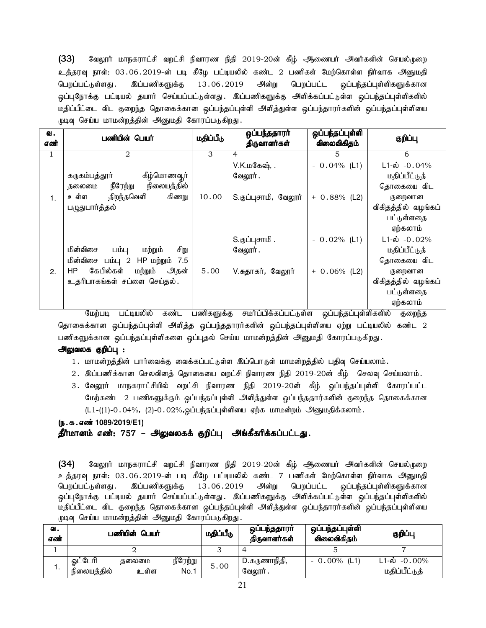(33) வேலூர் மாநகராட்சி வறட்சி நிவாரண நிதி 2019-20ன் கீழ் ஆணையர் அவர்களின் செயல்முறை உத்தரவு நாள்: 03.06.2019-ன் படி கீழே பட்டியலில் கண்ட 2 பணிகள் மேற்கொள்ள நிர்வாக அனுமதி பெறப்பட்டுள்ளது .இப்பணிகளுக்கு 13 06 2019 அன்று பெறப்பட்ட ஒப்பந்தப்புள்ளிகளுக்கான ஒப்புநோக்கு பட்டியல் தயார் செய்யப்பட்டுள்ளது. இப்பணிகளுக்கு அளிக்கப்பட்டுள்ள ஒப்பந்தப்புள்ளிகளில் மதிப்பீட்டை விட குறைந்த தொகைக்கான ஒப்பந்தப்புள்ளி அளித்துள்ள ஒப்பந்தாரர்களின் ஒப்பந்தப்புள்ளியை முடிவு செய்ய மாமன்றத்தின் அனுமதி கோரப்படுகிறது.

| வ.  | பணியின் பெயர்                        | மதிப்பீடு | ஒப்பந்ததாரா்         | ஒப்பந்தப்புள்ளி | குறிப்பு                 |
|-----|--------------------------------------|-----------|----------------------|-----------------|--------------------------|
| எண் |                                      |           | திருவாளர்கள்         | விலைவிகிதம்     |                          |
|     | 2                                    | 3         | $\overline{4}$       | 5               | 6                        |
|     |                                      |           | $V.K.L@$ கஷ், .      | $-0.04\%$ (L1)  | $L1-\omega$ -0.04%       |
|     | கீழ்மொணவூர்<br>கருகம்பத்தூர்         |           | வேலூர்.              |                 | மதிப்பீட்டுத்            |
|     | நீரேற்று<br>நிலையத்தில்<br>தலைமை     |           |                      |                 | தொகையை விட               |
| 1.  | உள்ள திறந்தவெளி<br>கிணறு             | 10.00     | S.குப்புசாமி, வேலூர் | $+ 0.88\%$ (L2) | குறைவான                  |
|     | படுதுபார்த்தல்                       |           |                      |                 | விகிதத்தில் வழங்கப்      |
|     |                                      |           |                      |                 | பட்டுள்ளதை               |
|     |                                      |           |                      |                 | ஏற்கலாம்                 |
|     |                                      |           | S.குப்புசாமி .       | $-0.02\%$ (L1)  | $L1-\dot{\omega}$ -0.02% |
|     | மின்விசை<br>சிறு<br>பம்பு<br>மற்றும் |           | வேலூர்.              |                 | மதிப்பீட்டுத்            |
|     | மின்விசை பம்பு 2 HP மற்றும் 7.5      |           |                      |                 | தொகையை விட               |
| 2.  | கேபில்கள் மற்றும் அதன்<br>HP         | 5.00      | V.சுதாகர், வேலூர்    | $+ 0.06\%$ (L2) | குறைவான                  |
|     | உதரிபாகங்கள் சப்ளை செய்தல்.          |           |                      |                 | விகிதத்தில் வழங்கப்      |
|     |                                      |           |                      |                 | பட்டுள்ளதை               |
|     |                                      |           |                      |                 | ஏற்கலாம்                 |

மேற்படி பட்டியலில் கண்ட பணிகளுக்கு சமர்ப்பிக்கப்பட்டுள்ள ஒப்பந்தப்புள்ளிகளில் குறைந்த தொகைக்கான ஒப்பந்தப்புள்ளி அளித்த ஒப்பந்ததாரர்களின் ஒப்பந்தப்புள்ளியை ஏற்று பட்டியலில் கண்ட 2 பணிகளுக்கான ஒப்பந்தப்புள்ளிகளை ஒப்புதல் செய்ய மாமன்றத்தின் அனுமதி கோரப்படுகிறது.

# அலுவலக குறிப்பு :

- 1. மாமன்றத்தின் பார்வைக்கு வைக்கப்பட்டுள்ள இப்பொருள் மாமன்றத்தில் பதிவு செய்யலாம்.
- 2 . இப்பணிக்கான செலவினத் தொகையை வறட்சி நிவாரண நிதி 2019-20ன் கீழ் செலவு செய்யலாம் .
- 3. வேலூர் மாநகராட்சியில் வறட்சி நிவாரண நிதி 2019-20ன் கீழ் ஒப்பந்தப்புள்ளி கோரப்பட்ட மேற்கண்ட 2 பணிகளுக்கும் ஒப்பந்தப்புள்ளி அளித்துள்ள ஒப்பந்ததார்களின் குறைந்த தொகைக்கான  $(L1-((1)-0.04\%, (2)-0.02\%,$ ஒப்பந்தப்புள்ளியை ஏற்க மாமன்றம் அனுமதிக்கலாம்.

# (ந.க.எண்<sup>1089/2019/E1)</sup>

# தீர்மானம் எண்: 757 – அலுவலகக் குறிப்பு அங்கீகரிக்கப்பட்டது.

 $(34)$  B்வலூர் மாநகராட்சி வறட்சி நிவாரண நிதி 2019-20ன் கீழ் ஆணையர் அவர்களின் செயல்முறை உத்தரவு நாள்: 03.06.2019-ன் படி கீழே பட்டியலில் கண்ட 7 பணிகள் மேற்கொள்ள நிர்வாக அனுமதி பெறப்பட்டுள்ளது. இப்பணிகளுக்கு 13.06.2019 அன்று பெறப்பட்ட ஒப்பந்தப்புள்ளிகளுக்கான ஒப்புநோக்கு பட்டியல் தயார் செய்யப்பட்டுள்ளது. இப்பணிகளுக்கு அளிக்கப்பட்டுள்ள ஒப்பந்தப்புள்ளிகளில் மதிப்பீட்டை விட குறைந்த தொகைக்கான ஒப்பந்தப்புள்ளி அளித்துள்ள ஒப்பந்தாரர்களின் ஒப்பந்தப்புள்ளியை முடிவு செய்ய மாமன்றத்தின் அனுமதி கோரப்படுகிறது.

| ഖ.<br>எண் | பணியின் பெயர்                           | மதிப்பீடு                | ஒப்பந்ததாரா்<br>திருவாளர்கள் | ஒப்பந்தப்புள்ளி<br>விலைவிகிதம் | குறிப்பு                                  |
|-----------|-----------------------------------------|--------------------------|------------------------------|--------------------------------|-------------------------------------------|
|           |                                         |                          |                              |                                |                                           |
| . .       | ஓட்டேரி<br>கலைமை<br>நிலையத்தில்<br>உள்ள | நீரேற்று<br>5.00<br>No.1 | D.கருணாநிதி,<br>வேலூர் .     | $-0.00\%$ (L1)                 | $L1-\dot{\omega}$ -0.00%<br>மதிப்பீட்டுத் |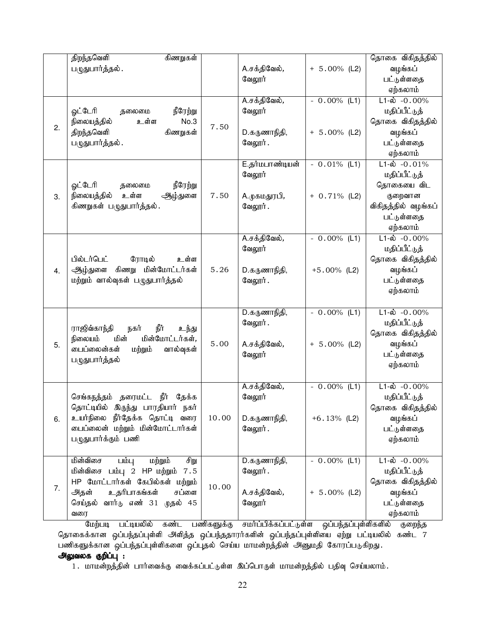|    | திறந்தவெளி<br>கிணறுகள்<br>பழுதுபார்த்தல்.                                                                                                                                                   |       | A.சக்திவேல்,<br>வேலூர்                               | $+ 5.00\%$ (L2)                   | தொகை விகிதத்தில்<br>வழங்கப்<br>பட்டுள்ளதை<br>ஏற்கலாம்                                                               |
|----|---------------------------------------------------------------------------------------------------------------------------------------------------------------------------------------------|-------|------------------------------------------------------|-----------------------------------|---------------------------------------------------------------------------------------------------------------------|
| 2. | ஓட்டேரி<br>நீரேற்று<br>தலைமை<br>நிலையத்தில்<br>No.3<br>உள்ள<br>திறந்தவெளி<br>கிணறுகள்<br>பருதுபார்த்தல் .                                                                                   | 7.50  | A.சக்திவேல்,<br>வேலூர்<br>D.கருணாநிதி,<br>வேலூர்.    | $-0.00\%$ (L1)<br>$+ 5.00\%$ (L2) | $L1-\dot{\omega}$ -0.00%<br>மதிப்பீட்டுத்<br>தொகை விகிதத்தில்<br>வழங்கப்<br>பட்டுள்ளதை<br>ஏற்கலாம்                  |
| 3. | ஓட்டேரி<br>நீரேற்று<br>தலைமை<br>நிலையத்தில்<br>உள்ள<br>ஆழ்துளை<br>கிணறுகள் பழுதுபார்த்தல்.                                                                                                  | 7.50  | E.தர்மபாண்டியன்<br>வேலூர்<br>A.முகமதுரபி,<br>வேலூர். | $-0.01\%$ (L1)<br>$+ 0.71\%$ (L2) | $L1-\hat{\omega}$ -0.01%<br>மதிப்பீட்டுத்<br>தொகையை விட<br>குறைவான<br>விகிதத்தில் வழங்கப்<br>பட்டுள்ளதை<br>ஏற்கலாம் |
| 4. | பில்டர்பெட்<br>ரோடில்<br>உள்ள<br>கிணறு மின்மோட்டர்கள்<br>ஆழ்துளை<br>மற்றும் வால்வுகள் பழுதுபார்த்தல்                                                                                        | 5.26  | A.சக்திவேல்,<br>வேலூர்<br>D.கருணாநிதி,<br>வேலூர்.    | $-0.00\%$ (L1)<br>$+5.00\%$ (L2)  | $L1-\dot{\omega} - 0.00\%$<br>மதிப்பீட்டுத்<br>தொகை விகிதத்தில்<br>வழங்கப்<br>பட்டுள்ளதை<br>ஏற்கலாம்                |
| 5. | ராஜிவ்காந்தி<br>நீர்<br>நகர்<br>உந்து<br>மின்<br>மின்மோட்டர்கள்,<br>நிலையம்<br>பைப்லைன்கள்<br>மற்றும்<br>வால்வுகள்<br>பருதுபார்த்தல்                                                        | 5.00  | D.கருணாநிதி,<br>வேலூர் .<br>A.சக்திவேல்,<br>வேலூர்   | $-0.00\%$ (L1)<br>$+ 5.00\%$ (L2) | $L1-\hat{\omega} - 0.00\%$<br>மதிப்பீட்டுத்<br>தொகை விகிதத்தில்<br>வழங்கப்<br>பட்டுள்ளதை<br>ஏற்கலாம்                |
| 6. | செங்கநத்தம் தரைமட்ட நீர் தேக்க<br>தொட்டியில் இருந்து பாரதியார் நகர்<br>உயர்நிலை நீர்தேக்க தொட்டி வரை<br>டைப்லைன் மற்றும் மின்மோட்டார்கள்<br>பழுதுபார்க்கும் பணி                             | 10.00 | A.சக்திவேல்,<br>வேலூர்<br>D.கருணாநிதி,<br>வேலூர்.    | $-0.00\%$ (L1)<br>$+6.13%$ (L2)   | $L1-\hat{\omega}$ -0.00%<br>மதிப்பீட்டுத்<br>தொகை விகிதத்தில்<br>வழங்கப்<br>பட்டுள்ளதை<br>ஏற்கலாம்                  |
| 7. | மின்விசை<br>சிறு<br>பம்பு<br>மற்றும்<br>மின்விசை பம்பு 2 HP மற்றும்<br>7.5<br>HP மோட்டார்கள் கேபில்கள் மற்றும்<br>உதரிபாகங்கள்<br>சப்ளை<br>அதன்<br>வார்டு எண் 31 முதல் 45<br>செய்தல்<br>வரை | 10.00 | D.கருணாநிதி,<br>வேலூர்.<br>A.சக்திவேல்,<br>வேலூர்    | $-0.00\%$ (L1)<br>$+ 5.00\%$ (L2) | $L1-\dot{\omega} - 0.00\%$<br>மதிப்பீட்டுத்<br>தொகை விகிதத்தில்<br>வழங்கப்<br>பட்டுள்ளதை<br>ஏற்கலாம்                |

மேற்படி பட்டியலில் கண்ட பணிகளுக்கு சமர்ப்பிக்கப்பட்டுள்ள ஒப்பந்தப்புள்ளிகளில் குறைந்த தொகைக்கான ஒப்பந்தப்புள்ளி அளித்த ஒப்பந்ததாரர்களின் ஒப்பந்தப்புள்ளியை ஏற்று பட்டியலில் கண்ட 7 பணிகளுக்கான ஒப்பந்தப்புள்ளிகளை ஒப்புதல் செய்ய மாமன்றத்தின் அனுமதி கோரப்படுகிறது.

# அலுவலக குறிப்பு :

1. மாமன்றத்தின் பார்வைக்கு வைக்கப்பட்டுள்ள இப்பொருள் மாமன்றத்தில் பதிவு செய்யலாம்.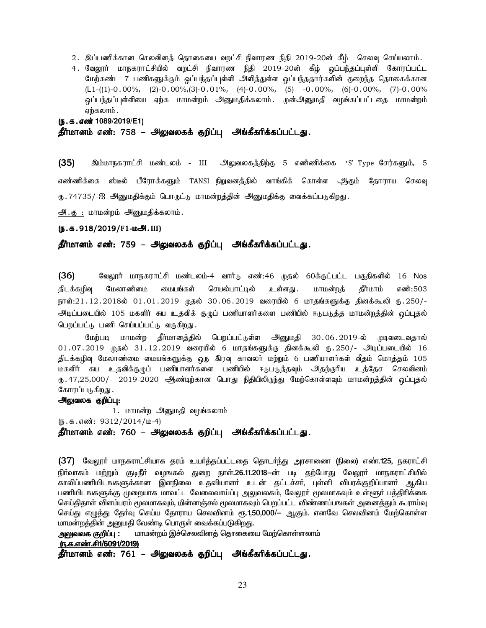- 2. இப்பணிக்கான செலவினத் தொகையை வறட்சி நிவாரண நிதி 2019-20ன் கீழ் செலவு செய்யலாம்.
- 4. வேலூர் மாநகராட்சியில் வறட்சி நிவாரண நிதி 2019-20ன் கீழ் ஒப்பந்தப்புள்ளி கோரப்பட்ட மேற்கண்ட 7 பணிகளுக்கும் ஒப்பந்தப்புள்ளி அளித்துள்ள ஒப்பந்ததார்களின் குறைந்த தொகைக்கான  $(L1-(1)-0.00\%, (2)-0.00\%,(3)-0.01\%, (4)-0.00\%, (5)-0.00\%, (6)-0.00\%, (7)-0.00\%$ ஒப்பந்தப்புள்ளியை ஏற்க மாமன்றம் அனுமதிக்கலாம். முன்அனுமதி வழங்கப்பட்டதை மாமன்றம் ஏற்கலாம்.

 $(6.5.5.5.5)$ 

தீர்மானம் எண்: 758 – அலுவலகக் குறிப்பு அங்கீகரிக்கப்பட்டது.

(35) இம்மாநகராட்சி மண்டலம் - III அலுவலகத்திற்கு 5 எண்ணிக்கை s' Type சேர்களும், 5 எண்ணிக்கை ஸ்டீல் பீரோக்களும் TANSI நிறுவனத்தில் வாங்கிக் கொள்ள ஆடுநம் தோராய செலவு ரு.74735/-ஐ அனுமதிக்கும் பொருட்டு மாமன்றத்தின் அனுமதிக்கு வைக்கப்படுகிறது.

அ. கு : மாமன்றம் அனுமதிக்கலாம்.

#### (ந.க.918/2019/F1-ம**அ.**III)

### தீர்மானம் எண்: 759 – அலுவலகக் குறிப்பு அங்கீகரிக்கப்பட்டது.

(36) வேலூர் மாநகராட்சி மண்டலம்-4 வார்<sub>ம்</sub> எண்:46 முதல் 60க்குட்பட்ட பகுதிகளில் 16 Nos திடக்கழிவு மேலாணமை மையங்கள் செயல்பாட்டில் உள்ளது. மாமன்றத் தீர்மாம் எண்:503 நாள்:21.12.2018ல் 01.01.2019 முதல் 30.06.2019 வரையில் 6 மாதங்களுக்கு தினக்கூலி ரு.250/-அடிப்படையில் 105 மகளிர் சுய உதவிக் குழுப் பணியாளர்களை பணியில் ஈடுபடுத்த மாமன்றத்தின் ஒப்புதல் பெறப்பட்டு பணி செய்யப்பட்டு வருகிறது.

மேற்படி மாமன்ற தீர்மானத்தில் பெறப்பட்டுள்ள அனுமதி 30.06.2019-ல் முடிவடைவதால்  $01.07.2019$  முதல்  $31.12.2019$  வரையில் 6 மாதங்களுக்கு தினக்கூலி ரு.250/- அடிப்படையில்  $16$ திடக்கழிவு மேலாண்மை மையங்களுக்கு ஒரு இரவு காவலர் மற்றும் 6 பணியாளர்கள் வீதம் மொத்தம் 105 மகளிர் சுய உதவிக்குழுப் பணியாளர்களை பணியில் ஈடுபடுத்தவும் அதற்குரிய உத்தேச செலவினம் ரு.47,25,000/- 2019-2020 ஆண்டிற்கான பொது நிதியிலிருந்து மேற்கொள்ளவும் மாமன்றத்தின் ஒப்புதல் கோரப்படுகிறது.

### அலுவலக குறிப்பு:

1. மாமன்ற அனுமதி வழங்கலாம்  $(\mathfrak{g.}\mathfrak{s.}\mathfrak{s.}\mathfrak{s.}\mathfrak{a.}\mathfrak{m}$ : 9312/2014/ $\mathfrak{u.4}$ ) தீர்மானம் எண்: 760 – அலுவலகக் குறிப்பு அங்கீகரிக்கப்பட்டது.

(37) மேலூா் மாநகராட்சியாக தரம் உயா்த்தப்பட்டதை தொடா்ந்து அரசாணை (நிலை) எண்.125, நகராட்சி நிர்வாகம் மற்றும் குடிநீர் வழஙகல் துறை நாள்.26.11.2018—ன் படி தற்போது வேலூர் மாநகராட்சியில் காலிப்பணியிடஙகளுக்கான இளநிலை உதவியாளா் உடன் தட்டச்சா், புள்ளி விபரக்குறிப்பாளா் ஆகிய பணியிடஙகளுக்கு முறையாக மாவட்ட வேலைவாய்ப்பு <u>அலு</u>வலகம், வேலூா் மூலமாகவும் உள்ளூா் பத்திாிக்கை செய்திதாள் விளம்பரம் மூலமாகவும், மின்னஞ்சல் மூலமாகவும் பெறப்பட்ட விண்ணப்பஙகள் அனைத்தும் கூராய்வு செய்து எழுத்து தேர்வு செய்ய தோராய செலவினம் ரூ.1,50,000/— ஆகும். எனவே செலவினம் மேற்கொள்ள மாமன்றத்தின் அனுமதி வேண்டி பொருள் வைக்கப்படுகிறது.

<mark>அலுவலக குறிப்பு</mark> : மாமன்றம் இச்செலவினத் தொகையை மேற்கொள்ளலாம்

#### (ந.க.எண்.சி1/6091/2019)

தீர்மானம் எண்: 761 – அலுவலகக் குறிப்பு அங்கீகரிக்கப்பட்டது.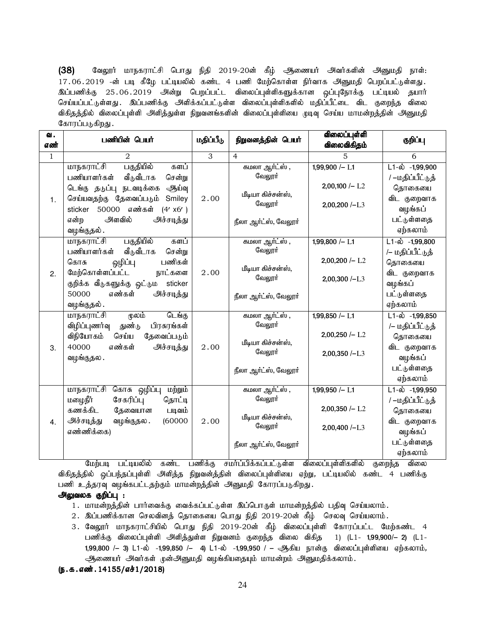(38) கேலூர் மாநகராட்சி பொது நிதி 2019-20ன் கீழ் ஆணையர் அவர்களின் அனுமதி நாள்: 17.06.2019 -ன் படி கீழே பட்டியலில் கண்ட 4 பணி மேற்கொள்ள நிர்வாக அனுமதி பெறப்பட்டுள்ளது. <u>இப்ப</u>ணிக்கு 25.06.2019 அன்று பெறப்பட்ட விலைப்புள்ளிகளுக்கான ஒப்புநோக்கு பட்டியல் தயார் செய்யப்பட்டுள்ளது . இப்பணிக்கு அளிக்கப்பட்டுள்ள விலைப்புள்ளிகளில் மதிப்பீட்டை விட குறைந்த விலை விகிதத்தில் விலைப்புள்ளி அளித்துள்ள நிறுவனங்களின் விலைப்புள்ளியை முடிவு செய்ய மாமன்றத்தின் அனுமதி கோரப்படுகிறது.

| வ.<br>எண்    | பணியின் பெயர்                                                                                                                                                                                                                            | மதிப்பீடு      | நிறுவனத்தின் பெயர்                                                              | விலைப்புள்ளி<br>விலைவிகிதம்                                         | குறிப்பு                                                                                                           |
|--------------|------------------------------------------------------------------------------------------------------------------------------------------------------------------------------------------------------------------------------------------|----------------|---------------------------------------------------------------------------------|---------------------------------------------------------------------|--------------------------------------------------------------------------------------------------------------------|
| $\mathbf{1}$ | 2                                                                                                                                                                                                                                        | $\overline{3}$ | $\overline{4}$                                                                  | 5                                                                   | 6                                                                                                                  |
| 1.           | பகுதியில்<br>மாநகராட்சி<br>களப்<br>பணியாளர்கள்<br>வீடுவீடாக<br>சென்று<br>டெங்கு தடுப்பு நடவடிக்கை<br>ஆய்வு<br>செய்யவதற்கு தேவைப்படும்<br>Smiley<br>எண்கள்<br>50000<br>(4' x6')<br>sticker<br>அளவில்<br>அச்சடித்து<br>என்ற<br>வழங்குதல் . | 2.00           | கமலா ஆர்ட்ஸ் ,<br>வேலூர்<br>மீடியா கிச்சன்ஸ்,<br>வேலூர்<br>நீலா ஆர்ட்ஸ், வேலூர் | 1,99,900 $/-$ L1<br>$2,00,100$ /- L <sub>2</sub><br>$2,00,200$ /-L3 | $L1 - \dot{\omega}$ -1,99,900<br>/ –மதிப்பீட்டுத்<br>தொகையை<br>விட குறைவாக<br>வழங்கப்<br>பட்டுள்ளதை<br>ஏற்கலாம்    |
| 2.           | பகுதியில்<br>மாநகராட்சி<br>களப்<br>பணியாளர்கள்<br>வீடுவீடாக<br>சென்று<br>பணிகள்<br>ஒழிப்பு<br>கொசு<br>மேற்கொள்ளப்பட்ட<br>நாட்களை<br>குறிக்க வீடுகளுக்கு ஒட்டும sticker<br>எண்கள்<br>50000<br>அச்சடித்து<br>வழங்குதல் .                   | 2.00           | கமலா ஆர்ட்ஸ் ,<br>வேலூர்<br>மீடியா கிச்சன்ஸ்,<br>வேலூர்<br>நீலா ஆர்ட்ஸ், வேலூர் | 1,99,800 $/-$ L1<br>$2,00,200$ /- L2<br>$2,00,300$ /-L3             | $L1 - \dot{\omega}$ -1,99,800<br>/– மதிப்பீட்டுத்<br>தொகையை<br>விட குறைவாக<br>வழங்கப்<br>பட்டுள்ளதை<br>ஏற்கலாம்    |
| 3.           | மாநகராட்சி<br>மூலம்<br>டெங்கு<br>விழிப்புணர்வு<br>துண்டு<br>பிரசுரங்கள்<br>விநியோகம்<br>செய்ய<br>தேவைப்படும்<br>எண்கள்<br>40000<br>அச்சடித்து<br>வழங்குதல.                                                                               | 2.00           | கமலா ஆர்ட்ஸ் ,<br>வேலூர்<br>மீடியா கிச்சன்ஸ்,<br>வேலூர்<br>நீலா ஆர்ட்ஸ், வேலூர் | $1,99,850 - L1$<br>$2,00,250$ /- L2<br>$2,00,350/-L3$               | $\overline{L1-\omega}$ -1,99,850<br>/– மதிப்பீட்டுத்<br>தொகையை<br>விட குறைவாக<br>வழங்கப்<br>பட்டுள்ளதை<br>ஏற்கலாம் |
| 4.           | மாநகராட்சி கொசு ஒழிப்பு<br>மற்றும்<br>சேகரிப்பு<br>மழைநீர்<br>தொட்டி<br>கணக்கிட<br>தேவையான<br>படிவம்<br>அச்சடித்து<br>வழங்குதல.<br>(60000)<br>எண்ணிக்கை)                                                                                 | 2.00           | கமலா ஆர்ட்ஸ் ,<br>வேலூர்<br>மீடியா கிச்சன்ஸ்,<br>வேலூர்<br>நீலா ஆர்ட்ஸ், வேலூர் | 1,99,950 $/-$ L1<br>$2,00,350 / - L2$<br>$2,00,400$ /-L3            | L1-ல் -1,99,950<br>/ –மதிப்பீட்டுத்<br>தொகையை<br>விட குறைவாக<br>வழங்கப்<br>பட்டுள்ளதை<br>ஏற்கலாம்                  |

மேற்படி பட்டியலில் கண்ட பணிக்கு சமர்ப்பிக்கப்பட்டுள்ள விலைப்புள்ளிகளில் குறைந்த விலை விகிதத்தில் ஒப்பந்தப்புள்ளி அளித்த நிறுவன்த்தின் விலைப்புள்ளியை ஏற்று, பட்டியலில் கண்ட 4 பணிக்கு பணி உத்தரவு வழங்கபட்டதற்கும் மாமன்றத்தின் அனுமதி கோரப்படுகிறது.

# அலுவலக குறிப்பு :

- 1. மாமன்றத்தின் பார்வைக்கு வைக்கப்பட்டுள்ள இப்பொருள் மாமன்றத்தில் பதிவு செய்யலாம்.
- 2. இப்பணிக்கான செலவினத் தொகையை பொது நிதி 2019-20ன் கீழ் செலவு செய்யலாம்.
- 3. வேலூர் மாநகராட்சியில் பொது நிதி 2019-20ன் கீழ் விலைப்புள்ளி கோரப்பட்ட மேற்கண்ட 4 பணிக்கு விலைப்புள்ளி அளித்துள்ள நிறுவனம் குறைந்த விலை விகித 1) (L1- 1,99,900/- 2) (L1-1,99,800 /- 3) L1-ல் -1,99,850 /- 4) L1-ல் -1,99,950 / - ஆகிய நான்கு விலைப்புள்ளியை ஏற்கலாம், அணையர் அவர்கள் முன்அனுமதி வழங்கியதையும் மாமன்றம் அனுமதிக்கலாம்.
- $(5.5.5.0$   $\vec{m}$ . 14155/ $\vec{a}$  $\vec{r}$  1/2018)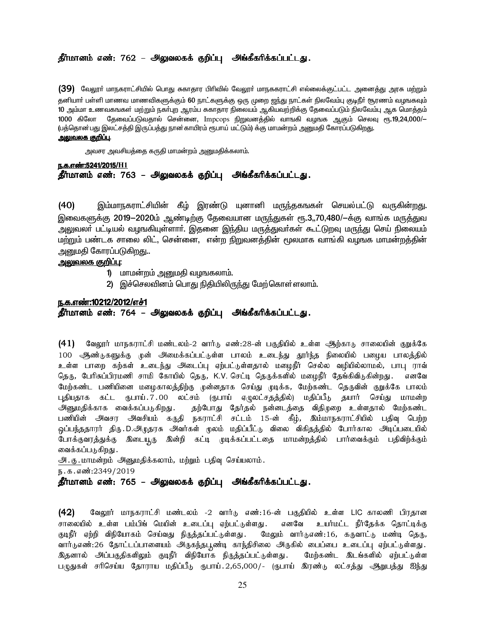# தீர்மானம் எண்: 762 – அலுவலகக் குறிப்பு அங்கீகரிக்கப்பட்டது.

(39) மேலூர் மாநகராட்சியில் பொது சுகாதார பிரிவில் வேலூர் மாநககராட்சி எல்லைக்குட்பட்ட அனைத்து அரசு மற்றும் தனியார் பள்ளி மாணவ மாணவிகளுக்கும் 60 நாட்களுக்கு ஒரு முறை <u>ஜந்து</u> நாட்கள் நிலவேம்பு குடிநீர் சூரணம் வழஙகவும் 10 அம்மா உணவகஙகள் மற்றும் நகர்புற ஆரம்ப சுகாதார நிலையம் ஆகியவற்றிக்கு தேவைப்படும் நிலவேம்பு ஆக மொத்தம் 1000 கிலோ தேவைப்படுவதால் சென்னை, Impcops நிறுவனத்தில் வாஙகி வழஙக ஆகும் செலவு ரூ.19,24,000/— (பத்தொன்பது இலட்சத்தி இருப்பத்து நான்காயிரம் ரூபாய் மட்டும்) க்கு மாமன்றம் அனுமதி கோரப்படுகிறது. <u>அலுவலக குறிப்பு</u>.

அவசர அவசியத்தை கருதி மாமன்றம் அனுமதிக்கலாம்.

e.f.v©:5241/2015/**H1** <u>தீர்மானம் எண்: 763 – அலுவலகக் குறிப்பு</u> அங்கீகரிக்கப்பட்டது.

(40) இம்மாநகராட்சியின் கீழ் இரண்டு யுனானி மருந்தகஙகள் செயல்பட்டு வருகின்றது. இவைகளுக்கு 2019-2020ம் ஆண்டிற்கு தேவையான மருந்துகள் ரூ.3,,70,480/-க்கு வாங்க மருத்துவ அலுவலா் பட்டியல் வழஙகியுள்ளாா். இதனை இந்திய மருத்துவா்கள் கூட்டுறவு மரு<u>ந்</u>து செய் நிலையம் மற்றும் பண்டக சாலை லிட், சென்னை, என்ற நிறுவனத்தின் மூலமாக வாங்கி வழஙக மாமன்றத்தின் அனுமதி கோரப்படுகி<u>றத</u>ு..

### <u>அலுவலக குறிப்பு:</u>

- 1) மாமன்றம் அனுமதி வழஙகலாம்.
- 2) இச்செலவினம் பொது நிதியிலிருந்து மேற்கொள்ளலாம்.

#### ந.க.எண்:10212/2012/எச்1

### தீர்மானம் எண்: 764 – அலுவலகக் குறிப்பு அங்கீகரிக்கப்பட்டது.

(41) வேலூர் மாநகராட்சி மண்டலம்-2 வார்டு எண்:28-ன் பகுதியில் உள்ள ஆற்காடு சாலையின் குறுக்கே 100 ஆண்டுகளுக்கு முன் அமைக்கப்பட்டுள்ள பாலம் உடைந்து தூர்ந்த நிலையில் பழைய பாலத்தில் உள்ள பாறை கற்கள் உடைந்து அடைப்பு ஏற்பட்டுள்ளதால் மழைநீர் செல்ல வழியில்லாமல், பாபு ராவ் தெரு, பேரிசுப்பிரமணி சாமி கோயில் தெரு, K.V. செட்டி தெருக்களில் மழைநீர் தேங்கிவிடுகின்றது. எனவே மேற்கண்ட பணியினை மழைகாலத்திற்கு முன்னதாக செய்து முடிக்க, மேற்கண்ட தெருவின் குறுக்கே பாலம் புதியதாக கட்ட ரூபாய். $7.00$  லட்சம் (ரூபாய் ஏழுலட்சதத்தில்) மதிப்பீடு தயார் செய்து மாமன்ற அனுமதிக்காக வைக்கப்படுகிறது. தற்போது தேர்தல் நன்னடத்தை விதிமுறை உள்ளதால் மேற்கண்ட பணியின் அவசர அவசியம் கருதி நகராட்சி சட்டம் 15-ன் கீழ், இம்மாநகராட்சியில் பதிவு பெற்ற .<br>ஒப்பந்ததாரர் திரு.D.அருதரசு அவர்கள் முலம் மதிப்பீட்டு விலை விகிதத்தில் போர்கால அடிப்படையில் போக்குவரத்துக்கு இடையூரு இன்றி கட்டி முடிக்கப்பட்டதை மாமன்றத்தில் பார்வைக்கும் பதிவிற்க்கும் வைக்கப்படுகிறது .

 $\mathcal{A}$ .கு. மாமன்றம் அனுமதிக்கலாம், மற்றும் பதிவு செய்யலாம்.

ந.க.எண்:2349/2019

### தீர்மானம் எண்: 765 – அலுவலகக் குறிப்பு அங்கீகரிக்கப்பட்டது.

(42) வேலூர் மாநகராட்சி மண்டலம் -2 வார்டு எண்:16-ன் பகுதியில் உள்ள LIC காலணி பிரதான சாலையில் உள்ள பம்பிங் மெயின் உடைப்பு ஏற்பட்டுள்ளது . எனவே உயர்மட்ட நீர்தேக்க தொட்டிக்கு குடிநீர் ஏற்றி விநியோகம் செய்வது நிருத்தப்பட்டுள்ளது. மேலும் வார்டுஎண்:16, கருவாட்டு மண்டி தெரு, வார்டுஎண்:26 தோட்டப்பாளையம் அருகந்தபுண்டி காந்திசிலை அருகில் பைப்பை உடைப்பு ஏற்பட்டுள்ளது. <u>இ</u>தனால் அப்பகுதிகளிலும் குடிநீர் விநியோக நிருத்தப்பட்டுள்ளது . மேற்கண்ட இடங்களில் ஏற்பட்டுள்ள பழுதுகள் சரிசெய்ய தோராய மதிப்பீடு ருபாய்.2,65,000/- (ருபாய் இரண்டு லட்சத்து ஆறுபத்து ஐந்து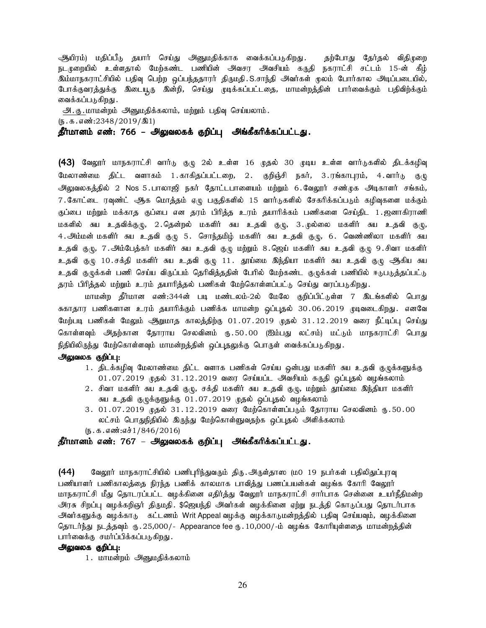ஆயிரம்) மதிப்பீடு தயார் செய்து அனுமதிக்காக வைக்கப்படுகிறது. தற்போது தேர்தல் விதிமுறை நடமுறையில் உள்ளதால் மேற்கண்ட பணியின் அவசர அவசியம் கருதி நகராட்சி சட்டம் 15-ன் கீழ் இம்மாநகராட்சியில் பதிவு பெற்ற ஒப்பந்ததாரர் திருமதி.S.சாந்தி அவர்கள் மூலம் போர்கால அடிப்படையில், போக்குவரத்துக்கு இடையூரு இன்றி, செய்து முடிக்கப்பட்டதை, மாமன்றத்தின் பார்வைக்கும் பதிவிற்க்கும் வைக்கப்படுகிறது .

அ.கு. மாமன்றம் அனுமதிக்கலாம், மற்றும் பதிவு செய்யலாம்.

 $(\mathfrak{g}.\mathfrak{g}.\mathfrak{g}.$ எண்:2348/2019/ $\mathfrak{A}1)$ 

தீர்மானம் எண்: 766 – அலுவலகக் குறிப்பு அங்கீகரிக்கப்பட்டது.

(43) வேலூர் மாநகராட்சி வார்டு குழு 2ல் உள்ள 16 முதல் 30 முடிய உள்ள வார்டுகளில் திடக்கழிவு மேலாண்மை திட்ட வளாகம் 1.காகிதப்பட்டறை, 2. குறிஞ்சி நகர், 3.ரங்காபுரம், 4.வார்டு குழு அலுவலகத்தில் 2 Nos 5.பாலாஜி நகர் தோட்டபாளையம் மற்றும் 6.வேலூர் சண்முக அடிகாளர் சங்கம், 7. கோட்டை ரவுண்ட் ஆக மொத்தம் ஏழு பகுதிகளில் 15 வார்டுகளில் சேகரிக்கப்படும் கழிவுகளை மக்கும் குப்பை மற்றும் மக்காத குப்பை என தரம் பிரித்த உரம் தயாரிக்கம் பணிகளை செய்திட 1.ஜனாகிராணி மகளில் சுய உதவிக்குழு, 2.தென்றல் மகளிர் சுய உதவி குழு, 3.முல்லை மகளிர் சுய உதவி குழு, 4 .அம்மன் மகளிர் சுய உதவி குமு 5 . சொந்தமிழ் மகளிர் சுய உதவி குழு, 6 . வெண்ணிலா மகளிர் சுய உதவி குழு, 7.அம்பேத்கர் மகளிர் சுய உதவி குழு மற்றும் 8.ஜெய் மகளிர் சுய உதவி குழு 9.சிவா மகளிர் உதவி குழு 10.சக்தி மகளிர் சுய உதவி குழு 11. தூய்மை இந்தியா மகளிர் சுய உதவி குழு ஆகிய சுய உதவி குழுக்கள் பணி செய்ய விருப்பம் தெரிவித்ததின் பேரில் மேற்கண்ட குழுக்கள் பணியில் ஈடுபடுத்தப்பட்டு தரம் பிரித்தல் மற்றும் உரம் தயாரித்தல் பணிகள் மேற்கொள்ளப்பட்டு செய்து வரப்படுகிறது.

மாமன்ற தீர்மான எண்:344ன் படி மண்டலம்-2ல் மேலே குறிப்பிட்டுள்ள 7 இடங்களில் பொது சுகாதார பணிகளான உரம் தயாரிக்கும் பணிக்க மாமன்ற ஒப்புதல் 30.06.2019 முடிவடைகிறது. எனவே மேற்படி பணிகள் மேலும் ஆறுமாத காலத்திற்கு 01.07.2019 முதல் 31.12.2019 வரை நீட்டிப்பு செய்து கொள்ளவும் அதற்கான தோராய செலவினம் ரு.50.00 (ஐம்பது லட்சம்) மட்டும் மாநகராட்சி பொது நிதியிலிருந்து மேற்கொள்ளவும் மாமன்றத்தின் ஒப்புதலுக்கு பொருள் வைக்கப்படுகிறது**.** 

### அலுவலக குறிப்பு:

- 1. திடக்கழிவு மேலாண்மை திட்ட வளாக பணிகள் செய்ய ஒன்பது மகளிர் சுய உதவி குழுக்களுக்கு 01.07.2019 முதல் 31.12.2019 வரை செய்யப்ட அவசியம் கருதி ஒப்புதல் வழங்கலாம்
- $2.$  சிவா மகளிர் சுய உதவி குழு, சக்தி மகளிர் சுய உதவி குழு, மற்றும் தூய்மை இந்தியா மகளிர் சுய உதவி குழுக்குளுக்கு 01.07.2019 முதல் ஒப்புதல் வழங்கலாம்
- 3. 01.07.2019 முதல் 31.12.2019 வரை மேற்கொள்ளப்படும் தோராய செலவினம் ரு.50.00 லட்சம் பொதுநிதியில் இருந்து மேற்கொள்ளுவதற்க ஒப்புதல் அளிக்கலாம்
- $(5.5.5.5\cdot\frac{1}{1846}/2016)$

### தீர்மானம் எண்: 767 – அலுவலகக் குறிப்பு அங்கீகரிக்கப்பட்டது.

 $(44)$  Baலூர் மாநகராட்சியில் பணிபுரிந்துவரும் திரு. அருள்தாஸ (ம0 19 நபர்கள் பதிலிதுப்புரவு பணியாளர் பணிகாலத்தை நிரந்த பணிக் காலமாக பாவித்து பணப்பயன்கள் வழங்க கோரி வேலூர் மாநகராட்சி மீது தொடரப்பட்ட வழக்கினை எதிர்த்து வேலூர் மாநகராட்சி சார்பாக சென்னை உயர்நீதிமன்ற அரசு சிறப்பு வழக்கறிஞர் திருமதி. \$ஜெயந்தி அவர்கள் வழக்கினை ஏற்று நடத்தி கொடுப்பது தொடர்பாக அவர்களுக்கு வழக்காடு கட்டணம் Writ Appeal வழக்கு வழக்காடுமன்றத்தில் பதிவு செய்யவும், வழக்கினை தொடர்ந்து நடத்தவும் ரு. 25,000/- Appearance fee ரு. 10,000/-ம் வழங்க கோரியுள்ளதை மாமன்றத்தின் பார்வைக்கு சமர்ப்பிக்கப்படுகிறது.

### அலுவலக குறிப்பு:

1. மாமன்றம் அனுமதிக்கலாம்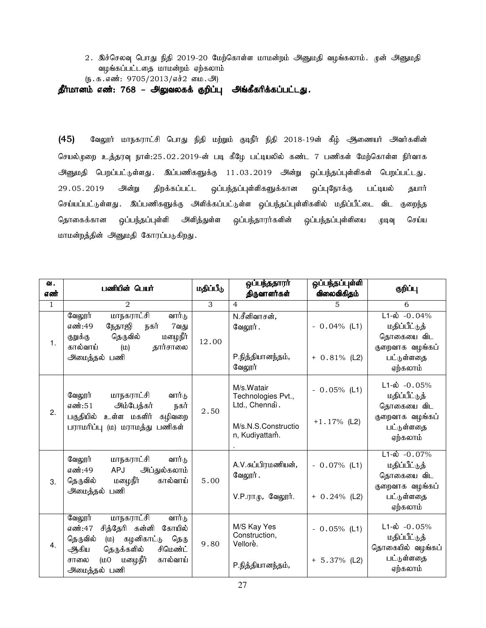2. இச்செலவு பொது நிதி 2019-20 மேற்கொள்ள மாமன்றம் அனுமதி வழங்கலாம். முன் அனுமதி வழங்கப்பட்டதை மாமன்றம் ஏற்கலாம்

 $(\mathfrak{g.}\mathfrak{s.}\mathfrak{s.}\mathfrak{s.}\mathfrak{m}$ : 9705/2013/எச் $2$  மை. அ

தீர்மானம் எண்: 768 – அலுவலகக் குறிப்பு அங்கீகரிக்கப்பட்டது.

(45) வேலூர் மாநகராட்சி பொது நிதி மற்றும் குடிநீர் நிதி 2018-19ன் கீழ் ஆணையர் அவர்களின் செயல்முறை உத்தரவு நாள்:25.02.2019-ன் படி கீழே பட்டியலில் கண்ட 7 பணிகள் மேற்கொள்ள நிர்வாக அனுமதி பெறப்பட்டுள்ளது. இப்பணிகளுக்கு 11.03.2019 அன்று ஒப்பந்தப்புள்ளிகள் பெறப்பட்டது. 29.05.2019 அன்று திறக்கப்பட்ட ஒப்பந்தப்புள்ளிகளுக்கான ஒப்புநோக்கு பட்டியல் தயார் செய்யப்பட்டுள்ளது . இப்பணிகளுக்கு அளிக்கப்பட்டுள்ள ஒப்பந்தப்புள்ளிகளில் மதிப்பீட்டை விட குறைந்த தொகைக்கான ஒப்பந்தப்புள்ளி அளித்துள்ள ஒப்பந்தாரர்களின் ஒப்பந்தப்புள்ளியை முடிவு செய்ய மாமன்றத்தின் அனுமதி கோரப்படுகிறது.

| வ.<br>எண்    | பணியின் பெயர்                                                                                                                                                                                                | மதிப்பீடு      | ஒப்பந்ததாரா்<br>திருவாளர்கள்                                                                | ஒப்பந்தப்புள்ளி<br>விலைவிகிதம்    | குறிப்பு                                                                                                 |
|--------------|--------------------------------------------------------------------------------------------------------------------------------------------------------------------------------------------------------------|----------------|---------------------------------------------------------------------------------------------|-----------------------------------|----------------------------------------------------------------------------------------------------------|
| $\mathbf{1}$ | $\overline{2}$                                                                                                                                                                                               | $\overline{3}$ | $\overline{4}$                                                                              | 5                                 | 6                                                                                                        |
| 1.           | <u>மாநகராட்சி</u><br>வேலூர்<br>வார்டு<br>எண்:49<br>நேதாஜி<br>நகர்<br>7வது<br>மழைநீா்<br>தெருவில்<br>குறுக்கு<br>தார்சாலை<br>கால்வாய்<br>(D)<br>அமைத்தல் பணி                                                  | 12.00          | N.சீனிவாசன்,<br>வேலூர்.<br>P.நித்தியானந்தம்,<br>வேலூர்                                      | $-0.04\%$ (L1)<br>$+ 0.81\%$ (L2) | $L1-\dot{\omega}$ -0.04%<br>மதிப்பீட்டுத்<br>தொகையை விட<br>குறைவாக வழங்கப்<br>பட்டுள்ளதை<br>ஏற்கலாம்     |
| 2.           | வேலூர்<br>மாநகராட்சி<br>வார்டு<br>அம்பேத்கர்<br>எண்:51<br>நகர்<br>பகுதியில்<br>உள்ள மகளிர்<br>கழிவறை<br>பராமரிப்பு (ம) மராமத்து பணிகள்                                                                       | 2.50           | M/s.Watair<br>Technologies Pvt.,<br>Ltd., Chennai.<br>M/s.N.S.Constructio<br>n, Kudiyattam. | $-0.05%$ (L1)<br>$+1.17%$ (L2)    | $L1-\omega$ -0.05%<br>மதிப்பீட்டுத்<br>தொகையை விட<br>குறைவாக வழங்கப்<br>பட்டுள்ளதை<br>ஏற்கலாம்           |
| 3.           | மாநகராட்சி<br>வேலூர்<br>வார்டு<br>அப்துல்கலாம்<br>எண்:49<br>APJ<br>மழைநீா்<br>தெருவில்<br>கால்வாய்<br>அமைத்தல் பணி                                                                                           | 5.00           | A.V.சுப்பிரமணியன்,<br>வேலூர்.<br>$V.P.\pi\pi\psi$ , வேலூர்.                                 | $-0.07\%$ (L1)<br>$+ 0.24\%$ (L2) | $L1 - \dot{\omega} - 0.07\%$<br>மதிப்பீட்டுத்<br>தொகையை விட<br>குறைவாக வழங்கப்<br>பட்டுள்ளதை<br>ஏற்கலாம் |
| 4.           | <u>மாநகராட்சி</u><br>வேலூர்<br>வார்டு<br>சித்தேரி கன்னி<br>எண்:47<br>கோயில்<br>தெருவில்<br>கழனிகாட்டு தெரு<br>(D)<br>தெருக்களில்<br>சிமெண்ட்<br>ஆகிய<br>மழைநீா்<br>கால்வாய்<br>(100)<br>சாலை<br>அமைத்தல் பணி | 9.80           | M/S Kay Yes<br>Construction,<br>Vellore.<br>P.நித்தியானந்தம்,                               | $-0.05%$ (L1)<br>$+ 5.37\%$ (L2)  | $L1-\omega$ -0.05%<br>மதிப்பீட்டுத்<br>தொகையில் வழங்கப்<br>பட்டுள்ளதை<br>ஏற்கலாம்                        |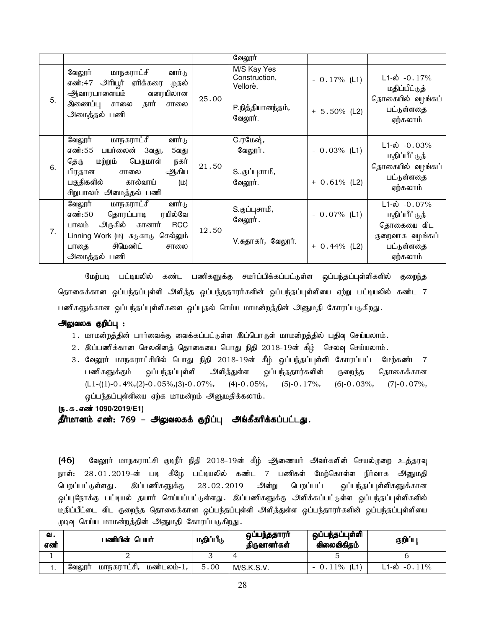|    |                                                                                   |       | வேலூர்                                   |                 |                                            |
|----|-----------------------------------------------------------------------------------|-------|------------------------------------------|-----------------|--------------------------------------------|
|    | வேலூர் மாநகராட்சி வார்டு<br>எண்:47 அரியூர் ஏரிக்கரை முதல்<br>ஆவாரபாளையம் வரையிலான |       | M/S Kay Yes<br>Construction,<br>Vellore. | $-0.17\%$ (L1)  | $L1-\omega$ -0.17%<br>மதிப்பீட்டுத்        |
| 5. | இணைப்பு சாலை தார் சாலை<br>அமைத்தல் பணி                                            | 25.00 | P.நித்தியானந்தம்,<br>வேலூர்.             | $+ 5.50\%$ (L2) | தொகையில் வழங்கப்<br>பட்டுள்ளதை<br>ஏற்கலாம் |
|    | மாநகராட்சி<br>வார்டு<br>வேலூர்<br>எண்:55 பயர்லைன் 3வது,                           |       | C.ரமேஷ்,<br>வேலூர் .                     | $-0.03%$ (L1)   | $L1-\dot{\omega} - 0.03\%$                 |
|    | 5வது<br>பெருமாள்<br>மற்றும்<br>நகர்<br>தெரு                                       |       |                                          |                 | மதிப்பீட்டுத்                              |
| 6. | ஆகிய<br>பிரதான சாலை<br>பகுதிகளில் கால்வாய்<br>(D)<br>சிறுபாலம் அமைத்தல் பணி       | 21.50 | Sகுப்புசாமி,<br>வேலூர்.                  | $+ 0.61\%$ (L2) | தொகையில் வழங்கப்<br>பட்டுள்ளதை<br>ஏற்கலாம் |
|    | வேலூர்<br>மாநகராட்சி<br>வார்டு<br>எண்:50 தொரப்பாடி<br>ரயில்வே                     |       | S.குப்புசாமி,                            | $-0.07\%$ (L1)  | $L1-\omega$ -0.07%<br>மதிப்பீட்டுத்        |
|    | பாலம் அருகில் கானார்<br><b>RCC</b>                                                |       | வேலூர்.                                  |                 | தொகையை விட                                 |
| 7. | Linning Work (ம) சுடுகாடு செல்லும்<br>சிமெண்ட்<br>பாதை<br>சாலை                    | 12.50 | V.சுதாகர், வேலூர்.                       | $+ 0.44\%$ (L2) | குறைவாக வழங்கப்<br>பட்டுள்ளதை              |
|    | அமைத்தல் பணி                                                                      |       |                                          |                 | ஏற்கலாம்                                   |

மேற்படி பட்டியலில் கண்ட பணிகளுக்கு சமர்ப்பிக்கப்பட்டுள்ள ஒப்பந்தப்புள்ளிகளில் குறைந்த தொகைக்கான ஒப்பந்தப்புள்ளி அளித்த ஒப்பந்ததாரர்களின் ஒப்பந்தப்புள்ளியை ஏற்று பட்டியலில் கண்ட 7 பணிகளுக்கான ஒப்பந்தப்புள்ளிகளை ஒப்புதல் செய்ய மாமன்றத்தின் அனுமதி கோரப்படுகிறது.

### அலுவலக குறிப்பு :

- 1. மாமன்றத்தின் பார்வைக்கு வைக்கப்பட்டுள்ள இப்பொருள் மாமன்றத்தில் பதிவு செய்யலாம்.
- $2.$  இப்பணிக்கான செலவினத் தொகையை பொது நிதி  $2018$ -19ன் கீழ் செலவு செய்யலாம்.
- 3. வேலூர் மாநகராட்சியில் பொது நிதி 2018-19ன் கீழ் ஒப்பந்தப்புள்ளி கோரப்பட்ட மேற்கண்ட 7 பணிகளுக்கும் ஒப்பந்தப்புள்ளி அளித்துள்ள ஒப்பந்ததார்களின் குறைந்த தொகைக்கான  $(L1-((1)-0.4\%, (2)-0.05\%, (3)-0.07\%,$  (4)-0.05%, (5)-0.17%, (6)-0.03%, (7)-0.07%, ஓப்பந்தப்புள்ளியை ஏற்க மாமன்றம் அனுமதிக்கலாம்.
- (ந.க.எண் 1090/2019/E1)

தீர்மானம் எண்: 769 – அலுவலகக் குறிப்பு அங்கீகரிக்கப்பட்டது.

(46) மேலூர் மாநகராட்சி குடிநீர் நிதி 2018-19ன் கீழ் ஆணையர் அவர்களின் செயல்முறை உத்தரவு நாள்: 28.01.2019-ன் படி கீழே பட்டியலில் கண்ட 7 பணிகள் மேற்கொள்ள நிர்வாக அனுமதி பெறப்பட்டுள்ளது . இப்பணிகளுக்கு 28 02 .2019 அன்று பெறப்பட்ட ஒப்பந்தப்புள்ளிகளுக்கான .<br>ஒப்புநோக்கு பட்டியல் தயார் செய்யப்பட்டுள்ளது. இப்பணிகளுக்கு அளிக்கப்பட்டுள்ள ஒப்பந்தப்புள்ளிகளில் மதிப்பீட்டை விட குறைந்த தொகைக்கான ஒப்பந்தப்புள்ளி அளித்துள்ள ஒப்பந்தாரர்களின் ஒப்பந்தப்புள்ளியை முடிவு செய்ய மாமன்றத்தின் அனுமதி கோரப்படுகிறது.

| ഖ.<br>எண் | பணியின் பெயர்                       | மதிப்பீடு | ஒப்பந்ததாரா்<br>திருவாளர்கள் | ஒப்பந்தப்புள்ளி<br>விலைவிகிகம் | குறிப்பு              |
|-----------|-------------------------------------|-----------|------------------------------|--------------------------------|-----------------------|
|           |                                     |           |                              |                                |                       |
|           | மாநகராட்சி,<br>மண்டலம்-1,<br>வேலூர் | 5.00      | M/S.K.S.V.                   | (L1)<br>0.11%                  | $\sim$ -0.11%<br>1-ல் |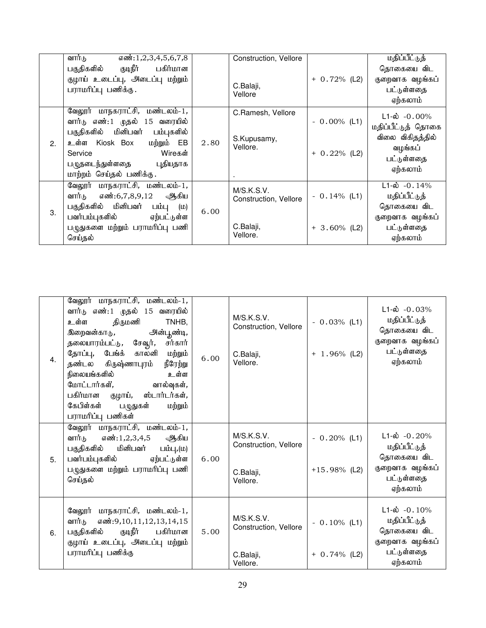|    | வார்டு<br>$\overline{\text{asm}}$ : 1,2,3,4,5,6,7,8 |      | Construction, Vellore   |                 | மதிப்பீட்டுத்      |
|----|-----------------------------------------------------|------|-------------------------|-----------------|--------------------|
|    | குடிநீர் பகிர்மான<br>பகுதிகளில்                     |      |                         |                 | தொகையை விட         |
|    | குழாய் உடைப்பு, அடைப்பு மற்றும்                     |      |                         | $+ 0.72%$ (L2)  | குறைவாக வழங்கப்    |
|    | பராமரிப்பு பணிக்கு.                                 |      | C.Balaji,<br>Vellore    |                 | பட்டுள்ளதை         |
|    |                                                     |      |                         |                 | ஏற்கலாம்           |
|    | வேலூர் மாநகராட்சி, மண்டலம்-1,                       |      | C.Ramesh, Vellore       |                 | $L1 - \phi$ -0.00% |
|    | வார்டு எண்:1 முதல் 15 வரையில்                       |      |                         | $-0.00\%$ (L1)  | மதிப்பீட்டுத் தொகை |
|    | பகுதிகளில் மினிபவர் பம்புகளில்                      |      |                         |                 | விலை விகிதத்தில்   |
| 2. | உள்ள Kiosk Box<br>மற்றும் EB                        | 2.80 | S.Kupusamy,<br>Vellore. |                 | வழங்கப்            |
|    | Wireகள்<br>Service                                  |      |                         | $+ 0.22\%$ (L2) | பட்டுள்ளதை         |
|    | பமுதடைந்துள்ளதை<br>புதியதாக                         |      |                         |                 | ஏற்கலாம்           |
|    | மாற்றம் செய்தல் பணிக்கு.                            |      |                         |                 |                    |
|    | வேலூர் மாநகராட்சி, மண்டலம்-1,                       |      | M/S.K.S.V.              |                 | $L1-\omega$ -0.14% |
|    | வார்டு எண்:6,7,8,9,12 ஆகிய                          |      | Construction, Vellore   | $-0.14\%$ (L1)  | மதிப்பீட்டுத்      |
| 3. | பகுதிகளில் மினிபவர்<br>பம்பு (ம)                    | 6.00 |                         |                 | தொகையை விட         |
|    | பவர்பம்புகளில் ஏற்பட்டுள்ள                          |      |                         |                 | குறைவாக வழங்கப்    |
|    | பழுதுகளை மற்றும் பராமரிப்பு பணி                     |      | C.Balaji,               | $+3.60\%$ (L2)  | பட்டுள்ளதை         |
|    | செய்தல்                                             |      | Vellore.                |                 | ஏற்கலாம்           |

| 4 <sub>1</sub> | வேலூர் மாநகராட்சி, மண்டலம்-1,<br>வார்டு எண்:1 முதல் 15 வரையில்<br>திருமணி<br>TNHB,<br>உள்ள<br>அன்பூண்டி,<br>இறைவன்காடு,<br>தலையாரம்பட்டு, சேவூர்,<br>ராகார்<br>தோப்பு, பேங்க்<br>காலனி<br>மற்றும்<br>நீரேற்று<br>தண்டல கிருஷ்ணாபுரம்<br>நிலையங்களில்<br>உள்ள<br>மோட்டார்கள்,<br>வால்வுகள்,<br>பகிர்மான குழாய், ஸ்டார்டர்கள்,<br>கேபிள்கள்<br>பழுதுகள்<br>மற்றும்<br>பராமரிப்பு பணிகள் | 6.00 | M/S.K.S.V.<br>Construction, Vellore<br>C.Balaji,<br>Vellore. | $-0.03%$ (L1)<br>$+ 1.96\%$ (L2)  | $L1-\dot{\omega}$ -0.03%<br>மதிப்பீட்டுத்<br>தொகையை விட<br>குறைவாக வழங்கப்<br>பட்டுள்ளதை<br>ஏற்கலாம் |
|----------------|---------------------------------------------------------------------------------------------------------------------------------------------------------------------------------------------------------------------------------------------------------------------------------------------------------------------------------------------------------------------------------------|------|--------------------------------------------------------------|-----------------------------------|------------------------------------------------------------------------------------------------------|
| 5.             | வேலூர் மாநகராட்சி, மண்டலம்-1,<br>வார்டு<br>எண்:1,2,3,4,5<br>ஆகிய<br>மினிபவர்<br>பகுதிகளில்<br>பம்பு,(ம)<br>பவர்பம்புகளில்<br>ஏற்பட்டுள்ள<br>பழுதுகளை மற்றும் பராமரிப்பு பணி<br>செய்தல்                                                                                                                                                                                                | 6.00 | M/S.K.S.V.<br>Construction, Vellore<br>C.Balaji,<br>Vellore. | $-0.20\%$ (L1)<br>$+15.98\%$ (L2) | $L1-\omega$ -0.20%<br>மதிப்பீட்டுத்<br>தொகையை விட<br>குறைவாக வழங்கப்<br>பட்டுள்ளதை<br>ஏற்கலாம்       |
| 6.             | வேலூர் மாநகராட்சி, மண்டலம்-1,<br>எண்: 9, 10, 11, 12, 13, 14, 15<br>வார்டு<br>குடிநீர்<br>பகிர்மான<br>பகுதிகளில்<br>குழாய் உடைப்பு, அடைப்பு மற்றும்<br>பராமரிப்பு பணிக்கு                                                                                                                                                                                                              | 5.00 | M/S.K.S.V.<br>Construction, Vellore<br>C.Balaji,<br>Vellore. | $-0.10\%$ (L1)<br>$+ 0.74\%$ (L2) | $L1-\dot{\omega}$ -0.10%<br>மதிப்பீட்டுத்<br>தொகையை விட<br>குறைவாக வழங்கப்<br>பட்டுள்ளதை<br>ஏற்கலாம் |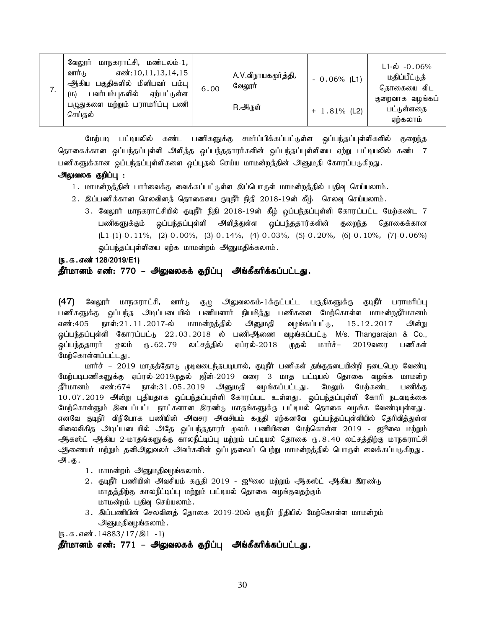| . . | மாநகராட்சி, மண்டலம்-1,<br>வேலூர்<br>எண்:10,11,13,14,15<br>வார்டு<br>பகுதிகளில் மினிபவர் பம்பு<br>ஆிகிய<br>பவர்பம்புகளில்<br>ஏற்பட்டுள்ள<br>(D) | 6.00 | A.V.விநாயகமூர்த்தி,<br>வேலூர் | $-0.06\%$ (L1)  | $L1 - \dot{\omega}$ - 0.06%<br>மதிப்பீட்டுத்<br>தொகையை விட |
|-----|------------------------------------------------------------------------------------------------------------------------------------------------|------|-------------------------------|-----------------|------------------------------------------------------------|
|     | பழுதுகளை மற்றும் பராமரிப்பு பணி<br>செய்தல்                                                                                                     |      | R.அருள்                       | $+ 1.81\%$ (L2) | குறைவாக வழங்கப்<br>பட்டுள்ளதை<br>ஏற்கலாம்                  |

மேற்படி பட்டியலில் கண்ட பணிகளுக்கு சமர்ப்பிக்கப்பட்டுள்ள ஒப்பந்தப்புள்ளிகளில் குறைந்த தொகைக்கான ஒப்பந்தப்புள்ளி அளித்த ஒப்பந்ததாரர்களின் ஒப்பந்தப்புள்ளியை ஏற்று பட்டியலில் கண்ட 7 பணிகளுக்கான ஒப்பந்தப்புள்ளிகளை ஒப்புதல் செய்ய மாமன்றத்தின் அனுமதி கோரப்படுகிறது.

### அலுவலக குறிப்பு :

- 1. மாமன்றத்தின் பார்வைக்கு வைக்கப்பட்டுள்ள இப்பொருள் மாமன்றத்தில் பதிவு செய்யலாம்.
- $2$ . இப்பணிக்கான செலவினத் தொகையை குடிநீர் நிதி 2018-19ன் கீழ் செலவு செய்யலாம்.
	- 3. வேலூர் மாநகராட்சியில் குடிநீர் நிதி 2018-19ன் கீழ் ஒப்பந்தப்புள்ளி கோரப்பட்ட மேற்கண்ட 7 பணிகளுக்கும் ஒப்பந்தப்புள்ளி அளித்துள்ள ஒப்பந்ததார்களின் குறைந்த தொகைக்கான  $(L1-(1)-0.11\%, (2)-0.00\%, (3)-0.14\%, (4)-0.03\%, (5)-0.20\%, (6)-0.10\%, (7)-0.06\%)$ ஒப்பந்தப்புள்ளியை ஏற்க மாமன்றம் அனுமதிக்கலாம்.

# (ந.க.எண் 128/2019/E1) தீர்மானம் எண்: 770 – அலுவலகக் குறிப்பு அங்கீகரிக்கப்பட்டது.

(47) வேலூர் மாநகராட்சி, வார்டு குழு அலுவலகம்-1க்குட்பட்ட பகுதிகளுக்கு குடிநீர் பராமரிப்பு பணிகளுக்கு ஒப்பந்த அடிப்படையில் பணியளார் நியமித்து பணிகளை மேற்கொள்ள மாமன்றதீர்மானம்<br>எண்:405 நாள்:21.11.2017-ல் மாமன்றத்தில் அனுமதி வழங்கப்பட்டு, 15.12.2017 அன்று எண்:405 நாள்:21.11.2017-ல் மாமன்றத்தில் அனுமதி வழங்கப்பட்டு, 15.12.2017 அன்று ஒப்பந்தப்புள்ளி கோரப்பட்டு 22.03.2018 ல் பணிஆணை வழங்கப்பட்டு M/s. Thangarajan & Co.,<br>ஒப்பந்ததாரர் மூலம் ரு. 62.79 லட்சத்தில் ஏப்ரல்-2018 முதல் மார்ச்– 2019வரை பணிகள் <u>ஒ</u>ப்பந்ததாரர் முலம் ரு.62.79 லட்சத்தில் ஏப்ரல்-2018 முதல் மார்ச்– 2019வரை பணிகள் மேற்கொள்ளப்பட்டது.

மார்ச் – 2019 மாதத்தோடு முடிவடைந்தபடியால், குடிநீர் பணிகள் தங்குதடையின்றி நடைபெற வேண்டி மேற்படிபணிகளுக்கு ஏப்ரல்-2019முதல் ஜீன்-2019 வரை 3 மாத பட்டியல் தொகை வழங்க மாமன்ற .<br>தீர்மானம் எண்:674 நாள்:31.05.2019 அனுமதி வழங்கப்பட்டது. மேலும் மேற்கண்ட பணிக்கு 10.07.2019 அன்று புதியதாக ஒப்பந்தப்புள்ளி கோரப்பட உள்ளது. ஒப்பந்தப்புள்ளி கோரி நடவடிக்கை மேற்கொள்ளும் இடைப்பட்ட நாட்களான இரண்டு மாதங்களுக்கு பட்டியல் தொகை வழங்க வேண்டியுள்ளது. எனவே குடிநீர் விநியோக பணியின் அவசர அவசியம் கருதி ஏற்கனவே ஒப்பந்தப்புள்ளியில் தெரிவித்துள்ள விலைவிகித அடிப்படையில் அதே ஒப்பந்ததாரர் முலம் பணியினை மேற்கொள்ள 2019 - ஜூலை மற்றும் ஆகஸ்ட் ஆகிய 2-மாதங்களுக்கு காலநீட்டிப்பு மற்றும் பட்டியல் தொகை ரு.8.40 லட்சத்திற்கு மாநகராட்சி ஆணையர் மற்றும் தனிஅலுவலர் அவர்களின் ஒப்புதலைப் பெற்று மாமன்றத்தில் பொருள் வைக்கப்படுகிறது. அ. <u>கு .</u>

- 1. மாமன்றம் அனுமதிவழங்கலாம்.
- 2. குடிநீர் பணியின் அவசியம் கருதி 2019 ஜூலை மற்றும் ஆகஸ்ட் ஆகிய இரண்டு மாதத்திற்கு காலநீட்டிப்பு மற்றும் பட்டியல் தொகை வழங்குவதற்கும் மாமன்றம் பதிவு செய்யலாம்.
- 3. இப்பணியின் செலவினத் தொகை 2019-20ல் குடிநீர் நிதியில் மேற்கொள்ள மாமன்றம் அனுமதிவழங்கலாம்.

 $(\mathfrak{g.5.4}$  6.6 $\mathfrak{g.1}$  -14883/17/ $\mathfrak{A}$ 1 -1)

தீர்மானம் எண்: 771 – அலுவலகக் குறிப்பு அங்கீகரிக்கப்பட்டது.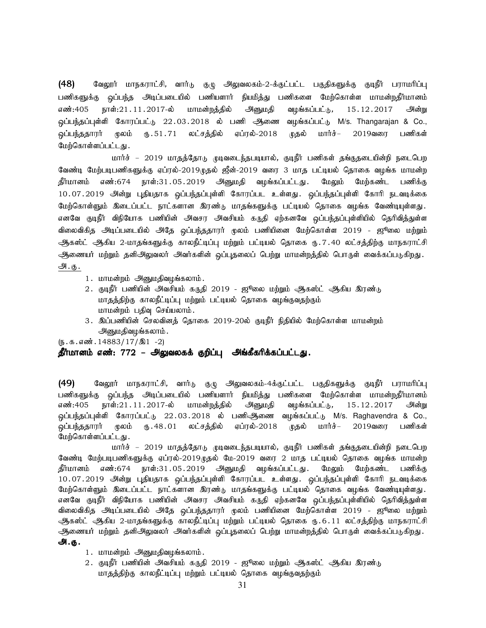$(48)$  Bவலூர் மாநகராட்சி, வார்டு குழு அலுவலகம்-2-க்குட்பட்ட பகுதிகளுக்கு குடிநீர் பராமரிப்பு பணிகளுக்கு ஒப்பந்த அடிப்படையில் பணியளார் நியமித்து பணிகளை மேற்கொள்ள மாமன்றதீர்மானம் எண்:405 நாள்:21 $\,$ .11. $\,$ 2017-ல் மாமன்றத்தில் அனுமதி வழங்கப்பட்டு, 15 $\,$ .12. $\,$ 2017 அன்று <u>ஒ</u>ப்பந்தப்புள்ளி கோரப்பட்டு 22.03.2018 ல் பணி அிணை வழங்கப்பட்டு M/s. Thangarajan & Co., <u>ஒ</u>ப்பந்ததாரர் மூலம் ரு.51.71 லட்சத்தில் ஏப்ரல்-2018 முதல் மார்ச்– 2019வரை பணிகள் மேற்கொள்ளப்பட்டது.

மார்ச் – 2019 மாதத்தோடு முடிவடைந்தபடியால், குடிநீர் பணிகள் தங்குதடையின்றி நடைபெற வேண்டி மேற்படிபணிகளுக்கு ஏப்ரல்-2019முதல் ஜீன்-2019 வரை 3 மாத பட்டியல் தொகை வழங்க மாமன்ற .<br>தீர்மானம் எண்:674 நாள்:31.05.2019 அனுமதி வழங்கப்பட்டது. மேலும் மேற்கண்ட பணிக்கு 10.07.2019 அன்று புதியதாக ஒப்பந்தப்புள்ளி கோரப்பட உள்ளது. ஒப்பந்தப்புள்ளி கோரி நடவடிக்கை மேற்கொள்ளும் இடைப்பட்ட நாட்களான இரண்டு மாதங்களுக்கு பட்டியல் தொகை வழங்க வேண்டியுள்ளது. எனவே குடிநீர் விநியோக பணியின் அவசர அவசியம் கருதி ஏற்கனவே ஒப்பந்தப்புள்ளியில் தெரிவித்துள்ள விலைவிகித அடிப்படையில் அதே ஒப்பந்ததாரர் முலம் பணியினை மேற்கொள்ள 2019 - ஜூலை மற்றும் ஆகஸ்ட் ஆகிய 2-மாதங்களுக்கு காலநீட்டிப்பு மற்றும் பட்டியல் தொகை ரு.7.40 லட்சத்திற்கு மாநகராட்சி ஆணையர் மற்றும் தனிஅலுவலர் அவர்களின் ஒப்புதலைப் பெற்று மாமன்றத்தில் பொருள் வைக்கப்படுகிறது. அ. <u>கு .</u>

- 1. மாமன்றம் அனுமதிவழங்கலாம்.
- 2. குடிநீர் பணியின் அவசியம் கருதி 2019 ஜூலை மற்றும் ஆகஸ்ட் ஆகிய இரண்டு மாதத்திற்கு காலநீட்டிப்பு மற்றும் பட்டியல் தொகை வழங்குவதற்கும் மாமன்றம் பதிவு செய்யலாம்.
- 3. இப்பணியின் செலவினத் தொகை 2019-20ல் குடிநீர் நிதியில் மேற்கொள்ள மாமன்றம் அனுமதிவழங்கலாம்.

 $(\mathfrak{g.5.4}$  6.6 $\mathfrak{g.14883}/17/\mathfrak{A}1 - 2)$ 

### தீர்மானம் எண்: 772 – அலுவலகக் குறிப்பு அங்கீகரிக்கப்பட்டது.

(49) கேலூர் மாநகராட்சி, வார்டு குழு அலுவலகம்-4க்குட்பட்ட பகுதிகளுக்கு குடிநீர் பராமரிப்பு பணிகளுக்கு ஒப்பந்த அடிப்படையில் பணியளார் நியமித்து பணிகளை மேற்கொள்ள மாமன்றதீர்மானம் எண்:405 நாள்:21 $\,$ .11. $\,$ 2017-ல் மாமன்றத்தில் அனுமதி வழங்கப்பட்டு, 15 $\,$ .12. $\,$ 2017 அன்று ஒப்பந்தப்புள்ளி கோரப்பட்டு 22.03.2018 ல் பணிஆணை வழங்கப்பட்டு M/s. Raghavendra & Co.,<br>ஒப்பந்ததாரர் மூலம் ரு.48.01 லட்சத்தில் ஏப்ரல்-2018 முதல் மார்ச்– 2019வரை பணிகள் <u>ஒ</u>ப்பந்ததாரர் முலம் ரு. 48.01 லட்சத்தில் ஏப்ரல்-2018 முதல் மார்ச்– 2019வரை பணிகள் மேற்கொள்ளப்பட்டது.

மார்ச் – 2019 மாதத்தோடு முடிவடைந்தபடியால், குடிநீர் பணிகள் தங்குதடையின்றி நடைபெற வேண்டி மேற்படிபணிகளுக்கு ஏப்ரல்-2019முதல் மே-2019 வரை 2 மாத பட்டியல் தொகை வழங்க மாமன்ற .<br>தீர்மானம் எண்:674 நாள்:31.05.2019 அனுமதி வழங்கப்பட்டது. மேலும் மேற்கண்ட பணிக்கு 10.07.2019 அன்று புதியதாக ஒப்பந்தப்புள்ளி கோரப்பட உள்ளது. ஒப்பந்தப்புள்ளி கோரி நடவடிக்கை மேற்கொள்ளும் இடைப்பட்ட நாட்களான இரண்டு மாதங்களுக்கு பட்டியல் தொகை வழங்க வேண்டியுள்ளது. எனவே குடிநீர் விநியோக பணியின் அவசர அவசியம் கருதி ஏற்கனவே ஒப்பந்தப்புள்ளியில் தெரிவித்துள்ள விலைவிகித அடிப்படையில் அதே ஒப்பந்ததாரர் முலம் பணியினை மேற்கொள்ள 2019 - ஜூலை மற்றும் ஆகஸ்ட் ஆகிய 2-மாகங்களுக்கு காலநீட்டிப்பு மற்றும் பட்டியல் கொகை ரூ.6.11 லட்சக்கிற்கு மாநகராட்சி ஆணையர் மற்றும் தனிஅலுவலர் அவர்களின் ஒப்புதலைப் பெற்று மாமன்றத்தில் பொருள் வைக்கப்படுகிறது. அ.கு.

- 1. மாமன்றம் அனுமதிவழங்கலாம்.
- 2. குடிநீர் பணியின் அவசியம் கருதி 2019 ஜூலை மற்றும் ஆகஸ்ட் ஆகிய இரண்டு மாதத்திற்கு காலநீட்டிப்பு மற்றும் பட்டியல் தொகை வழங்குவதற்கும்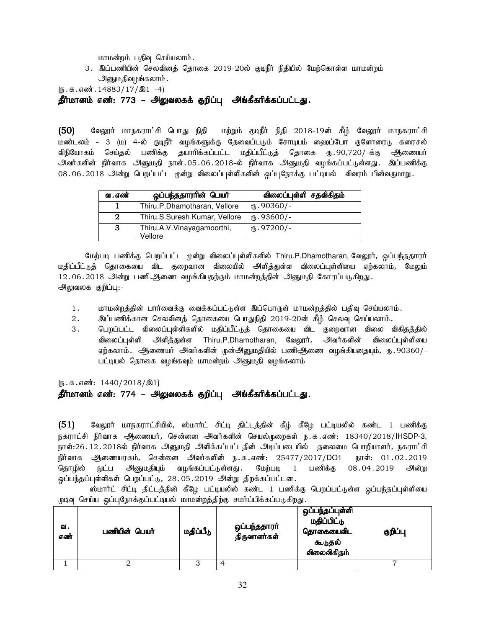மாமன்றம் பதிவு செய்யலாம்.

3. இப்பணியின் செலவினத் தொகை 2019-20ல் குடிநீர் நிதியில் மேற்கொள்ள மாமன்றம் அனுமதிவழங்கலாம்.

 $(\mathfrak{g.5.4}$  6.6 $\mathfrak{g.14883}/17/\mathfrak{A}1$  -4)

தீர்மானம் எண்: 773 – அலுவலகக் குறிப்பு அங்கீகரிக்கப்பட்டது.

(50) கேலூர் மாநகராட்சி பொது நிதி மற்றும் குடிநீர் நிதி 2018-19ன் கீழ் வேலூர் மாநகராட்சி மண்டலம் - 3 (ம) 4-ல் குடிநீர் வழங்களுக்கு தேவைப்படும் சோடியம் ஹைப்போ குளோரைடு கரைசல் விநியோகம் செய்தல் பணிக்கு தயாரிக்கப்பட்ட மதிப்பீட்டுத் தொகை ரு.90,720/-க்கு ஆணையர் அவர்களின் நிர்வாக அனுமதி நாள்.05.06.2018-ல் நிர்வாக அனுமதி வழங்கப்பட்டுள்ளது. இப்பணிக்கு 08.06.2018 அன்று பெறப்பட்ட முன்று விலைப்புள்ளிகளின் ஒப்புநோக்கு பட்டியல் விவரம் பின்வருமாறு.

| வ . எண் | ஒப்பந்ததாரரின் பெயர்                  | விலைப்புள்ளி சதவிகிதம் |
|---------|---------------------------------------|------------------------|
|         | Thiru.P.Dhamotharan, Vellore          | $\mathbf{L}$ .90360/-  |
| 2       | Thiru.S.Suresh Kumar, Vellore         | $(B.93600/-$           |
| -3      | Thiru.A.V.Vinayagamoorthi,<br>Vellore | $(D.97200)$ -          |

மேற்படி பணிக்கு பெறப்பட்ட முன்று விலைப்புள்ளிகளில் Thiru.P.Dhamotharan, வேலூர், ஒப்பந்ததாரர் மதிப்பீட்டுத் தொகையை விட குறைவான விலையில் அளித்துள்ள விலைப்புள்ளியை ஏற்கலாம், மேலும்  $12.06.2018$  அன்று பணிஆணை வழங்கியதற்கும் மாமன்றத்தின் அனுமதி கோரப்படுகிறது. அலுவலக குறிப்பு:-

- 1. khr மன்றத்தின் பார்வைக்கு வைக்கப்பட்டுள்ள இப்பொருள் மாமன்றத்தில் பதிவு செய்யலாம்.
- 2. இப்பணிக்கான செலவினத் தொகையை பொதுநிதி 2019-20ன் கீழ் செலவு செய்யலாம்.
- 3 . பெறப்பட்ட விலைப்புள்ளிகளில் மதிப்பீட்டுத் தொகையை விட குறைவான விலை விகிதத்தில் விலைப்புள்ளி அளித்துள்ள Thiru.P.Dhamotharan, வேலூர், அவர்களின் விலைப்புள்ளியை ஏற்கலாம். ஆணையர் அவர்களின் முன்அனுமதியில் பணிஆிணை வழங்கியதையும், ரு. 90360/-பட்டியல் தொகை வழங்கவும் மாமன்றம் அனுமதி வழங்கலாம்

 $(\mathfrak{g}.\mathfrak{g}.\mathfrak{g}.\mathfrak{g}.\mathfrak{g}.\mathfrak{g}.\mathfrak{g}.\mathfrak{g}.\mathfrak{g}.\mathfrak{g}.\mathfrak{g}.\mathfrak{g}.\mathfrak{g}.\mathfrak{g}.\mathfrak{g}.\mathfrak{g}.\mathfrak{g}.\mathfrak{g}.\mathfrak{g}.\mathfrak{g}.\mathfrak{g}.\mathfrak{g}.\mathfrak{g}.\mathfrak{g}.\mathfrak{g}.\mathfrak{g}.\mathfrak{g}.\mathfrak{g}.\mathfrak{g}.\mathfrak{g}.\mathfrak{g}.\mathfr$ 

# தீர்மானம் எண்: 774 – அலுவலகக் குறிப்பு அங்கீகரிக்கப்பட்டது.

 $(51)$  வேலூர் மாநகராட்சியில், ஸ்மார்ட் சிட்டி திட்டத்தின் கீழ் கீழே பட்டியலில் கண்ட 1 பணிக்கு நகராட்சி நிர்வாக ஆணையர், சென்னை அவர்களின் செயல்முறைகள் ந.க.எண்: 18340/2018/IHSDP-3, நாள்:26.12.2018ல் நிர்வாக அனுமதி அளிக்கப்பட்டதின் அடிப்படையில் தலைமை பொறியாளர், நகராட்சி நிர்வாக ஆணையரகம், சென்னை அவர்களின் ந.க.எண்: 25477/2017/DO1 நாள்: 01.02.2019 தொழில் நுட்ப அனுமதியும் வழங்கப்பட்டுள்ளது. மேற்படி 1 பணிக்கு 08.04.2019 அன்று <u>ஒ</u>ப்பந்தப்புள்ளிகள் பெறப்பட்டு, 28.05.2019 அன்று திறக்கப்பட்டன.

ஸ்மார்ட் சிட்டி திட்டத்தின் கீழே பட்டியலில் கண்ட 1 பணிக்கு பெறப்பட்டுள்ள ஒப்பந்தப்புள்ளியை முடிவு செய்ய ஒப்புநோக்குப்பட்டியல் மாமன்றத்திற்கு சமர்ப்பிக்கப்படுகிறது.

| ഖ.<br>எண் | பணியின் பெயர் | மதிப்பீடு | ஒப்பந்ததாரா்<br>திருவாளர்கள் | ஒப்பந்தப்புள்ளி<br>மதிப்பிட்டு<br>தொகையைவிட<br>கூடுதல்<br>விலைவிகிதம் | குறிப்பு |
|-----------|---------------|-----------|------------------------------|-----------------------------------------------------------------------|----------|
|           |               |           |                              |                                                                       |          |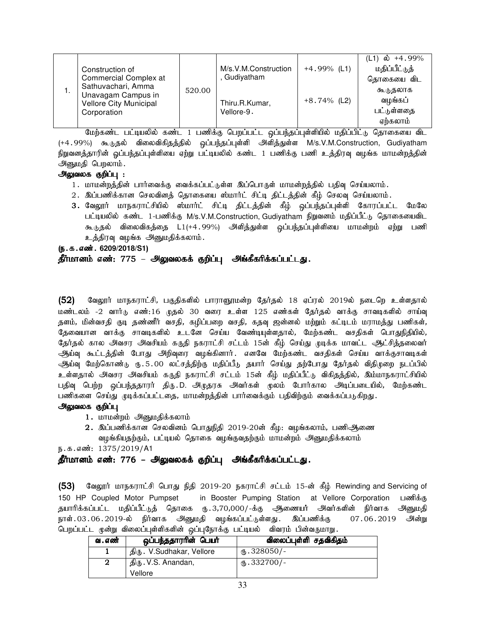|    | Construction of<br>Commercial Complex at                                          |        | M/s.V.M.Construction<br>Gudiyatham | $+4.99\%$ (L1) | ல் +4.99%<br>(L1)<br>மதிப்பீட்டுத்<br>தொகையை விட |
|----|-----------------------------------------------------------------------------------|--------|------------------------------------|----------------|--------------------------------------------------|
| ι. | Sathuvachari, Amma<br>Unavagam Campus in<br>Vellore City Municipal<br>Corporation | 520.00 | Thiru.R.Kumar,<br>Vellore-9.       | $+8.74\%$ (L2) | கூடுதலாக<br>வழங்கப்<br>பட்டுள்ளதை<br>ஏற்கலாம்    |

மேற்கண்ட பட்டியலில் கண்ட 1 பணிக்கு பெறப்பட்ட ஒப்பந்தப்புள்ளியில் மதிப்பிட்டு தொகையை விட (+4.99%) கூடுதல் விலைவிகிதத்தில் ஒப்பந்தப்புள்ளி அளித்துள்ள M/s.V.M.Construction, Gudiyatham நிறுவனத்தாரின் ஓப்பந்தப்புள்ளியை ஏற்று பட்டியலில் கண்ட 1 பணிக்கு பணி உத்திரவு வழங்க மாமன்றத்தின் அனுமதி பெறலாம்.

# அலுவலக குறிப்பு :

- 1. மாமன்றத்தின் பார்வைக்கு வைக்கப்பட்டுள்ள இப்பொருள் மாமன்றத்தில் பதிவு செய்யலாம்.
- 2. இப்பணிக்கான செலவினத் தொகையை ஸ்மார்ட் சிட்டி திட்டத்தின் கீழ் செலவு செய்யலாம்.
- 3. வேலூர் மாநகராட்சியில் ஸ்மார்ட் சிட்டி திட்டத்தின் கீழ் ஒப்பந்தப்புள்ளி கோரப்பட்ட மேலே பட்டியலில் கண்ட 1-பணிக்கு M/s.V.M.Construction, Gudiyatham நிறுவனம் மதிப்பீட்டு தொகையைவிட கூடுதல் விலைவிகத்தை L1(+4.99%) அளித்துள்ள ஒப்பந்தப்புள்ளியை மாமன்றம் ஏற்று பணி உத்திரவு வழங்க அனுமதிக்கலாம்.

(ந.க.எண். 6209/2018/S1)

# தீர்மானம் எண்: 775 – அலுவலகக் குறிப்பு அங்கீகரிக்கப்பட்டது.

(52) வேலூர் மாநகராட்சி, பகுதிகளில் பாராளூரமன்ற தேர்தல் 18 ஏப்ரல் 2019ல் நடைறெ உள்ளதால் மண்டலம் -2 வார்டு எண்:16 முதல் 30 வரை உள்ள 125 எண்கள் கேர்கல் வாக்கு சாவடிகளில் சாய்வு தளம், மின்வசதி குடி தண்ணீர் வசதி, கழிப்பறை வசதி, கதவு ஜன்னல் மற்றும் கட்டிடம் மராமத்து பணிகள், தேவையான வாக்கு சாவடிகளில் உடனே செய்ய வேண்டியுள்ளதால், மேற்கண்ட வசதிகள் பொதுநிதியில், தேர்தல் கால அவசர அவசியம் கருதி நகராட்சி சட்டம் 15ன் கீழ் செய்து முடிக்க மாவட்ட ஆட்சித்தலைவர் ஆர்ப்வு கூட்டத்தின் போது அறிவுரை வழங்கினார். எனவே மேற்கண்ட வசதிகள் செய்ய வாக்குசாவடிகள் ஆய்வு மேற்கொண்<sub>டு ரு.</sub>5.00 லட்சத்திற்கு மதிப்பீடு தயார் செய்து தற்போது தேர்தல் விதிமுறை நடப்பில் உள்ளதால் அவசர அவசியம் கருதி நகராட்சி சட்டம் 15ன் கீழ் மதிப்பீட்டு விகிதத்தில், இம்மாநகராட்சியில் பதிவு பெற்ற ஒப்பந்ததாரர் திரு.D. அடிதரசு அவர்கள் மூலம் போர்கால அடிப்படையில், மேற்கண்ட பணிகளை செய்து முடிக்கப்பட்டதை, மாமன்றத்தின் பார்வைக்கும் பதிவிற்கும் வைக்கப்படுகிறது.

### அலுவலக குறிப்பு

- 1. மாமன்றம் அனுமதிக்கலாம்
- $2.$  இப்பணிக்கான செலவினம் பொதுநிதி 2019-20ன் கீழ: வழங்கலாம், பணிஆணை வழங்கியதற்கும், பட்டியல் தொகை வழங்குவதற்கும் மாமன்றம் அனுமதிக்கலாம்

ந.க.எண்: 1375/2019/A1

# தீர்மானம் எண்: 776 – அலுவலகக் குறிப்பு அங்கீகரிக்கப்பட்டது.

 $(53)$  Baலூர் மாநகராட்சி பொது நிதி 2019-20 நகராட்சி சட்டம் 15-ன் கீழ் Rewinding and Servicing of 150 HP Coupled Motor Pumpset in Booster Pumping Station at Vellore Corporation பணிக்கு தயாரிக்கப்பட்ட மதிப்பீட்டுத் தொகை ரு.3,70,000/-க்கு ஆணையர் அவர்களின் நிர்வாக அனுமதி நாள்.03.06.2019-ல் நிர்வாக அனுமதி வழங்கப்பட்டுள்ளது. இப்பணிக்கு 07.06.2019 அன்று பெறப்பட்ட முன்று விலைப்புள்ளிகளின் ஒப்புநோக்கு பட்டியல் விவரம் பின்வருமாறு

| வ . எண் | ஒப்பந்ததாரரின் பெயர்      | விலைப்புள்ளி சதவிகிதம் |
|---------|---------------------------|------------------------|
|         | திரு. V.Sudhakar, Vellore | $\omega$ .328050/-     |
| 2       | திரு. V.S. Anandan,       | $\omega$ .332700/-     |
|         | Vellore                   |                        |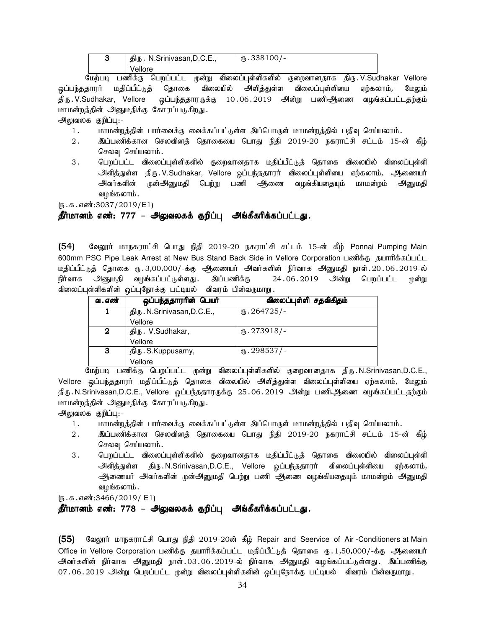| ັ | திரு. N.Srinivasan, D.C.E., | $\text{I}$ .338100/- |
|---|-----------------------------|----------------------|
|   | Vellore                     |                      |

மேற்படி பணிக்கு பெறப்பட்ட முன்று விலைப்புள்ளிகளில் குறைவானதாக திரு.V.Sudhakar Vellore <u>ஒ</u>ப்பந்ததாரர் மதிப்பீட்டுத் தொகை விலையில் அளித்துள்ள விலைப்புள்ளியை ஏற்கலாம், மேலும் திரு .V.Sudhakar, Vellore ஒப்பந்ததாரருக்கு 10<code>.06.2019</code> அன்று பணிஆணை வழங்கப்பட்டதற்கும் மாமன்றத்தின் அனுமதிக்கு கோரப்படுகிறது.

அலுவலக குறிப்பு:-

- 1. மாமன்றத்தின் பார்வைக்கு வைக்கப்பட்டுள்ள இப்பொருள் மாமன்றத்தில் பதிவு செய்யலாம்.
- 2. ng;gzpf;fhd brytpdj; bjhifia bghJ epjp 2019-20 efuhl;rp rl;lk; 15-d; fPH; செலவு செய்யலாம்.
- 3. பெறப்பட்ட விலைப்புள்ளிகளில் குறைவானதாக மதிப்பீட்டுத் தொகை விலையில் விலைப்புள்ளி அிளித்துள்ள திரு.V.Sudhakar, Vellore ஒப்பந்ததாரர் விலைப்புள்ளியை ஏற்கலாம், ஆணையர் அவர்களின் முன்அனுமதி பெற்று பணி ஆணை வழங்கியதையும் மாமன்றம் அனுமதி வழங்கலாம் .

 $(5.5.5.5\text{...})$ 

### தீர்மானம் எண்: 777 – அலுவலகக் குறிப்பு அங்கீகரிக்கப்பட்டது.

 $(54)$  Bூலூர் மாநகராட்சி பொது நிதி 2019-20 நகராட்சி சட்டம் 15-ன் கீழ் Ponnai Pumping Main 600mm PSC Pipe Leak Arrest at New Bus Stand Back Side in Vellore Corporation பணிக்கு தயாரிக்கப்பட்ட மதிப்பீட்டுத் தொகை ரு.3,00,000/-க்கு ஆணையர் அவர்களின் நிர்வாக அனுமதி நாள்.20.06.2019-ல் நிர்வாக அனுமதி வழங்கப்பட்டுள்ளது. இப்பணிக்கு 24.06.2019 அன்று பெறப்பட்ட முன்று விலைப்புள்ளிகளின் ஒப்புநோக்கு பட்டியல் விவரம் பின்வருமாறு.

| வ . எண்          | ஒப்பந்ததாரரின் பெயர்        | விலைப்புள்ளி சதவிகிதம் |
|------------------|-----------------------------|------------------------|
|                  | திரு. N.Srinivasan, D.C.E., | $\omega$ .264725/-     |
|                  | Vellore                     |                        |
| $\boldsymbol{2}$ | திரு. V.Sudhakar,           | $\text{I}5.273918/-$   |
|                  | Vellore                     |                        |
| 3                | திரு. S.Kuppusamy,          | $\times$ .298537/-     |
|                  | Vellore                     |                        |

மேற்படி பணிக்கு பெறப்பட்ட முன்று விலைப்புள்ளிகளில் குறைவானதாக திரு.N.Srinivasan,D.C.E., Vellore ஒப்பந்ததாரர் மதிப்பீட்டுத் தொகை விலையில் அி்த்துள்ள விலைப்புள்ளியை ஏற்கலாம், மேலும் திரு . N.Srinivasan,D.C.E., Vellore ஒப்பந்ததாரருக்கு 25 . 06 . 2019 அன்று பணிஆ்ணை வழங்கப்பட்டதற்கும் மாமன்றத்தின் அனுமதிக்கு கோரப்படுகிறது.

அலுவலக குறிப்பு:-

- 1. khr மன்றத்தின் பார்வைக்கு வைக்கப்பட்டுள்ள இப்பொருள் மாமன்றத்தில் பதிவு செய்யலாம்.
- 2 . இப்பணிக்கான செலவினத் தொகையை பொது நிதி 2019-20 நகராட்சி சட்டம் 15-ன் கீழ் செலவு செய்யலாம்.
- 3 . பெறப்பட்ட விலைப்புள்ளிகளில் குறைவானதாக மதிப்பீட்டுத் தொகை விலையில் விலைப்புள்ளி அிளித்துள்ள திரு.N.Srinivasan,D.C.E., Vellore ஒப்பந்ததாரர் விலைப்புள்ளியை ஏற்கலாம், ஆணையர் அவர்களின் முன்அனுமதி பெற்று பணி ஆணை வழங்கியதையும் மாமன்றம் அனுமதி வழங்கலாம்.

 $(5.5.5.5\frac{1}{2466}/2019/ E1)$ 

### தீர்மானம் எண்: 778 – அலுவலகக் குறிப்பு அங்கீகரிக்கப்பட்டது.

(55) வேலூர் மாநகராட்சி பொது நிதி 2019-20ன் கீழ் Repair and Seervice of Air -Conditioners at Main Office in Vellore Corporation பணிக்கு தயாரிக்கப்பட்ட மதிப்பீட்டுத் தொகை ரூ. 1,50,000/-க்கு ஆணையா் அவர்களின் நிர்வாக அனுமதி நாள்.03.06.2019-ல் நிர்வாக அனுமதி வழங்கப்பட்டுள்ளது. இப்பணிக்கு 07.06.2019 அன்று பெறப்பட்ட முன்று விலைப்புள்ளிகளின் ஒப்புநோக்கு பட்டியல் விவரம் பின்வருமாறு.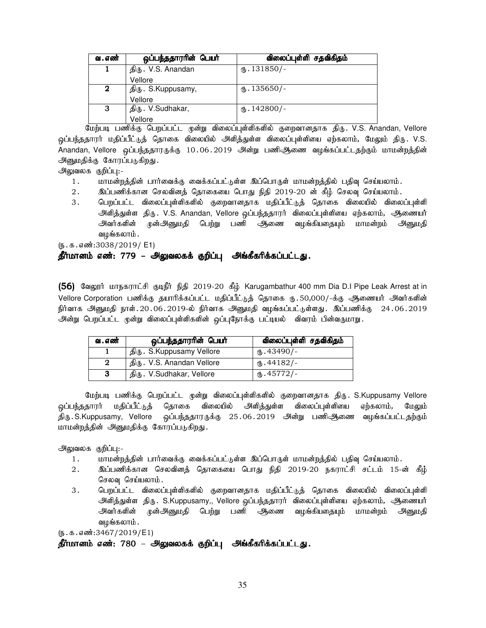| வ . எண் | ஒப்பந்ததாரரின் பெயர் | விலைப்புள்ளி சதவிகிதம் |
|---------|----------------------|------------------------|
|         | திரு. V.S. Anandan   | $\text{I}31850/-$      |
|         | Vellore              |                        |
| 2       | திரு. S.Kuppusamy,   | $\text{I}35650/-$      |
|         | Vellore              |                        |
| З       | திரு. V.Sudhakar,    | $\text{I}42800$ /-     |
|         | Vellore              |                        |

மேற்படி பணிக்கு பெறப்பட்ட முன்று விலைப்புள்ளிகளில் குறைவானதாக திரு. V.S. Anandan, Vellore <u>ஒ</u>ப்பந்ததாரர் மதிப்பீட்டுத் தொகை விலையில் அளித்துள்ள விலைப்புள்ளியை ஏற்கலாம், மேலும் திரு. V.S. Anandan, Vellore ஒப்பந்ததாரருக்கு 10.06.2019 அன்று பணிஅிணை வழங்கப்பட்டதற்கும் மாமன்றத்தின் அனுமதிக்கு கோரப்படுகிறது.

அலுவலக குறிப்பு:-

- 1. khr மன்றத்தின் பார்வைக்கு வைக்கப்பட்டுள்ள இப்பொருள் மாமன்றத்தில் பதிவு செய்யலாம்.
- 2. இப்பணிக்கான செலவினத் தொகையை பொது நிதி 2019-20 ன் கீழ் செலவு செய்யலாம்.
- 3. பெறப்பட்ட விலைப்புள்ளிகளில் குறைவானதாக மதிப்பீட்டுத் தொகை விலையில் விலைப்புள்ளி அளித்துள்ள திரு. V.S. Anandan, Vellore ஒப்பந்ததாரர் விலைப்புள்ளியை ஏற்கலாம், ஆணையர் அவர்களின் முன்அனுமதி பெற்று பணி ஆணை வழங்கியதையும் மாமன்றம் அனுமதி வழங்கலாம் .

 $(5.5.5.5\frac{1}{2038}/2019/$  E1)

# <u>தீ</u>ர்மானம் எண்: 779 – அலுவலகக் குறிப்பு அங்கீகரிக்கப்பட்டது.

(56) வேலூர் மாநகராட்சி குடிநீர் நிதி 2019-20 கீழ் Karugambathur 400 mm Dia D.I Pipe Leak Arrest at in Vellore Corporation பணிக்கு தயாரிக்கப்பட்ட மதிப்பீட்டுத் தொகை ரு. 50,000/-க்கு ஆணையர் அவர்களின் நிர்வாக அனுமதி நாள்.20.06.2019-ல் நிர்வாக அனுமதி வழங்கப்பட்டுள்ளது. இப்பணிக்கு 24.06.2019 அன்று பெறப்பட்ட முன்று விலைப்புள்ளிகளின் ஒப்புநோக்கு பட்டியல் விவரம் பின்வருமாறு.

| வ . எண் | ஒப்பந்ததாரரின் பெயர்       | விலைப்புள்ளி சதவிகிதம் |
|---------|----------------------------|------------------------|
|         | திரு. S.Kuppusamy Vellore  | $(B.43490/-$           |
|         | திரு. V.S. Anandan Vellore | $\omega$ .44182/-      |
| 3       | திரு. V.Sudhakar, Vellore  | $\omega$ .45772/-      |

மேற்படி பணிக்கு பெறப்பட்ட முன்று விலைப்புள்ளிகளில் குறைவானதாக திரு. S.Kuppusamy Vellore <u>ஒ</u>ப்பந்ததாரர் மதிப்பீட்டுத் தொகை விலையில் அளித்துள்ள விலைப்புள்ளியை ஏற்கலாம், மேலும் திரு .S.Kuppusamy, Vellore ஒப்பந்ததாரருக்கு 25.06.2019 அன்று பணிஅிணை வழங்கப்பட்டதற்கும் மாமன்றத்தின் அனுமதிக்கு கோரப்படுகிறது.

அலுவலக குறிப்பு:-

- 1. khkd;wj;jpd; ghh;itf;F itf;fg;gl;Ls;s ng;bghUs; khkd;wj;jpy; gjpt[ bra;ayhk;.
- 2. ng;gzpf;fhd brytpdj; bjhifia bghJ epjp 2019-20 efuhl;rp rl;lk; 15-d; fPH; செலவு செய்யலாம்.
- 3 . பெறப்பட்ட விலைப்புள்ளிகளில் குறைவானதாக மதிப்பீட்டுத் தொகை விலையில் விலைப்புள்ளி அளித்துள்ள திரு. S.Kuppusamy,, Vellore ஒப்பந்ததாரர் விலைப்புள்ளியை ஏற்கலாம், ஆணையர் அவர்களின் முன்அனுமதி பெற்று பணி அகணை வழங்கியதையும் மாமன்றம் அ<u>னு</u>மதி வழங்கலாம்.

 $(5.5.5.5\cdot 3467/2019/E1)$ 

தீர்மானம் எண்: 780 – அலுவலகக் குறிப்பு அங்கீகரிக்கப்பட்டது.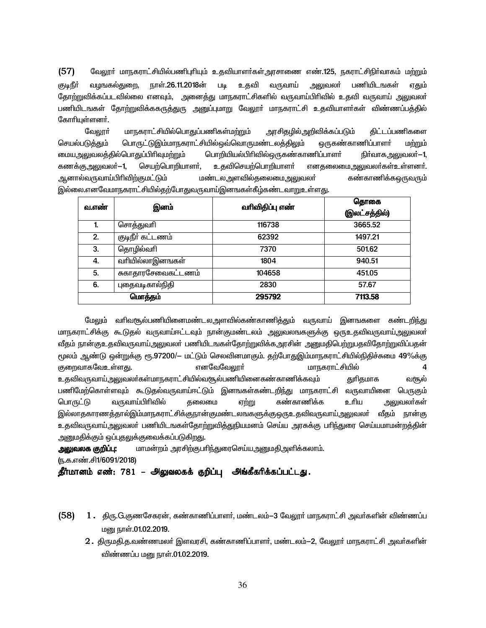(57) வேலூா் மாநகராட்சியில்பணிபுாியும் உதவியாளா்கள்அரசாணை எண்.125, நகராட்சிநிா்வாகம் மற்றும் குடிநீா் வழஙகல்துறை, நாள்.26.11.2018ன் படி உதவி வருவாய் அலுவலா் பணியிடஙகள் ஏ<u>கு</u>ம் தோற்றுவிக்கப்படவில்லை எனவும், அனைத்து மாநகராட்சிகளில் வருவாய்பிரிவில் உதவி வருவாய் அலுவலா் பணியிடஙகள் தோற்றுவிக்ககருத்துரு அனுப்புமாறு வேலூா் மாநகராட்சி உதவியாளா்கள் விண்ணப்பத்தில் கோரியுள்ளனர்.

வேலூா் மாநகராட்சியில்பொதுப்பணிகள்மற்றும் அரசிதழில்அறிவிக்கப்படும் திட்டப்பணிகளை செயல்படுத்தும் பொருட்டுஇம்மாநகராட்சியில்ஒவ்வொருமண்டலத்திலும் ஒருகண்காணிப்பாளா் மற்றும் மையஅலுவலத்தில்பொதுப்பிரிவுமற்றும் பொறியியல்பிரிவில்ஒருகண்காணிப்பாளா் நிா்வாகஅலுவலா்—1, கணக்குஅலுவலா்—1, செயற்பொறியாளா், உதவிசெயற்பொறியாளா் எனதலைமைஅலுவலா்கள்உள்ளனா். MdhštUthŒÃçé‰Fk£L« k©lymséšjiyikmYty® f©fhâ¡fxUtU« இல்லை.எனவேமாநகராட்சியில்தற்போதுவருவாய்இனஙகள்கீழ்கண்டவாறுஉள்ள<u>த</u>ு.

| வ.எண்   | இனம்               | வரிவிதிப்பு எண் | தொகை          |
|---------|--------------------|-----------------|---------------|
|         |                    |                 | (இலட்சத்தில்) |
| 1.      | சொத்துவரி          | 116738          | 3665.52       |
| 2.      | குடிநீா் கட்டணம்   | 62392           | 1497.21       |
| 3.      | தொழில்வரி          | 7370            | 501.62        |
| 4.      | வாியில்லாஇனஙகள்    | 1804            | 940.51        |
| 5.      | சுகாதாரசேவைகட்டணம் | 104658          | 451.05        |
| 6.      | புதைவடிகால்நிதி    | 2830            | 57.67         |
| மொத்தம் |                    | 295792          | 7113.58       |

மேலும் வரிவசூல்பணியினைமண்டலஅளவில்கண்காணிக்கும் வருவாய் இனஙகளை கண்டறிந்து மாநகராட்சிக்கு கூடுதல் வருவாய்ஈட்டவும் நான்குமண்டலம் அலுவலஙகளுக்கு ஒருஉதவிவருவாய்அலுவலா் வீதம் நான்குஉதவிவருவாய்அலுவலா் பணியிடஙகள்தோற்றுவிக்கஅரசின் அனுமதிபெற்றுபதவிதோற்றுவிப்பதன் <sub>டீ</sub>ழலம் ஆண்டு ஒன்றுக்கு ரூ.97200/− மட்டும் செலவினமாகும். தற்போதுஇம்மாநகராட்சியில்நிதிச்சுமை 49%க்கு குறைவாகவேஉள்ளது. எனவேவேலூா் 4 cjétUthŒmYty®fŸkhefuh£ÁæštNšgâæidf©fhâ¡fΫ Jçjkhf tNš பணிமேற்கொள்ளவும் கூடுதல்வருவாய்ஈட்டும் இனஙகள்கண்டறிந்து மாநகராட்சி வருவாயினை பெருகும் பொருட்டு வருவாய்பிரிவில் தலைமை ஏற்று கண்காணிக்க உரிய அலுவலர்கள் இல்லாதகாரணத்தால்இம்மாநகராட்சிக்குநான்குமண்டலஙகளுக்குஒருஉதவிவருவாய்,அலுவலா் வீதம் நான்கு உதவிவருவாய்அலுவலா் பணியிடஙகள்தோற்றுவித்துநியமனம் செய்ய அரசுக்கு பாிந்துரை செய்யமாமன்றத்தின் <u>அனுமதிக்கும் ஒப்புதலுக்குவைக்கப்படுகிறது.</u>

**அலுவலக குறிப்பு:** மாமன்றம் அரசிற்குபாிந்துரைசெய்யஅனுமதிஅளிக்கலாம். (ந.க.எண்.சி1/6091/2018)

தீர்மானம் எண்: 781 – அலுவலகக் குறிப்பு அங்கீகரிக்கப்பட்டது.

- $(58)$   $1.$  திரு.G.குணசேகரன், கண்காணிப்பாளர், மண்டலம் $-3$  வேலூர் மாநகராட்சி அவர்களின் விண்ணப்ப மனு நாள்.01.02.2019.
	- $2.$  திருமதி.த.வண்ணமலா் இளவரசி, கண்காணிப்பாளா், மண்டலம் $-2$ , வேலூா் மாநகராட்சி அவா்களின் விண்ணப்ப மனு நாள்.01.02.2019.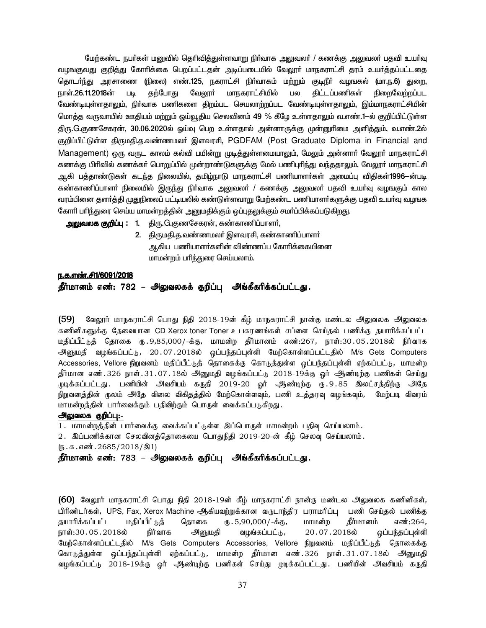மேற்கண்ட நபர்கள் மனுவில் தெரிவித்துள்ளவாறு நிர்வாக அலுவலர் / கணக்கு அலுவலர் பதவி உயர்வு வழஙகுவது குறித்து கோாிக்கை பெறப்பட்டதன் அடிப்படையில் வேலூா் மாநகராட்சி தரம் உயா்த்தப்பட்டதை தொடா்ந்து அரசாணை (நிலை) எண்.125, நகராட்சி நிா்வாகம் மற்றும் குடிநீா் வழஙகல் (மா.ந.6) துறை, நாள்.26.11.2018ன் படி தற்போது வேலூா் மாநகராட்சியில் பல திட்டப்பணிகள் நிறைவேற்றப்பட வேண்டியுள்ளதாலும், நிர்வாக பணிகளை திறம்பட செயலாற்றப்பட வேண்டியுள்ளதாலும், இம்மாநகராட்சியின் மொத்த வருவாயில் ஊதியம் மற்றும் ஒய்வூதிய செலவினம் 49 % கீழே உள்ளதாலும் வ.எண்.1—ல் குறிப்பிட்டுள்ள திரு.G.குணசேகரன், 30.06.2020ல் ஓய்வு பெற உள்ளதால் அன்னாருக்கு முன்னுரிமை அளித்தும், வ.எண்.2ல் குறிப்பிட்டுள்ள திருமதி.த.வண்ணமலர் இளவரசி, PGDFAM (Post Graduate Diploma in Financial and Management) ஒரு வருட காலம் கல்வி பயின்று முடித்துள்ளமையாலும், மேலும் அன்னாா் வேலூா் மாநகராட்சி கணக்கு பிரிவில் கணக்கர் பொறுப்பில் முன்றாண்டுகளுக்கு மேல் பணிபுரிந்து வந்ததாலும், வேலூர் மாநகராட்சி ஆகி பத்தாண்டுகள் கடந்த நிலையில், தமிழ்நாடு மாநகராட்சி பணியாளா்கள் அமைப்பு விதிகள்**1996**—ன்படி கண்காணிப்பாளா் நிலையில் இருந்து நிா்வாக அலுவலா் / கணக்கு அலுவலா் பதவி உயா்வு வழஙகும் கால வரம்பினை தளா்த்தி முதுநிலைப் பட்டியலில் கண்டுள்ளவாறு மேற்கண்ட பணியாளா்களுக்கு பதவி உயா்வு வழஙக கோரி பரிந்துரை செய்ய மாமன்றத்தின் அனுமதிக்கும் ஒப்புதலுக்கும் சமா்ப்பிக்கப்படுகிறது.

<mark>அலுவலக குறிப்பு : 1</mark>. திரு.G.குணசேகரன், கண்காணிப்பாளர்,

2. திருமதி.த.வண்ணமலா் இளவரசி, கண்காணிப்பாளா் ஆகிய பணியாளர்களின் விண்ணப்ப கோரிக்கையினை மாமன்றம் பரிந்துரை செய்யலாம்.

# <u>ந.க.எண்.சி1/6091/2018</u>

# தீர்மானம் எண்: 782 – அலுவலகக் குறிப்பு அங்கீகரிக்கப்பட்டது.

 $(59)$  வேலூர் மாநகராட்சி பொது நிதி 2018-19ன் கீழ் மாநகராட்சி நான்கு மண்டல அலுவலக அலுவலக கணினிகளுக்கு தேவையான CD Xerox toner Toner உபகரணங்கள் சப்ளை செய்தல் பணிக்கு தயாரிக்கப்பட்ட மதிப்பீட்டுத் தொகை ரு. 9,85,000/-க்கு, மாமன்ற தீர்மானம் எண்:267, நாள்:30 . 05 . 2018ல் நிர்வாக அ்னுமதி வழங்கப்பட்டு, 20.07.2018ல் ஒப்பந்தப்புள்ளி மேற்கொள்ளப்பட்டதில் M/s Gets Computers Accessories, Vellore நிறுவனம் மதிப்பீட்டுத் தொகைக்கு கொடுத்துள்ள ஒப்பந்தப்புள்ளி ஏற்கப்பட்டு, மாமன்ற தீர்மான எண்.326 நாள்.31.07.18ல் அனுமதி வழங்கப்பட்டு 2018-19க்கு ஓர் ஆண்டிற்கு பணிகள் செய்து முடிக்கப்பட்டது. பணியின் அவசியம் கருதி 2019-20 ஓர் ஆண்டிற்கு ரூ.9.85 இலட்சத்திற்கு அதே நிறுவனத்தின் முலம் அதே விலை விகிதத்தில் மேற்கொள்ளவும், பணி உத்தரவு வழங்கவும், மேற்படி விவரம் மாமன்றத்தின் பார்வைக்கும் பதிவிற்கும் பொருள் வைக்கப்படுகிறது.

### அலுவலக குறிப்பு:-

1. மாமன்றத்தின் பார்வைக்கு வைக்கப்பட்டுள்ள இப்பொருள் மாமன்றம் பதிவு செய்யலாம்.

2. இப்பணிக்கான செலவினத்தொகையை பொதுநிதி 2019-20-ன் கீழ் செலவு செய்யலாம்.

 $(\mathfrak{g.5.45001}.2685/2018/\mathcal{A})$ 

தீர்மானம் எண்: 783 – அலுவலகக் குறிப்பு அங்கீகரிக்கப்பட்டது.

 $(60)$  வேலூர் மாநகராட்சி பொது நிதி 2018-19ன் கீழ் மாநகராட்சி நான்கு மண்டல அலுவலக கணினிகள், பிரிண்டர்கள், UPS, Fax, Xerox Machine ஆகியவற்றுக்கான வருடாந்திர பராமரிப்பு பணி செய்தல் பணிக்கு தயாரிக்கப்பட்ட மதிப்பீட்டுத் தொகை ரு. 5,90,000/-க்கு, மாமன்ற தீர்மானம் எண்:264,<br>நாள்:30 . 05 . 2018ல் நிர்வாக அனுமதி வழங்கப்பட்டு, 20 . 07 . 2018ல் வப்பந்தப்புள்ளி நாள்:30.05.2018ல் நிர்வாக அனுமதி வழங்கப்பட்டு, 20.07.2018ல் ஒப்பந்தப்புள்ளி மேற்கொள்ளப்பட்டதில் M/s Gets Computers Accessories, Vellore நிறுவனம் மதிப்பீட்டுத் தொகைக்கு கொடுத்துள்ள ஒப்பந்தப்புள்ளி ஏற்கப்பட்டு, மாமன்ற தீர்மான எண்.326 நாள்.31.07.18ல் அனுமதி வழங்கப்பட்டு 2018-19க்கு ஓர் ஆண்டிற்கு பணிகள் செய்து முடிக்கப்பட்டது. பணியின் அவசியம் கருதி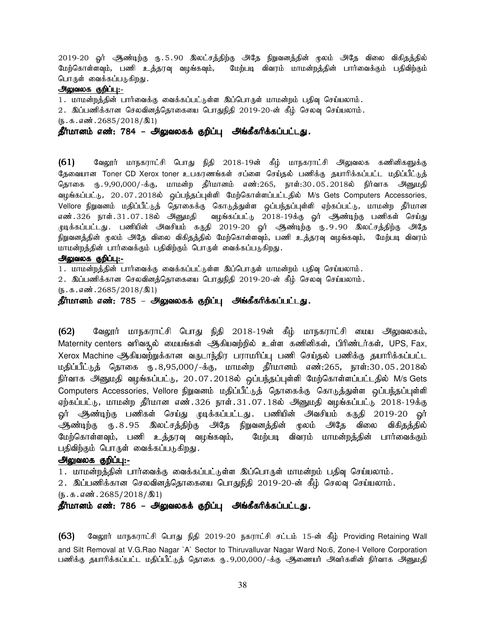2019-20 ஓர் அூண்டிற்கு ரு.5.90 இலட்சத்திற்கு அதே நிறுவனத்தின் முலம் அதே விலை விகிதத்தில் மேற்கொள்ளவும், பணி உத்தரவு வழங்கவும், மேற்படி விவரம் மாமன்றத்தின் பார்வைக்கும் பதிவிற்கும் பொருள் வைக்கப்படுகிறது.

### அலுவலக குறிப்பு:-

1. மாமன்றத்தின் பார்வைக்கு வைக்கப்பட்டுள்ள இப்பொருள் மாமன்றம் பதிவு செய்யலாம்.

2. இப்பணிக்கான செலவினத்தொகையை பொதுநிதி 2019-20-ன் கீழ் செலவு செய்யலாம்.

 $(D.5.5.5001.2685/2018/21)$ 

<u>தீர்மானம் எண்: 784 – அலுவலகக் குறிப்பு</u> அங்கீகரிக்கப்பட்டது.

(61) வேலூர் மாநகராட்சி பொது நிதி 2018-19ன் கீழ் மாநகராட்சி அலுவலக கணினிகளுக்கு தேவையான Toner CD Xerox toner உபகரணங்கள் சப்ளை செய்தல் பணிக்கு தயாரிக்கப்பட்ட மதிப்பீட்டுத் தொகை ரு. 9,90,000/-க்கு, மாமன்ற தீர்மானம் எண்:265, நாள்:30 .05 .2018ல் நிர்வாக அனுமதி வழங்கப்பட்டு,  $20.07.2018$ ல் ஒப்பந்தப்புள்ளி மேற்கொள்ளப்பட்டதில் M/s Gets Computers Accessories, Vellore நிறுவனம் மதிப்பீட்டுத் தொகைக்கு கொடுத்துள்ள ஒப்பந்தப்புள்ளி ஏற்கப்பட்டு, மாமன்ற தீர்மான எண்.326 நாள்.31.07.18ல் அனுமதி வழங்கப்பட்டு 2018-19க்கு ஓர் அண்டிற்கு பணிகள் செய்து முடிக்கப்பட்டது. பணியின் அவசியம் கருதி 2019-20 ஓர் ஆண்டிற்கு ரு.9.90 இலட்சத்திற்கு அதே நிறுவனத்தின் முலம் அதே விலை விகிதத்தில் மேற்கொள்ளவும், பணி உத்தரவு வழங்கவும், மேற்படி விவரம் மாமன்றத்தின் பார்வைக்கும் பதிவிற்கும் பொருள் வைக்கப்படுகிறது.

### அலுவலக குறிப்பு:-

1. மாமன்றத்தின் பார்வைக்கு வைக்கப்பட்டுள்ள இப்பொருள் மாமன்றம் பதிவு செய்யலாம்.

2. இப்பணிக்கான செலவினத்தொகையை பொதுநிதி 2019-20-ன் கீழ் செலவு செய்யலாம்.

 $(5.5.5.52018/2018)$ 

தீர்மானம் எண்: 785 – அலுவலகக் குறிப்பு அங்கீகரிக்கப்பட்டது.

(62) மேலூர் மாநகராட்சி பொது நிதி 2018-19ன் கீழ் மாநகராட்சி மைய அலுவலகம், Maternity centers வரிவசூல் மையங்கள் ஆகியவற்றில் உள்ள கணினிகள், பிரிண்டர்கள், UPS, Fax, Xerox Machine ஆகியவற்றுக்கான வருடாந்திர பராமரிப்பு பணி செய்தல் பணிக்கு தயாரிக்கப்பட்ட மதிப்பீட்டுத் தொகை ரு.8,95,000/-க்கு, மாமன்ற தீர்மானம் எண்:265, நாள்:30.05.2018ல் நிர்வாக அனுமதி வழங்கப்பட்டு, 20.07.2018ல் ஒப்பந்தப்புள்ளி மேற்கொள்ளப்பட்டதில் M/s Gets Computers Accessories, Vellore நிறுவனம் மதிப்பீட்டுத் தொகைக்கு கொடுத்துள்ள ஒப்பந்தப்புள்ளி ஏற்கப்பட்டு, மாமன்ற தீர்மான எண்.326 நாள்.31.07.18ல் அனுமதி வழங்கப்பட்டு 2018-19க்கு ஓர் ஆண்டிற்கு பணிகள் செய்து முடிக்கப்பட்டது. பணியின் அவசியம் கருதி 2019-20 ஓர் <u>ஆண்டிற்கு</u> ரூ.8.95 இலட்சத்திற்கு அதே நிறுவனத்தின் முலம் அதே விலை விகிதத்தில் மேற்கொள்ளவும், பணி உத்தரவு வழங்கவும், மேற்படி விவரம் மாமன்றத்தின் பார்வைக்கும் பதிவிற்கும் பொருள் வைக்கப்படுகிறது.

### அலுவலக குறிப்பு:-

1. மாமன்றத்தின் பார்வைக்கு வைக்கப்பட்டுள்ள இப்பொருள் மாமன்றம் பதிவு செய்யலாம்.

2. இப்பணிக்கான செலவினத்தொகையை பொதுநிதி 2019-20-ன் கீழ் செலவு செய்யலாம்.

 $(\mathfrak{g}.\mathfrak{g}.\mathfrak{g}.$  எண். 2685/2018/ $\mathfrak{A}1$ 

தீர்மானம் எண்: 786 – அலுவலகக் குறிப்பு அங்கீகரிக்கப்பட்டது.

 $(63)$  Bதனூர் மாநகராட்சி பொது நிதி 2019-20 நகராட்சி சட்டம் 15-ன் கீழ் Providing Retaining Wall and Silt Removal at V.G.Rao Nagar `A` Sector to Thiruvalluvar Nagar Ward No:6, Zone-I Vellore Corporation பணிக்கு தயாரிக்கப்பட்ட மதிப்பீட்டுத் தொகை ரு. 9,00,000/-க்கு அிணையர் அவர்களின் நிர்வாக அனுமதி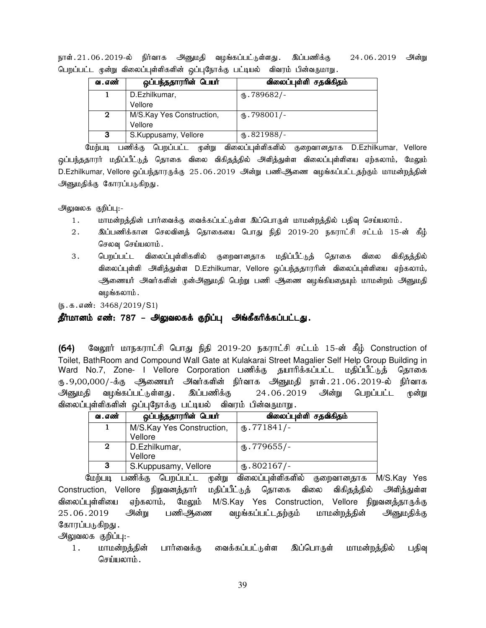| ஒப்பந்ததாரரின் பெயர்      | விலைப்புள்ளி சதவிகிதம்      |
|---------------------------|-----------------------------|
| D.Ezhilkumar,             | $\times$ .789682/-          |
| Vellore                   |                             |
| M/S.Kay Yes Construction, | $\text{I}$ .798001/-        |
| Vellore                   |                             |
| S.Kuppusamy, Vellore      | $\textcircled{t}$ .821988/- |
|                           |                             |

நாள்.21.06.2019-ல் நிர்வாக அனுமதி வழங்கப்பட்டுள்ளது. இப்பணிக்கு 24.06.2019 அன்று பெறப்பட்ட முன்று விலைப்புள்ளிகளின் ஒப்புநோக்கு பட்டியல் விவரம் பின்வருமாறு.

மேற்படி பணிக்கு பெறப்பட்ட முன்று விலைப்புள்ளிகளில் குறைவானதாக D.Ezhilkumar, Vellore ஒப்பந்ததாரர் மதிப்பீட்டுத் தொகை விலை விகிதத்தில் அி்த்துள்ள விலைப்புள்ளியை ஏற்கலாம், மேலும் D.Ezhilkumar, Vellore வப்பந்தாரருக்கு 25.06.2019 அன்று பணிஆிணை வழங்கப்பட்டதற்கும் மாமன்றக்தின் அனுமதிக்கு கோரப்படுகிறது.

அலுவலக குறிப்பு:-

- 1. khr மன்றத்தின் பார்வைக்கு வைக்கப்பட்டுள்ள இப்பொருள் மாமன்றத்தில் பதிவு செய்யலாம்.
- 2. ng;gzpf;fhd brytpdj; bjhifia bghJ epjp 2019-20 efuhl;rp rl;lk; 15-d; fPH; செலவு செய்யலாம்.
- 3. பெறப்பட்ட விலைப்புள்ளிகளில் குறைவானதாக மதிப்பீட்டுத் தொகை விலை விகிதத்தில் விலைப்புள்ளி அிளித்துள்ள D.Ezhilkumar, Vellore ஒப்பந்ததாரரின் விலைப்புள்ளியை ஏற்கலாம், அணையர் அவர்களின் முன்அனுமதி பெற்று பணி ஆணை வமங்கியதையும் மாமன்றம் அனுமதி வழங்கலாம்.

 $(5.5.5 \text{...} \cdot 3468/2019/S1)$ 

தீர்மானம் எண்: 787 – அலுவலகக் குறிப்பு அங்கீகரிக்கப்பட்டது.

(64) வேலூர் மாநகராட்சி பொது நிதி 2019-20 நகராட்சி சட்டம் 15-ன் கீழ் Construction of Toilet, BathRoom and Compound Wall Gate at Kulakarai Street Magalier Self Help Group Building in Ward No.7, Zone- I Vellore Corporation பணிக்கு தயாரிக்கப்பட்ட மதிப்பீட்டுத் தொகை ரு.9,00,000/-க்கு ஆணையர் அவர்களின் நிர்வாக அனுமதி நாள்.21.06.2019-ல் நிர்வாக அனுமதி வழங்கப்பட்டுள்ளது. இப்பணிக்கு 24.06.2019 அன்று பெறப்பட்ட முன்று விலைப்புள்ளிகளின் ஒப்புநோக்கு பட்டியல் விவரம் பின்வருமாறு

| வ . எண்     | ஒப்பந்ததாரரின் பெயர்      | விலைப்புள்ளி சதவிகிதம் |
|-------------|---------------------------|------------------------|
|             | M/S.Kay Yes Construction, | $(D.771841)$ -         |
|             | Vellore                   |                        |
| $\mathbf 2$ | D.Ezhilkumar,             | ტ.779655/-             |
|             | Vellore                   |                        |
| 3           | S.Kuppusamy, Vellore      | $\omega$ .802167/-     |

மேற்படி பணிக்கு பெறப்பட்ட முன்று விலைப்புள்ளிகளில் குறைவானதாக M/S.Kay Yes Construction, Vellore நிறுவனத்தார் மதிப்பீட்டுத் தொகை விலை விகிதத்தில் அளித்துள்ள விலைப்புள்ளியை ஏற்கலாம், மேலும் M/S.Kay Yes Construction, Vellore நிறுவனத்தாருக்கு 25.06.2019 அன்று பணிஅிணை வழங்கப்பட்டதற்கும் மாமன்றத்தின் அனுமதிக்கு கோரப்படுகிறது .

அலுவலக குறிப்பு:-

1. மாமன்றத்தின் பார்வைக்கு வைக்கப்பட்டுள்ள இப்பொருள் மாமன்றத்தில் பதிவு செய்யலாம்.